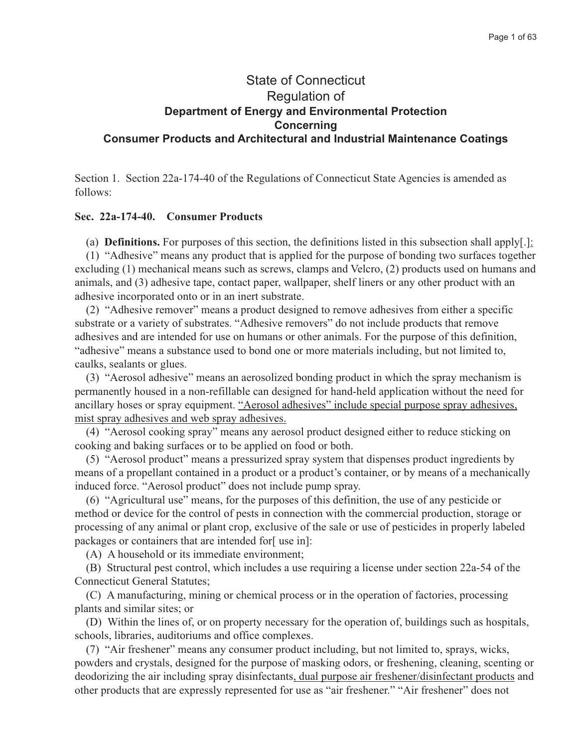# State of Connecticut Regulation of **Department of Energy and Environmental Protection Concerning Consumer Products and Architectural and Industrial Maintenance Coatings**

Section 1. Section 22a-174-40 of the Regulations of Connecticut State Agencies is amended as follows:

## **Sec. 22a-174-40. Consumer Products**

(a) **Definitions.** For purposes of this section, the definitions listed in this subsection shall apply[.]:

(1) "Adhesive" means any product that is applied for the purpose of bonding two surfaces together excluding (1) mechanical means such as screws, clamps and Velcro, (2) products used on humans and animals, and (3) adhesive tape, contact paper, wallpaper, shelf liners or any other product with an adhesive incorporated onto or in an inert substrate.

(2) "Adhesive remover" means a product designed to remove adhesives from either a specific substrate or a variety of substrates. "Adhesive removers" do not include products that remove adhesives and are intended for use on humans or other animals. For the purpose of this definition, "adhesive" means a substance used to bond one or more materials including, but not limited to, caulks, sealants or glues.

(3) "Aerosol adhesive" means an aerosolized bonding product in which the spray mechanism is permanently housed in a non-refillable can designed for hand-held application without the need for ancillary hoses or spray equipment. "Aerosol adhesives" include special purpose spray adhesives, mist spray adhesives and web spray adhesives.

(4) "Aerosol cooking spray" means any aerosol product designed either to reduce sticking on cooking and baking surfaces or to be applied on food or both.

(5) "Aerosol product" means a pressurized spray system that dispenses product ingredients by means of a propellant contained in a product or a product's container, or by means of a mechanically induced force. "Aerosol product" does not include pump spray.

(6) "Agricultural use" means, for the purposes of this definition, the use of any pesticide or method or device for the control of pests in connection with the commercial production, storage or processing of any animal or plant crop, exclusive of the sale or use of pesticides in properly labeled packages or containers that are intended for[ use in]:

(A) A household or its immediate environment;

(B) Structural pest control, which includes a use requiring a license under section 22a-54 of the Connecticut General Statutes;

(C) A manufacturing, mining or chemical process or in the operation of factories, processing plants and similar sites; or

(D) Within the lines of, or on property necessary for the operation of, buildings such as hospitals, schools, libraries, auditoriums and office complexes.

(7) "Air freshener" means any consumer product including, but not limited to, sprays, wicks, powders and crystals, designed for the purpose of masking odors, or freshening, cleaning, scenting or deodorizing the air including spray disinfectants, dual purpose air freshener/disinfectant products and other products that are expressly represented for use as "air freshener." "Air freshener" does not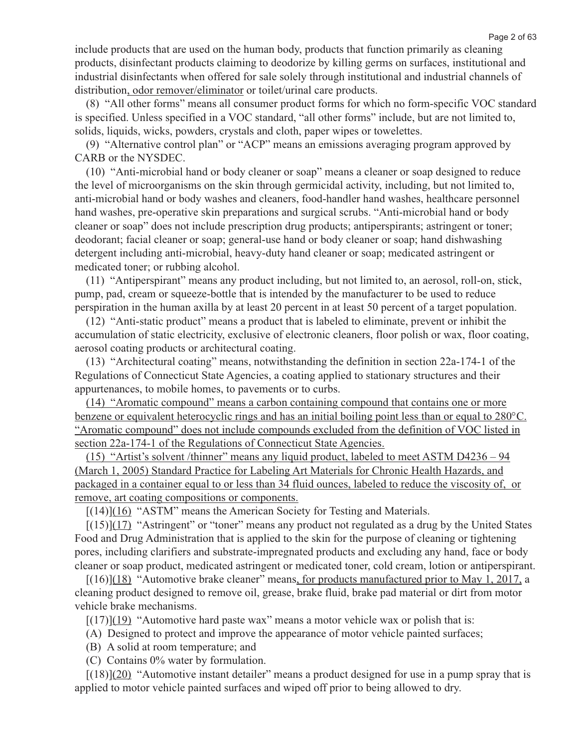include products that are used on the human body, products that function primarily as cleaning products, disinfectant products claiming to deodorize by killing germs on surfaces, institutional and industrial disinfectants when offered for sale solely through institutional and industrial channels of distribution, odor remover/eliminator or toilet/urinal care products.

(8) "All other forms" means all consumer product forms for which no form-specific VOC standard is specified. Unless specified in a VOC standard, "all other forms" include, but are not limited to, solids, liquids, wicks, powders, crystals and cloth, paper wipes or towelettes.

(9) "Alternative control plan" or "ACP" means an emissions averaging program approved by CARB or the NYSDEC.

(10) "Anti-microbial hand or body cleaner or soap" means a cleaner or soap designed to reduce the level of microorganisms on the skin through germicidal activity, including, but not limited to, anti-microbial hand or body washes and cleaners, food-handler hand washes, healthcare personnel hand washes, pre-operative skin preparations and surgical scrubs. "Anti-microbial hand or body cleaner or soap" does not include prescription drug products; antiperspirants; astringent or toner; deodorant; facial cleaner or soap; general-use hand or body cleaner or soap; hand dishwashing detergent including anti-microbial, heavy-duty hand cleaner or soap; medicated astringent or medicated toner; or rubbing alcohol.

(11) "Antiperspirant" means any product including, but not limited to, an aerosol, roll-on, stick, pump, pad, cream or squeeze-bottle that is intended by the manufacturer to be used to reduce perspiration in the human axilla by at least 20 percent in at least 50 percent of a target population.

(12) "Anti-static product" means a product that is labeled to eliminate, prevent or inhibit the accumulation of static electricity, exclusive of electronic cleaners, floor polish or wax, floor coating, aerosol coating products or architectural coating.

(13) "Architectural coating" means, notwithstanding the definition in section 22a-174-1 of the Regulations of Connecticut State Agencies, a coating applied to stationary structures and their appurtenances, to mobile homes, to pavements or to curbs.

(14) "Aromatic compound" means a carbon containing compound that contains one or more benzene or equivalent heterocyclic rings and has an initial boiling point less than or equal to 280°C. "Aromatic compound" does not include compounds excluded from the definition of VOC listed in section 22a-174-1 of the Regulations of Connecticut State Agencies.

(15) "Artist's solvent /thinner" means any liquid product, labeled to meet ASTM D4236 – 94 (March 1, 2005) Standard Practice for Labeling Art Materials for Chronic Health Hazards, and packaged in a container equal to or less than 34 fluid ounces, labeled to reduce the viscosity of, or remove, art coating compositions or components.

[(14)](16) "ASTM" means the American Society for Testing and Materials.

 $[(15)](17)$  "Astringent" or "toner" means any product not regulated as a drug by the United States Food and Drug Administration that is applied to the skin for the purpose of cleaning or tightening pores, including clarifiers and substrate-impregnated products and excluding any hand, face or body cleaner or soap product, medicated astringent or medicated toner, cold cream, lotion or antiperspirant.

 $[(16)](18)$  "Automotive brake cleaner" means, for products manufactured prior to May 1, 2017, a cleaning product designed to remove oil, grease, brake fluid, brake pad material or dirt from motor vehicle brake mechanisms.

 $[(17)](19)$  "Automotive hard paste wax" means a motor vehicle wax or polish that is:

- (A) Designed to protect and improve the appearance of motor vehicle painted surfaces;
- (B) A solid at room temperature; and
- (C) Contains 0% water by formulation.

 $[(18)](20)$  "Automotive instant detailer" means a product designed for use in a pump spray that is applied to motor vehicle painted surfaces and wiped off prior to being allowed to dry.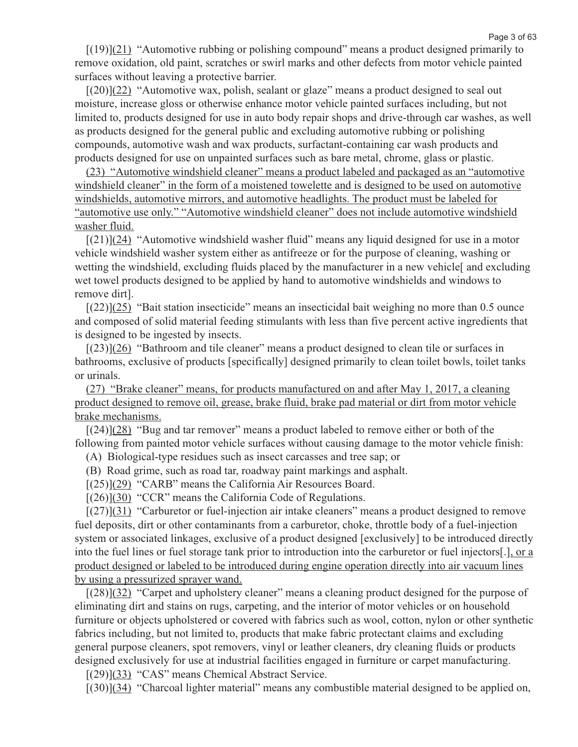[(19)](21) "Automotive rubbing or polishing compound" means a product designed primarily to remove oxidation, old paint, scratches or swirl marks and other defects from motor vehicle painted surfaces without leaving a protective barrier.

 $[(20)](22)$  "Automotive wax, polish, sealant or glaze" means a product designed to seal out moisture, increase gloss or otherwise enhance motor vehicle painted surfaces including, but not limited to, products designed for use in auto body repair shops and drive-through car washes, as well as products designed for the general public and excluding automotive rubbing or polishing compounds, automotive wash and wax products, surfactant-containing car wash products and products designed for use on unpainted surfaces such as bare metal, chrome, glass or plastic.

(23) "Automotive windshield cleaner" means a product labeled and packaged as an "automotive windshield cleaner" in the form of a moistened towelette and is designed to be used on automotive windshields, automotive mirrors, and automotive headlights. The product must be labeled for "automotive use only." "Automotive windshield cleaner" does not include automotive windshield washer fluid.

 $[(21)](24)$  "Automotive windshield washer fluid" means any liquid designed for use in a motor vehicle windshield washer system either as antifreeze or for the purpose of cleaning, washing or wetting the windshield, excluding fluids placed by the manufacturer in a new vehicle and excluding wet towel products designed to be applied by hand to automotive windshields and windows to remove dirt].

[(22)](25) "Bait station insecticide" means an insecticidal bait weighing no more than 0.5 ounce and composed of solid material feeding stimulants with less than five percent active ingredients that is designed to be ingested by insects.

[(23)](26) "Bathroom and tile cleaner" means a product designed to clean tile or surfaces in bathrooms, exclusive of products [specifically] designed primarily to clean toilet bowls, toilet tanks or urinals.

(27) "Brake cleaner" means, for products manufactured on and after May 1, 2017, a cleaning product designed to remove oil, grease, brake fluid, brake pad material or dirt from motor vehicle brake mechanisms.

[(24)](28) "Bug and tar remover" means a product labeled to remove either or both of the following from painted motor vehicle surfaces without causing damage to the motor vehicle finish:

(A) Biological-type residues such as insect carcasses and tree sap; or

(B) Road grime, such as road tar, roadway paint markings and asphalt.

[(25)](29) "CARB" means the California Air Resources Board.

 $[(26)](30)$  "CCR" means the California Code of Regulations.

[(27)](31) "Carburetor or fuel-injection air intake cleaners" means a product designed to remove fuel deposits, dirt or other contaminants from a carburetor, choke, throttle body of a fuel-injection system or associated linkages, exclusive of a product designed [exclusively] to be introduced directly into the fuel lines or fuel storage tank prior to introduction into the carburetor or fuel injectors[.], or a product designed or labeled to be introduced during engine operation directly into air vacuum lines by using a pressurized sprayer wand.

[(28)](32) "Carpet and upholstery cleaner" means a cleaning product designed for the purpose of eliminating dirt and stains on rugs, carpeting, and the interior of motor vehicles or on household furniture or objects upholstered or covered with fabrics such as wool, cotton, nylon or other synthetic fabrics including, but not limited to, products that make fabric protectant claims and excluding general purpose cleaners, spot removers, vinyl or leather cleaners, dry cleaning fluids or products designed exclusively for use at industrial facilities engaged in furniture or carpet manufacturing.

[(29)](33) "CAS" means Chemical Abstract Service.

[(30)](34) "Charcoal lighter material" means any combustible material designed to be applied on,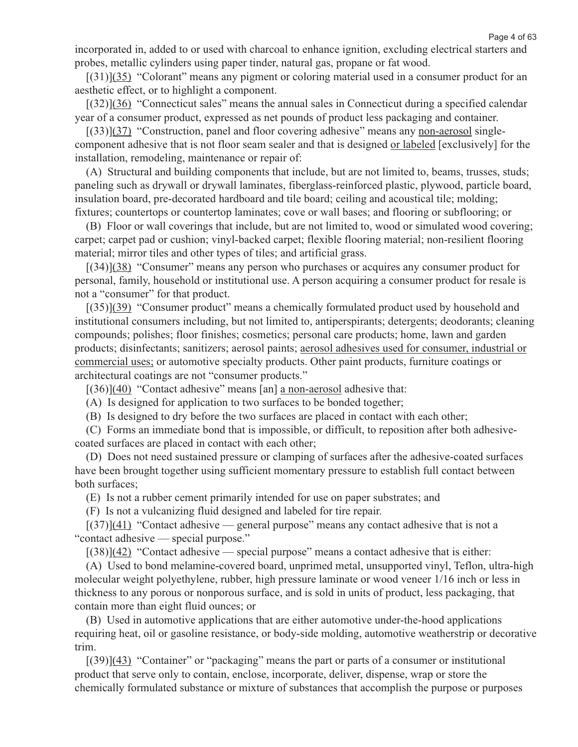incorporated in, added to or used with charcoal to enhance ignition, excluding electrical starters and probes, metallic cylinders using paper tinder, natural gas, propane or fat wood.

[(31)](35) "Colorant" means any pigment or coloring material used in a consumer product for an aesthetic effect, or to highlight a component.

[(32)](36) "Connecticut sales" means the annual sales in Connecticut during a specified calendar year of a consumer product, expressed as net pounds of product less packaging and container.

 $[(33)](37)$  "Construction, panel and floor covering adhesive" means any non-aerosol singlecomponent adhesive that is not floor seam sealer and that is designed or labeled [exclusively] for the installation, remodeling, maintenance or repair of:

(A) Structural and building components that include, but are not limited to, beams, trusses, studs; paneling such as drywall or drywall laminates, fiberglass-reinforced plastic, plywood, particle board, insulation board, pre-decorated hardboard and tile board; ceiling and acoustical tile; molding; fixtures; countertops or countertop laminates; cove or wall bases; and flooring or subflooring; or

(B) Floor or wall coverings that include, but are not limited to, wood or simulated wood covering; carpet; carpet pad or cushion; vinyl-backed carpet; flexible flooring material; non-resilient flooring material; mirror tiles and other types of tiles; and artificial grass.

[(34)](38) "Consumer" means any person who purchases or acquires any consumer product for personal, family, household or institutional use. A person acquiring a consumer product for resale is not a "consumer" for that product.

[(35)](39) "Consumer product" means a chemically formulated product used by household and institutional consumers including, but not limited to, antiperspirants; detergents; deodorants; cleaning compounds; polishes; floor finishes; cosmetics; personal care products; home, lawn and garden products; disinfectants; sanitizers; aerosol paints; aerosol adhesives used for consumer, industrial or commercial uses; or automotive specialty products. Other paint products, furniture coatings or architectural coatings are not "consumer products."

 $[(36)](40)$  "Contact adhesive" means [an] a non-aerosol adhesive that:

(A) Is designed for application to two surfaces to be bonded together;

(B) Is designed to dry before the two surfaces are placed in contact with each other;

(C) Forms an immediate bond that is impossible, or difficult, to reposition after both adhesivecoated surfaces are placed in contact with each other;

(D) Does not need sustained pressure or clamping of surfaces after the adhesive-coated surfaces have been brought together using sufficient momentary pressure to establish full contact between both surfaces;

(E) Is not a rubber cement primarily intended for use on paper substrates; and

(F) Is not a vulcanizing fluid designed and labeled for tire repair.

 $[(37)](41)$  "Contact adhesive — general purpose" means any contact adhesive that is not a "contact adhesive — special purpose."

 $[(38)](42)$  "Contact adhesive — special purpose" means a contact adhesive that is either:

(A) Used to bond melamine-covered board, unprimed metal, unsupported vinyl, Teflon, ultra-high molecular weight polyethylene, rubber, high pressure laminate or wood veneer 1/16 inch or less in thickness to any porous or nonporous surface, and is sold in units of product, less packaging, that contain more than eight fluid ounces; or

(B) Used in automotive applications that are either automotive under-the-hood applications requiring heat, oil or gasoline resistance, or body-side molding, automotive weatherstrip or decorative trim.

[(39)](43) "Container" or "packaging" means the part or parts of a consumer or institutional product that serve only to contain, enclose, incorporate, deliver, dispense, wrap or store the chemically formulated substance or mixture of substances that accomplish the purpose or purposes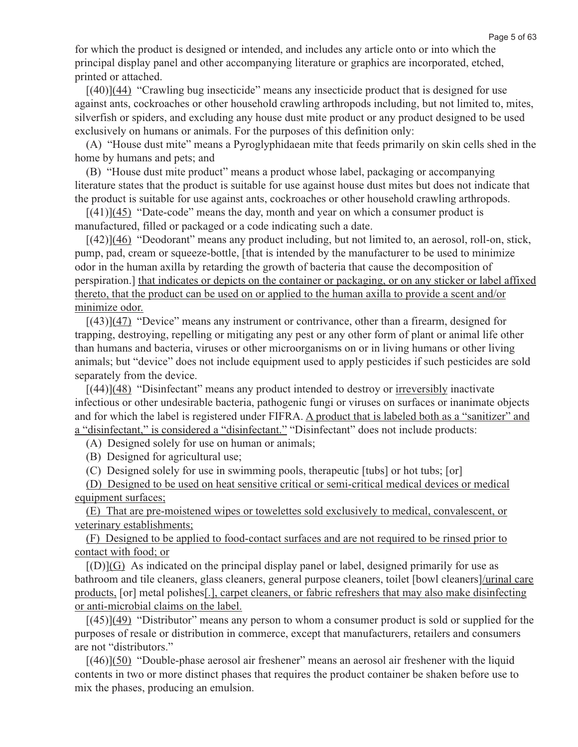for which the product is designed or intended, and includes any article onto or into which the principal display panel and other accompanying literature or graphics are incorporated, etched, printed or attached.

 $[(40)]$ (44) "Crawling bug insecticide" means any insecticide product that is designed for use against ants, cockroaches or other household crawling arthropods including, but not limited to, mites, silverfish or spiders, and excluding any house dust mite product or any product designed to be used exclusively on humans or animals. For the purposes of this definition only:

(A) "House dust mite" means a Pyroglyphidaean mite that feeds primarily on skin cells shed in the home by humans and pets; and

(B) "House dust mite product" means a product whose label, packaging or accompanying literature states that the product is suitable for use against house dust mites but does not indicate that the product is suitable for use against ants, cockroaches or other household crawling arthropods.

 $[(41)](45)$  "Date-code" means the day, month and year on which a consumer product is manufactured, filled or packaged or a code indicating such a date.

[(42)](46) "Deodorant" means any product including, but not limited to, an aerosol, roll-on, stick, pump, pad, cream or squeeze-bottle, [that is intended by the manufacturer to be used to minimize odor in the human axilla by retarding the growth of bacteria that cause the decomposition of perspiration.] that indicates or depicts on the container or packaging, or on any sticker or label affixed thereto, that the product can be used on or applied to the human axilla to provide a scent and/or minimize odor.

 $[(43)](47)$  "Device" means any instrument or contrivance, other than a firearm, designed for trapping, destroying, repelling or mitigating any pest or any other form of plant or animal life other than humans and bacteria, viruses or other microorganisms on or in living humans or other living animals; but "device" does not include equipment used to apply pesticides if such pesticides are sold separately from the device.

 $[(44)]$ (48) "Disinfectant" means any product intended to destroy or irreversibly inactivate infectious or other undesirable bacteria, pathogenic fungi or viruses on surfaces or inanimate objects and for which the label is registered under FIFRA. A product that is labeled both as a "sanitizer" and a "disinfectant," is considered a "disinfectant." "Disinfectant" does not include products:

(A) Designed solely for use on human or animals;

(B) Designed for agricultural use;

(C) Designed solely for use in swimming pools, therapeutic [tubs] or hot tubs; [or]

(D) Designed to be used on heat sensitive critical or semi-critical medical devices or medical equipment surfaces;

(E) That are pre-moistened wipes or towelettes sold exclusively to medical, convalescent, or veterinary establishments;

(F) Designed to be applied to food-contact surfaces and are not required to be rinsed prior to contact with food; or

 $[(D)]$ (G) As indicated on the principal display panel or label, designed primarily for use as bathroom and tile cleaners, glass cleaners, general purpose cleaners, toilet [bowl cleaners]/urinal care products, [or] metal polishes[.], carpet cleaners, or fabric refreshers that may also make disinfecting or anti-microbial claims on the label.

 $[(45)](49)$  "Distributor" means any person to whom a consumer product is sold or supplied for the purposes of resale or distribution in commerce, except that manufacturers, retailers and consumers are not "distributors."

 $[(46)](50)$  "Double-phase aerosol air freshener" means an aerosol air freshener with the liquid contents in two or more distinct phases that requires the product container be shaken before use to mix the phases, producing an emulsion.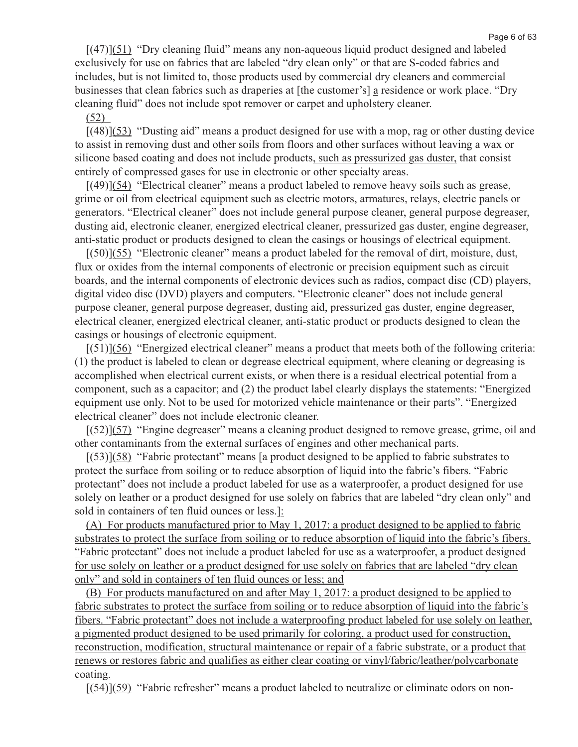$[(47)](51)$  "Dry cleaning fluid" means any non-aqueous liquid product designed and labeled exclusively for use on fabrics that are labeled "dry clean only" or that are S-coded fabrics and includes, but is not limited to, those products used by commercial dry cleaners and commercial businesses that clean fabrics such as draperies at [the customer's] a residence or work place. "Dry cleaning fluid" does not include spot remover or carpet and upholstery cleaner.

#### (52)

[(48)](53) "Dusting aid" means a product designed for use with a mop, rag or other dusting device to assist in removing dust and other soils from floors and other surfaces without leaving a wax or silicone based coating and does not include products, such as pressurized gas duster, that consist entirely of compressed gases for use in electronic or other specialty areas.

 $[(49)](54)$  "Electrical cleaner" means a product labeled to remove heavy soils such as grease, grime or oil from electrical equipment such as electric motors, armatures, relays, electric panels or generators. "Electrical cleaner" does not include general purpose cleaner, general purpose degreaser, dusting aid, electronic cleaner, energized electrical cleaner, pressurized gas duster, engine degreaser, anti-static product or products designed to clean the casings or housings of electrical equipment.

 $[(50)](55)$  "Electronic cleaner" means a product labeled for the removal of dirt, moisture, dust, flux or oxides from the internal components of electronic or precision equipment such as circuit boards, and the internal components of electronic devices such as radios, compact disc (CD) players, digital video disc (DVD) players and computers. "Electronic cleaner" does not include general purpose cleaner, general purpose degreaser, dusting aid, pressurized gas duster, engine degreaser, electrical cleaner, energized electrical cleaner, anti-static product or products designed to clean the casings or housings of electronic equipment.

[(51)](56) "Energized electrical cleaner" means a product that meets both of the following criteria: (1) the product is labeled to clean or degrease electrical equipment, where cleaning or degreasing is accomplished when electrical current exists, or when there is a residual electrical potential from a component, such as a capacitor; and (2) the product label clearly displays the statements: "Energized equipment use only. Not to be used for motorized vehicle maintenance or their parts". "Energized electrical cleaner" does not include electronic cleaner.

[(52)](57) "Engine degreaser" means a cleaning product designed to remove grease, grime, oil and other contaminants from the external surfaces of engines and other mechanical parts.

[(53)](58) "Fabric protectant" means [a product designed to be applied to fabric substrates to protect the surface from soiling or to reduce absorption of liquid into the fabric's fibers. "Fabric protectant" does not include a product labeled for use as a waterproofer, a product designed for use solely on leather or a product designed for use solely on fabrics that are labeled "dry clean only" and sold in containers of ten fluid ounces or less.]:

(A) For products manufactured prior to May 1, 2017: a product designed to be applied to fabric substrates to protect the surface from soiling or to reduce absorption of liquid into the fabric's fibers. "Fabric protectant" does not include a product labeled for use as a waterproofer, a product designed for use solely on leather or a product designed for use solely on fabrics that are labeled "dry clean only" and sold in containers of ten fluid ounces or less; and

(B) For products manufactured on and after May 1, 2017: a product designed to be applied to fabric substrates to protect the surface from soiling or to reduce absorption of liquid into the fabric's fibers. "Fabric protectant" does not include a waterproofing product labeled for use solely on leather, a pigmented product designed to be used primarily for coloring, a product used for construction, reconstruction, modification, structural maintenance or repair of a fabric substrate, or a product that renews or restores fabric and qualifies as either clear coating or vinyl/fabric/leather/polycarbonate coating.

[(54)](59) "Fabric refresher" means a product labeled to neutralize or eliminate odors on non-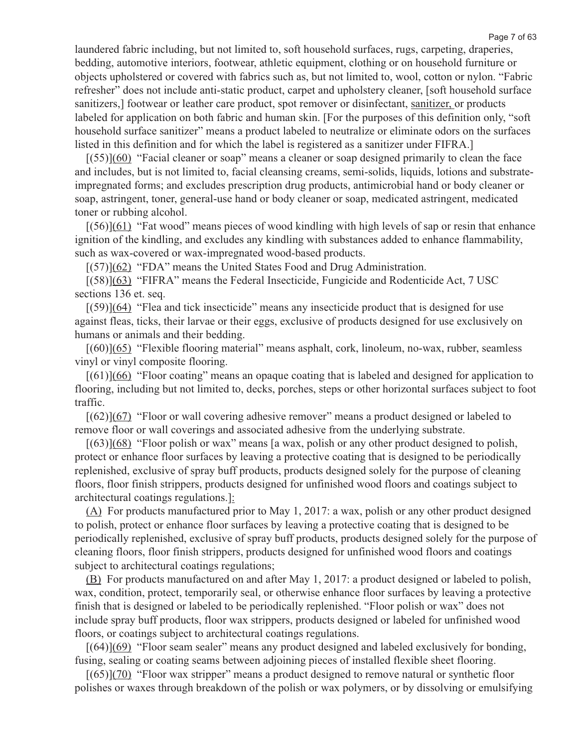laundered fabric including, but not limited to, soft household surfaces, rugs, carpeting, draperies, bedding, automotive interiors, footwear, athletic equipment, clothing or on household furniture or objects upholstered or covered with fabrics such as, but not limited to, wool, cotton or nylon. "Fabric refresher" does not include anti-static product, carpet and upholstery cleaner, [soft household surface sanitizers,] footwear or leather care product, spot remover or disinfectant, sanitizer, or products labeled for application on both fabric and human skin. [For the purposes of this definition only, "soft household surface sanitizer" means a product labeled to neutralize or eliminate odors on the surfaces listed in this definition and for which the label is registered as a sanitizer under FIFRA.]

[(55)](60) "Facial cleaner or soap" means a cleaner or soap designed primarily to clean the face and includes, but is not limited to, facial cleansing creams, semi-solids, liquids, lotions and substrateimpregnated forms; and excludes prescription drug products, antimicrobial hand or body cleaner or soap, astringent, toner, general-use hand or body cleaner or soap, medicated astringent, medicated toner or rubbing alcohol.

[(56)](61) "Fat wood" means pieces of wood kindling with high levels of sap or resin that enhance ignition of the kindling, and excludes any kindling with substances added to enhance flammability, such as wax-covered or wax-impregnated wood-based products.

[(57)](62) "FDA" means the United States Food and Drug Administration.

[(58)](63) "FIFRA" means the Federal Insecticide, Fungicide and Rodenticide Act, 7 USC sections 136 et. seq.

[(59)](64) "Flea and tick insecticide" means any insecticide product that is designed for use against fleas, ticks, their larvae or their eggs, exclusive of products designed for use exclusively on humans or animals and their bedding.

[(60)](65) "Flexible flooring material" means asphalt, cork, linoleum, no-wax, rubber, seamless vinyl or vinyl composite flooring.

[(61)](66) "Floor coating" means an opaque coating that is labeled and designed for application to flooring, including but not limited to, decks, porches, steps or other horizontal surfaces subject to foot traffic.

[(62)](67) "Floor or wall covering adhesive remover" means a product designed or labeled to remove floor or wall coverings and associated adhesive from the underlying substrate.

 $[(63)](68)$  "Floor polish or wax" means [a wax, polish or any other product designed to polish, protect or enhance floor surfaces by leaving a protective coating that is designed to be periodically replenished, exclusive of spray buff products, products designed solely for the purpose of cleaning floors, floor finish strippers, products designed for unfinished wood floors and coatings subject to architectural coatings regulations.]:

(A) For products manufactured prior to May 1, 2017: a wax, polish or any other product designed to polish, protect or enhance floor surfaces by leaving a protective coating that is designed to be periodically replenished, exclusive of spray buff products, products designed solely for the purpose of cleaning floors, floor finish strippers, products designed for unfinished wood floors and coatings subject to architectural coatings regulations;

(B) For products manufactured on and after May 1, 2017: a product designed or labeled to polish, wax, condition, protect, temporarily seal, or otherwise enhance floor surfaces by leaving a protective finish that is designed or labeled to be periodically replenished. "Floor polish or wax" does not include spray buff products, floor wax strippers, products designed or labeled for unfinished wood floors, or coatings subject to architectural coatings regulations.

 $[(64)](69)$  "Floor seam sealer" means any product designed and labeled exclusively for bonding, fusing, sealing or coating seams between adjoining pieces of installed flexible sheet flooring.

[(65)](70) "Floor wax stripper" means a product designed to remove natural or synthetic floor polishes or waxes through breakdown of the polish or wax polymers, or by dissolving or emulsifying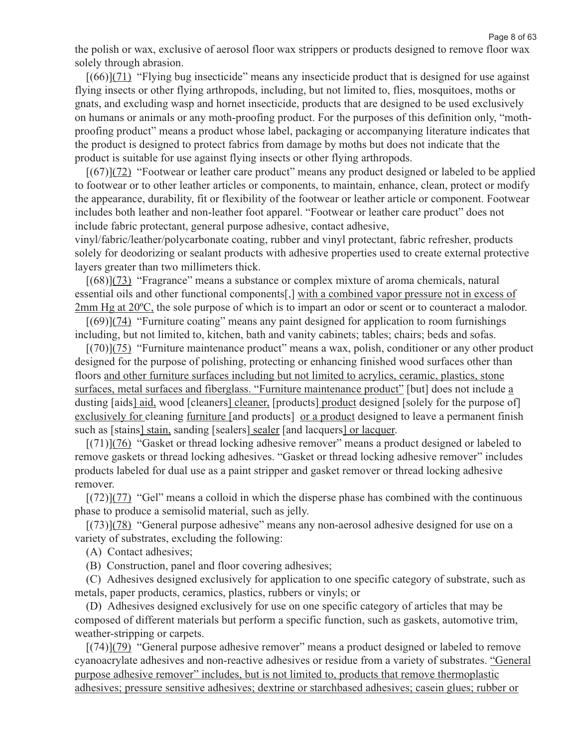the polish or wax, exclusive of aerosol floor wax strippers or products designed to remove floor wax solely through abrasion.

 $[(66)](71)$  "Flying bug insecticide" means any insecticide product that is designed for use against flying insects or other flying arthropods, including, but not limited to, flies, mosquitoes, moths or gnats, and excluding wasp and hornet insecticide, products that are designed to be used exclusively on humans or animals or any moth-proofing product. For the purposes of this definition only, "mothproofing product" means a product whose label, packaging or accompanying literature indicates that the product is designed to protect fabrics from damage by moths but does not indicate that the product is suitable for use against flying insects or other flying arthropods.

[(67)](72) "Footwear or leather care product" means any product designed or labeled to be applied to footwear or to other leather articles or components, to maintain, enhance, clean, protect or modify the appearance, durability, fit or flexibility of the footwear or leather article or component. Footwear includes both leather and non-leather foot apparel. "Footwear or leather care product" does not include fabric protectant, general purpose adhesive, contact adhesive,

vinyl/fabric/leather/polycarbonate coating, rubber and vinyl protectant, fabric refresher, products solely for deodorizing or sealant products with adhesive properties used to create external protective layers greater than two millimeters thick.

[(68)](73) "Fragrance" means a substance or complex mixture of aroma chemicals, natural essential oils and other functional components[,] with a combined vapor pressure not in excess of 2mm Hg at 20ºC, the sole purpose of which is to impart an odor or scent or to counteract a malodor.

 $[(69)](74)$  "Furniture coating" means any paint designed for application to room furnishings including, but not limited to, kitchen, bath and vanity cabinets; tables; chairs; beds and sofas.

[(70)](75) "Furniture maintenance product" means a wax, polish, conditioner or any other product designed for the purpose of polishing, protecting or enhancing finished wood surfaces other than floors and other furniture surfaces including but not limited to acrylics, ceramic, plastics, stone surfaces, metal surfaces and fiberglass. "Furniture maintenance product" [but] does not include a dusting [aids] aid, wood [cleaners] cleaner, [products] product designed [solely for the purpose of] exclusively for cleaning furniture [and products] or a product designed to leave a permanent finish such as [stains] stain, sanding [sealers] sealer [and lacquers] or lacquer.

 $[(71)](76)$  "Gasket or thread locking adhesive remover" means a product designed or labeled to remove gaskets or thread locking adhesives. "Gasket or thread locking adhesive remover" includes products labeled for dual use as a paint stripper and gasket remover or thread locking adhesive remover.

 $[(72)](77)$  "Gel" means a colloid in which the disperse phase has combined with the continuous phase to produce a semisolid material, such as jelly.

[(73)](78) "General purpose adhesive" means any non-aerosol adhesive designed for use on a variety of substrates, excluding the following:

(A) Contact adhesives;

(B) Construction, panel and floor covering adhesives;

(C) Adhesives designed exclusively for application to one specific category of substrate, such as metals, paper products, ceramics, plastics, rubbers or vinyls; or

(D) Adhesives designed exclusively for use on one specific category of articles that may be composed of different materials but perform a specific function, such as gaskets, automotive trim, weather-stripping or carpets.

 $[(74)](79)$  "General purpose adhesive remover" means a product designed or labeled to remove cyanoacrylate adhesives and non-reactive adhesives or residue from a variety of substrates. "General purpose adhesive remover" includes, but is not limited to, products that remove thermoplastic adhesives; pressure sensitive adhesives; dextrine or starchbased adhesives; casein glues; rubber or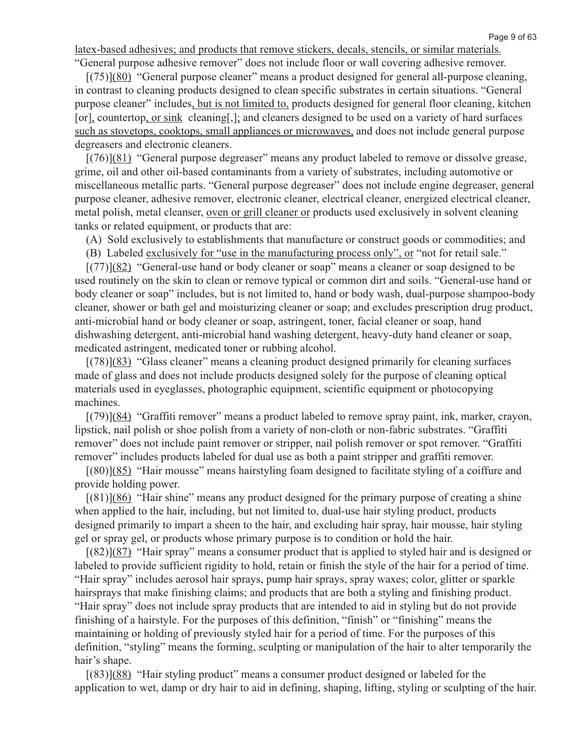latex-based adhesives; and products that remove stickers, decals, stencils, or similar materials. "General purpose adhesive remover" does not include floor or wall covering adhesive remover.

[(75)](80) "General purpose cleaner" means a product designed for general all-purpose cleaning, in contrast to cleaning products designed to clean specific substrates in certain situations. "General purpose cleaner" includes, but is not limited to, products designed for general floor cleaning, kitchen [or], countertop, or sink cleaning[,]; and cleaners designed to be used on a variety of hard surfaces such as stovetops, cooktops, small appliances or microwaves, and does not include general purpose degreasers and electronic cleaners.

[(76)](81) "General purpose degreaser" means any product labeled to remove or dissolve grease, grime, oil and other oil-based contaminants from a variety of substrates, including automotive or miscellaneous metallic parts. "General purpose degreaser" does not include engine degreaser, general purpose cleaner, adhesive remover, electronic cleaner, electrical cleaner, energized electrical cleaner, metal polish, metal cleanser, oven or grill cleaner or products used exclusively in solvent cleaning tanks or related equipment, or products that are:

(A) Sold exclusively to establishments that manufacture or construct goods or commodities; and

(B) Labeled exclusively for "use in the manufacturing process only", or "not for retail sale."

 $[(77)](82)$  "General-use hand or body cleaner or soap" means a cleaner or soap designed to be used routinely on the skin to clean or remove typical or common dirt and soils. "General-use hand or body cleaner or soap" includes, but is not limited to, hand or body wash, dual-purpose shampoo-body cleaner, shower or bath gel and moisturizing cleaner or soap; and excludes prescription drug product, anti-microbial hand or body cleaner or soap, astringent, toner, facial cleaner or soap, hand dishwashing detergent, anti-microbial hand washing detergent, heavy-duty hand cleaner or soap, medicated astringent, medicated toner or rubbing alcohol.

[(78)](83) "Glass cleaner" means a cleaning product designed primarily for cleaning surfaces made of glass and does not include products designed solely for the purpose of cleaning optical materials used in eyeglasses, photographic equipment, scientific equipment or photocopying machines.

[(79)](84) "Graffiti remover" means a product labeled to remove spray paint, ink, marker, crayon, lipstick, nail polish or shoe polish from a variety of non-cloth or non-fabric substrates. "Graffiti remover" does not include paint remover or stripper, nail polish remover or spot remover. "Graffiti remover" includes products labeled for dual use as both a paint stripper and graffiti remover.

[(80)](85) "Hair mousse" means hairstyling foam designed to facilitate styling of a coiffure and provide holding power.

 $[(81)](86)$  "Hair shine" means any product designed for the primary purpose of creating a shine when applied to the hair, including, but not limited to, dual-use hair styling product, products designed primarily to impart a sheen to the hair, and excluding hair spray, hair mousse, hair styling gel or spray gel, or products whose primary purpose is to condition or hold the hair.

[(82)](87) "Hair spray" means a consumer product that is applied to styled hair and is designed or labeled to provide sufficient rigidity to hold, retain or finish the style of the hair for a period of time. "Hair spray" includes aerosol hair sprays, pump hair sprays, spray waxes; color, glitter or sparkle hairsprays that make finishing claims; and products that are both a styling and finishing product. "Hair spray" does not include spray products that are intended to aid in styling but do not provide finishing of a hairstyle. For the purposes of this definition, "finish" or "finishing" means the maintaining or holding of previously styled hair for a period of time. For the purposes of this definition, "styling" means the forming, sculpting or manipulation of the hair to alter temporarily the hair's shape.

[(83)](88) "Hair styling product" means a consumer product designed or labeled for the application to wet, damp or dry hair to aid in defining, shaping, lifting, styling or sculpting of the hair.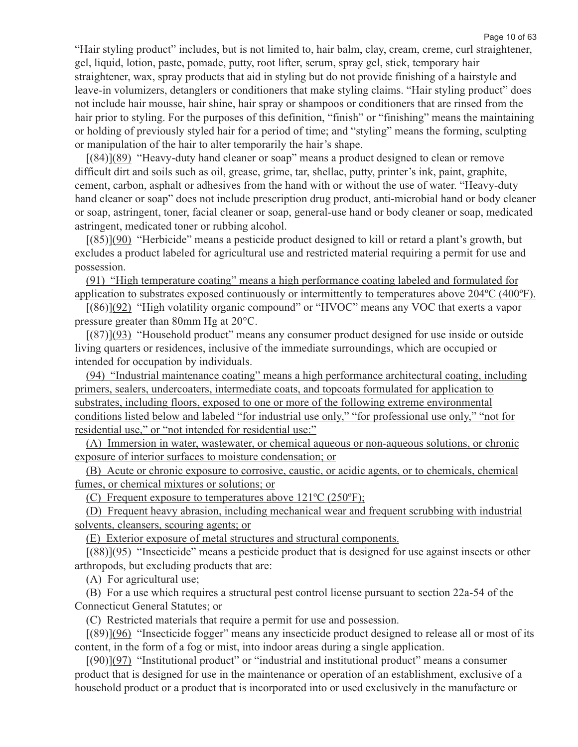"Hair styling product" includes, but is not limited to, hair balm, clay, cream, creme, curl straightener, gel, liquid, lotion, paste, pomade, putty, root lifter, serum, spray gel, stick, temporary hair straightener, wax, spray products that aid in styling but do not provide finishing of a hairstyle and leave-in volumizers, detanglers or conditioners that make styling claims. "Hair styling product" does not include hair mousse, hair shine, hair spray or shampoos or conditioners that are rinsed from the hair prior to styling. For the purposes of this definition, "finish" or "finishing" means the maintaining or holding of previously styled hair for a period of time; and "styling" means the forming, sculpting or manipulation of the hair to alter temporarily the hair's shape.

[(84)](89) "Heavy-duty hand cleaner or soap" means a product designed to clean or remove difficult dirt and soils such as oil, grease, grime, tar, shellac, putty, printer's ink, paint, graphite, cement, carbon, asphalt or adhesives from the hand with or without the use of water. "Heavy-duty hand cleaner or soap" does not include prescription drug product, anti-microbial hand or body cleaner or soap, astringent, toner, facial cleaner or soap, general-use hand or body cleaner or soap, medicated astringent, medicated toner or rubbing alcohol.

[(85)](90) "Herbicide" means a pesticide product designed to kill or retard a plant's growth, but excludes a product labeled for agricultural use and restricted material requiring a permit for use and possession.

(91) "High temperature coating" means a high performance coating labeled and formulated for application to substrates exposed continuously or intermittently to temperatures above 204ºC (400ºF).

[(86)](92) "High volatility organic compound" or "HVOC" means any VOC that exerts a vapor pressure greater than 80mm Hg at 20°C.

[(87)](93) "Household product" means any consumer product designed for use inside or outside living quarters or residences, inclusive of the immediate surroundings, which are occupied or intended for occupation by individuals.

(94) "Industrial maintenance coating" means a high performance architectural coating, including primers, sealers, undercoaters, intermediate coats, and topcoats formulated for application to substrates, including floors, exposed to one or more of the following extreme environmental conditions listed below and labeled "for industrial use only," "for professional use only," "not for residential use," or "not intended for residential use:"

(A) Immersion in water, wastewater, or chemical aqueous or non-aqueous solutions, or chronic exposure of interior surfaces to moisture condensation; or

(B) Acute or chronic exposure to corrosive, caustic, or acidic agents, or to chemicals, chemical fumes, or chemical mixtures or solutions; or

(C) Frequent exposure to temperatures above 121ºC (250ºF);

(D) Frequent heavy abrasion, including mechanical wear and frequent scrubbing with industrial solvents, cleansers, scouring agents; or

(E) Exterior exposure of metal structures and structural components.

[(88)](95) "Insecticide" means a pesticide product that is designed for use against insects or other arthropods, but excluding products that are:

(A) For agricultural use;

(B) For a use which requires a structural pest control license pursuant to section 22a-54 of the Connecticut General Statutes; or

(C) Restricted materials that require a permit for use and possession.

[(89)](96) "Insecticide fogger" means any insecticide product designed to release all or most of its content, in the form of a fog or mist, into indoor areas during a single application.

[(90)](97) "Institutional product" or "industrial and institutional product" means a consumer product that is designed for use in the maintenance or operation of an establishment, exclusive of a household product or a product that is incorporated into or used exclusively in the manufacture or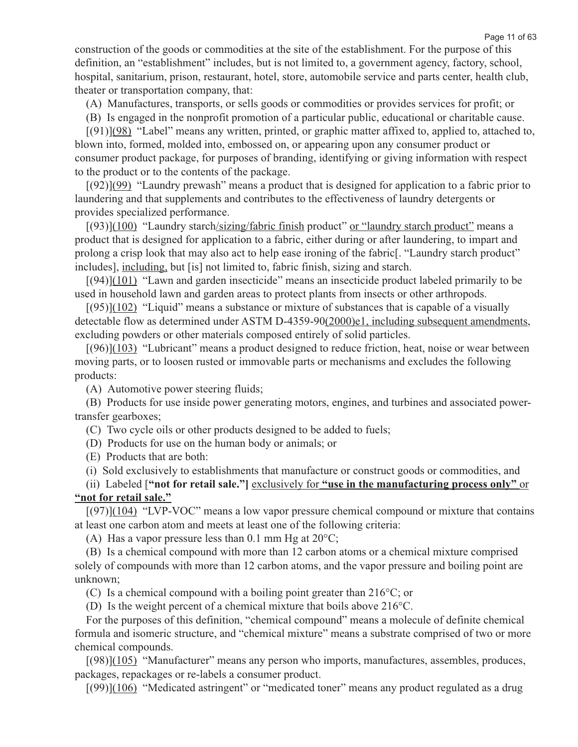construction of the goods or commodities at the site of the establishment. For the purpose of this definition, an "establishment" includes, but is not limited to, a government agency, factory, school, hospital, sanitarium, prison, restaurant, hotel, store, automobile service and parts center, health club, theater or transportation company, that:

(A) Manufactures, transports, or sells goods or commodities or provides services for profit; or

(B) Is engaged in the nonprofit promotion of a particular public, educational or charitable cause.

[(91)](98) "Label" means any written, printed, or graphic matter affixed to, applied to, attached to, blown into, formed, molded into, embossed on, or appearing upon any consumer product or consumer product package, for purposes of branding, identifying or giving information with respect to the product or to the contents of the package.

 $[(92)](99)$  "Laundry prewash" means a product that is designed for application to a fabric prior to laundering and that supplements and contributes to the effectiveness of laundry detergents or provides specialized performance.

[(93)](100) "Laundry starch/sizing/fabric finish product" or "laundry starch product" means a product that is designed for application to a fabric, either during or after laundering, to impart and prolong a crisp look that may also act to help ease ironing of the fabric[. "Laundry starch product" includes], including, but [is] not limited to, fabric finish, sizing and starch.

[(94)](101) "Lawn and garden insecticide" means an insecticide product labeled primarily to be used in household lawn and garden areas to protect plants from insects or other arthropods.

 $[(95)](102)$  "Liquid" means a substance or mixture of substances that is capable of a visually detectable flow as determined under ASTM D-4359-90(2000)e1, including subsequent amendments, excluding powders or other materials composed entirely of solid particles.

[(96)](103) "Lubricant" means a product designed to reduce friction, heat, noise or wear between moving parts, or to loosen rusted or immovable parts or mechanisms and excludes the following products:

(A) Automotive power steering fluids;

(B) Products for use inside power generating motors, engines, and turbines and associated powertransfer gearboxes;

(C) Two cycle oils or other products designed to be added to fuels;

(D) Products for use on the human body or animals; or

(E) Products that are both:

(i) Sold exclusively to establishments that manufacture or construct goods or commodities, and

(ii) Labeled [**"not for retail sale."]** exclusively for **"use in the manufacturing process only"** or **"not for retail sale."**

 $[(97)]$ (104) "LVP-VOC" means a low vapor pressure chemical compound or mixture that contains at least one carbon atom and meets at least one of the following criteria:

(A) Has a vapor pressure less than 0.1 mm Hg at  $20^{\circ}$ C;

(B) Is a chemical compound with more than 12 carbon atoms or a chemical mixture comprised solely of compounds with more than 12 carbon atoms, and the vapor pressure and boiling point are unknown;

(C) Is a chemical compound with a boiling point greater than 216°C; or

(D) Is the weight percent of a chemical mixture that boils above 216°C.

For the purposes of this definition, "chemical compound" means a molecule of definite chemical formula and isomeric structure, and "chemical mixture" means a substrate comprised of two or more chemical compounds.

[(98)](105) "Manufacturer" means any person who imports, manufactures, assembles, produces, packages, repackages or re-labels a consumer product.

 $[(99)](106)$  "Medicated astringent" or "medicated toner" means any product regulated as a drug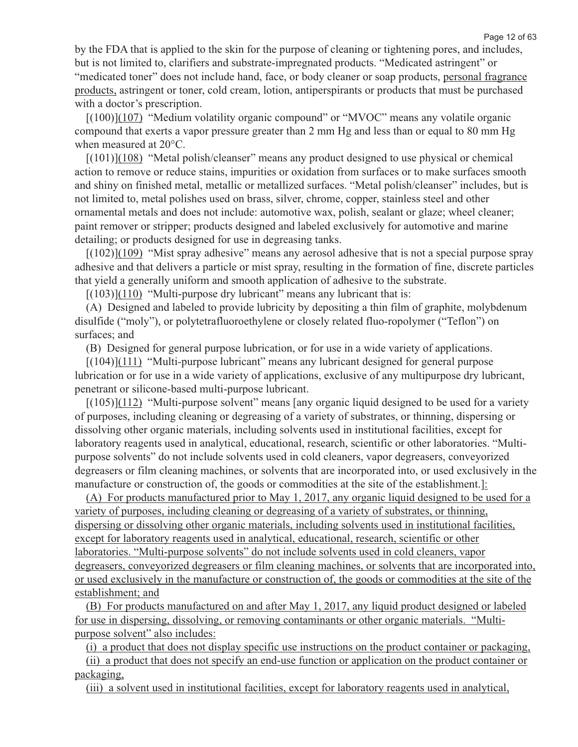by the FDA that is applied to the skin for the purpose of cleaning or tightening pores, and includes, but is not limited to, clarifiers and substrate-impregnated products. "Medicated astringent" or "medicated toner" does not include hand, face, or body cleaner or soap products, personal fragrance products, astringent or toner, cold cream, lotion, antiperspirants or products that must be purchased with a doctor's prescription.

[(100)](107) "Medium volatility organic compound" or "MVOC" means any volatile organic compound that exerts a vapor pressure greater than 2 mm Hg and less than or equal to 80 mm Hg when measured at 20°C.

[(101)](108) "Metal polish/cleanser" means any product designed to use physical or chemical action to remove or reduce stains, impurities or oxidation from surfaces or to make surfaces smooth and shiny on finished metal, metallic or metallized surfaces. "Metal polish/cleanser" includes, but is not limited to, metal polishes used on brass, silver, chrome, copper, stainless steel and other ornamental metals and does not include: automotive wax, polish, sealant or glaze; wheel cleaner; paint remover or stripper; products designed and labeled exclusively for automotive and marine detailing; or products designed for use in degreasing tanks.

 $[(102)](109)$  "Mist spray adhesive" means any aerosol adhesive that is not a special purpose spray adhesive and that delivers a particle or mist spray, resulting in the formation of fine, discrete particles that yield a generally uniform and smooth application of adhesive to the substrate.

 $[(103)](110)$  "Multi-purpose dry lubricant" means any lubricant that is:

(A) Designed and labeled to provide lubricity by depositing a thin film of graphite, molybdenum disulfide ("moly"), or polytetrafluoroethylene or closely related fluo-ropolymer ("Teflon") on surfaces; and

(B) Designed for general purpose lubrication, or for use in a wide variety of applications.

[(104)](111) "Multi*-*purpose lubricant" means any lubricant designed for general purpose lubrication or for use in a wide variety of applications, exclusive of any multipurpose dry lubricant, penetrant or silicone-based multi-purpose lubricant.

[(105)](112) "Multi-purpose solvent" means [any organic liquid designed to be used for a variety of purposes, including cleaning or degreasing of a variety of substrates, or thinning, dispersing or dissolving other organic materials, including solvents used in institutional facilities, except for laboratory reagents used in analytical, educational, research, scientific or other laboratories. "Multipurpose solvents" do not include solvents used in cold cleaners, vapor degreasers, conveyorized degreasers or film cleaning machines, or solvents that are incorporated into, or used exclusively in the manufacture or construction of, the goods or commodities at the site of the establishment.]:

(A) For products manufactured prior to May 1, 2017, any organic liquid designed to be used for a variety of purposes, including cleaning or degreasing of a variety of substrates, or thinning, dispersing or dissolving other organic materials, including solvents used in institutional facilities, except for laboratory reagents used in analytical, educational, research, scientific or other laboratories. "Multi-purpose solvents" do not include solvents used in cold cleaners, vapor degreasers, conveyorized degreasers or film cleaning machines, or solvents that are incorporated into, or used exclusively in the manufacture or construction of, the goods or commodities at the site of the establishment; and

(B) For products manufactured on and after May 1, 2017, any liquid product designed or labeled for use in dispersing, dissolving, or removing contaminants or other organic materials. "Multipurpose solvent" also includes:

(i) a product that does not display specific use instructions on the product container or packaging,

(ii) a product that does not specify an end-use function or application on the product container or packaging,

(iii) a solvent used in institutional facilities, except for laboratory reagents used in analytical,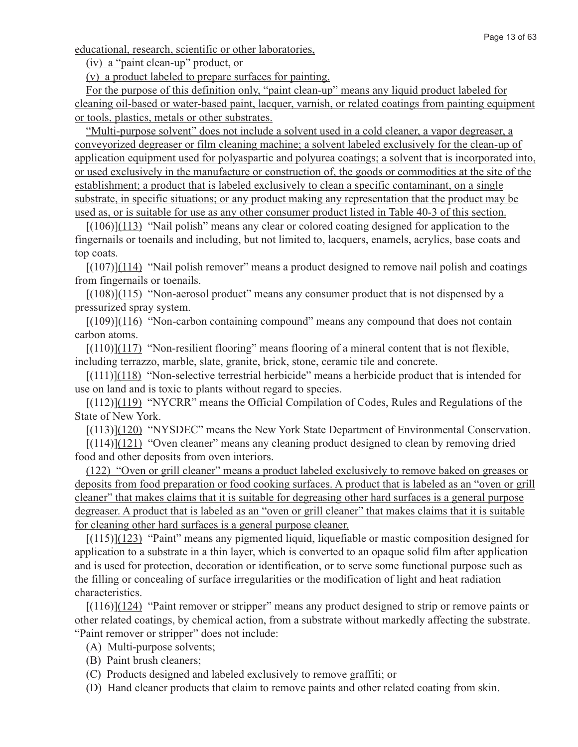educational, research, scientific or other laboratories,

(iv) a "paint clean-up" product, or

(v) a product labeled to prepare surfaces for painting.

For the purpose of this definition only, "paint clean-up" means any liquid product labeled for cleaning oil-based or water-based paint, lacquer, varnish, or related coatings from painting equipment or tools, plastics, metals or other substrates.

"Multi-purpose solvent" does not include a solvent used in a cold cleaner, a vapor degreaser, a conveyorized degreaser or film cleaning machine; a solvent labeled exclusively for the clean-up of application equipment used for polyaspartic and polyurea coatings; a solvent that is incorporated into, or used exclusively in the manufacture or construction of, the goods or commodities at the site of the establishment; a product that is labeled exclusively to clean a specific contaminant, on a single substrate, in specific situations; or any product making any representation that the product may be used as, or is suitable for use as any other consumer product listed in Table 40-3 of this section.

[(106)](113) "Nail polish" means any clear or colored coating designed for application to the fingernails or toenails and including, but not limited to, lacquers, enamels, acrylics, base coats and top coats.

 $[(107)](114)$  "Nail polish remover" means a product designed to remove nail polish and coatings from fingernails or toenails.

 $[(108)](115)$  "Non-aerosol product" means any consumer product that is not dispensed by a pressurized spray system.

 $[(109)](116)$  "Non-carbon containing compound" means any compound that does not contain carbon atoms.

 $[(110)](117)$  "Non-resilient flooring" means flooring of a mineral content that is not flexible, including terrazzo, marble, slate, granite, brick, stone, ceramic tile and concrete.

 $[(111)](118)$  "Non-selective terrestrial herbicide" means a herbicide product that is intended for use on land and is toxic to plants without regard to species.

[(112)](119) "NYCRR" means the Official Compilation of Codes, Rules and Regulations of the State of New York.

[(113)](120) "NYSDEC" means the New York State Department of Environmental Conservation.

[(114)](121) "Oven cleaner" means any cleaning product designed to clean by removing dried food and other deposits from oven interiors.

(122) "Oven or grill cleaner" means a product labeled exclusively to remove baked on greases or deposits from food preparation or food cooking surfaces. A product that is labeled as an "oven or grill cleaner" that makes claims that it is suitable for degreasing other hard surfaces is a general purpose degreaser. A product that is labeled as an "oven or grill cleaner" that makes claims that it is suitable for cleaning other hard surfaces is a general purpose cleaner.

[(115)](123) "Paint" means any pigmented liquid, liquefiable or mastic composition designed for application to a substrate in a thin layer, which is converted to an opaque solid film after application and is used for protection, decoration or identification, or to serve some functional purpose such as the filling or concealing of surface irregularities or the modification of light and heat radiation characteristics.

 $[(116)](124)$  "Paint remover or stripper" means any product designed to strip or remove paints or other related coatings, by chemical action, from a substrate without markedly affecting the substrate. "Paint remover or stripper" does not include:

- (A) Multi-purpose solvents;
- (B) Paint brush cleaners;
- (C) Products designed and labeled exclusively to remove graffiti; or
- (D) Hand cleaner products that claim to remove paints and other related coating from skin.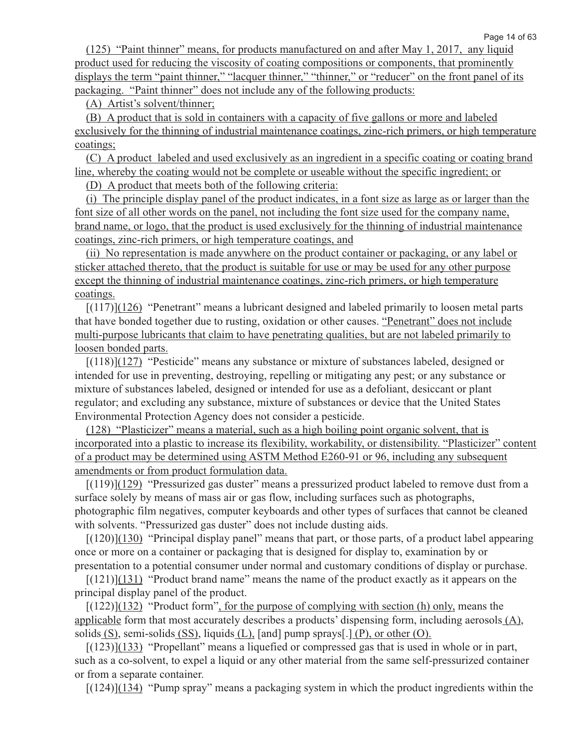Page 14 of 63

(125) "Paint thinner" means, for products manufactured on and after May 1, 2017, any liquid product used for reducing the viscosity of coating compositions or components, that prominently displays the term "paint thinner," "lacquer thinner," "thinner," or "reducer" on the front panel of its packaging. "Paint thinner" does not include any of the following products:

(A) Artist's solvent/thinner;

(B) A product that is sold in containers with a capacity of five gallons or more and labeled exclusively for the thinning of industrial maintenance coatings, zinc-rich primers, or high temperature coatings;

(C) A product labeled and used exclusively as an ingredient in a specific coating or coating brand line, whereby the coating would not be complete or useable without the specific ingredient; or

(D) A product that meets both of the following criteria:

(i) The principle display panel of the product indicates, in a font size as large as or larger than the font size of all other words on the panel, not including the font size used for the company name, brand name, or logo, that the product is used exclusively for the thinning of industrial maintenance coatings, zinc-rich primers, or high temperature coatings, and

(ii) No representation is made anywhere on the product container or packaging, or any label or sticker attached thereto, that the product is suitable for use or may be used for any other purpose except the thinning of industrial maintenance coatings, zinc-rich primers, or high temperature coatings.

[(117)](126) "Penetrant" means a lubricant designed and labeled primarily to loosen metal parts that have bonded together due to rusting, oxidation or other causes. "Penetrant" does not include multi-purpose lubricants that claim to have penetrating qualities, but are not labeled primarily to loosen bonded parts.

[(118)](127) "Pesticide" means any substance or mixture of substances labeled, designed or intended for use in preventing, destroying, repelling or mitigating any pest; or any substance or mixture of substances labeled, designed or intended for use as a defoliant, desiccant or plant regulator; and excluding any substance, mixture of substances or device that the United States Environmental Protection Agency does not consider a pesticide.

(128) "Plasticizer" means a material, such as a high boiling point organic solvent, that is incorporated into a plastic to increase its flexibility, workability, or distensibility. "Plasticizer" content of a product may be determined using ASTM Method E260-91 or 96, including any subsequent amendments or from product formulation data.

[(119)](129) "Pressurized gas duster" means a pressurized product labeled to remove dust from a surface solely by means of mass air or gas flow, including surfaces such as photographs, photographic film negatives, computer keyboards and other types of surfaces that cannot be cleaned with solvents. "Pressurized gas duster" does not include dusting aids.

 $[(120)](130)$  "Principal display panel" means that part, or those parts, of a product label appearing once or more on a container or packaging that is designed for display to, examination by or presentation to a potential consumer under normal and customary conditions of display or purchase.

 $[(121)](131)$  "Product brand name" means the name of the product exactly as it appears on the principal display panel of the product.

 $[(122)](132)$  "Product form", for the purpose of complying with section (h) only, means the applicable form that most accurately describes a products' dispensing form, including aerosols (A), solids (S), semi-solids (SS), liquids (L), [and] pump sprays[.] (P), or other (O).

 $[(123)](133)$  "Propellant" means a liquefied or compressed gas that is used in whole or in part, such as a co-solvent, to expel a liquid or any other material from the same self-pressurized container or from a separate container.

[(124)](134) "Pump spray" means a packaging system in which the product ingredients within the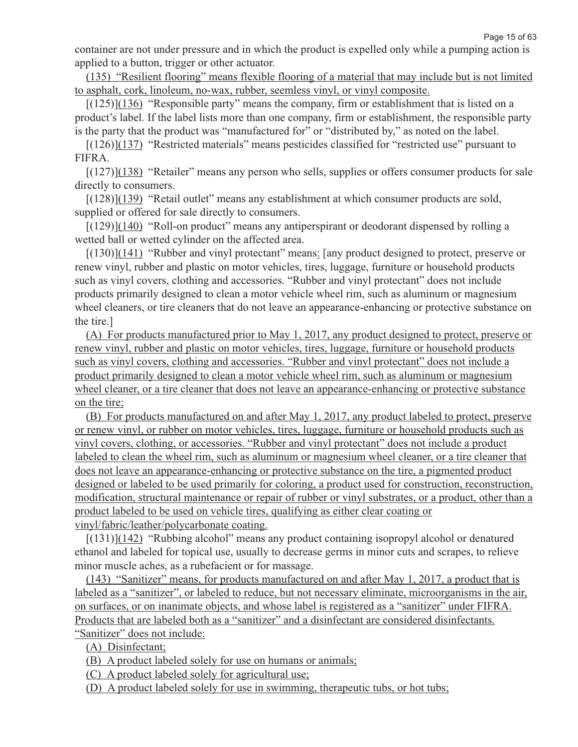container are not under pressure and in which the product is expelled only while a pumping action is applied to a button, trigger or other actuator.

(135) "Resilient flooring" means flexible flooring of a material that may include but is not limited to asphalt, cork, linoleum, no-wax, rubber, seemless vinyl, or vinyl composite.

 $[(125)](136)$  "Responsible party" means the company, firm or establishment that is listed on a product's label. If the label lists more than one company, firm or establishment, the responsible party is the party that the product was "manufactured for" or "distributed by," as noted on the label.

[(126)](137) "Restricted materials" means pesticides classified for "restricted use" pursuant to FIFRA.

[(127)](138) "Retailer" means any person who sells, supplies or offers consumer products for sale directly to consumers.

[(128)](139) "Retail outlet" means any establishment at which consumer products are sold, supplied or offered for sale directly to consumers.

[(129)](140) "Roll-on product" means any antiperspirant or deodorant dispensed by rolling a wetted ball or wetted cylinder on the affected area.

 $[(130)](141)$  "Rubber and vinyl protectant" means: [any product designed to protect, preserve or renew vinyl, rubber and plastic on motor vehicles, tires, luggage, furniture or household products such as vinyl covers, clothing and accessories. "Rubber and vinyl protectant" does not include products primarily designed to clean a motor vehicle wheel rim, such as aluminum or magnesium wheel cleaners, or tire cleaners that do not leave an appearance-enhancing or protective substance on the tire.]

(A) For products manufactured prior to May 1, 2017, any product designed to protect, preserve or renew vinyl, rubber and plastic on motor vehicles, tires, luggage, furniture or household products such as vinyl covers, clothing and accessories. "Rubber and vinyl protectant" does not include a product primarily designed to clean a motor vehicle wheel rim, such as aluminum or magnesium wheel cleaner, or a tire cleaner that does not leave an appearance-enhancing or protective substance on the tire;

(B) For products manufactured on and after May 1, 2017, any product labeled to protect, preserve or renew vinyl, or rubber on motor vehicles, tires, luggage, furniture or household products such as vinyl covers, clothing, or accessories. "Rubber and vinyl protectant" does not include a product labeled to clean the wheel rim, such as aluminum or magnesium wheel cleaner, or a tire cleaner that does not leave an appearance-enhancing or protective substance on the tire, a pigmented product designed or labeled to be used primarily for coloring, a product used for construction, reconstruction, modification, structural maintenance or repair of rubber or vinyl substrates, or a product, other than a product labeled to be used on vehicle tires, qualifying as either clear coating or vinyl/fabric/leather/polycarbonate coating.

[(131)](142) "Rubbing alcohol" means any product containing isopropyl alcohol or denatured ethanol and labeled for topical use, usually to decrease germs in minor cuts and scrapes, to relieve minor muscle aches, as a rubefacient or for massage.

(143) "Sanitizer" means, for products manufactured on and after May 1, 2017, a product that is labeled as a "sanitizer", or labeled to reduce, but not necessary eliminate, microorganisms in the air, on surfaces, or on inanimate objects, and whose label is registered as a "sanitizer" under FIFRA. Products that are labeled both as a "sanitizer" and a disinfectant are considered disinfectants. "Sanitizer" does not include:

(A) Disinfectant;

(B) A product labeled solely for use on humans or animals;

(C) A product labeled solely for agricultural use;

(D) A product labeled solely for use in swimming, therapeutic tubs, or hot tubs;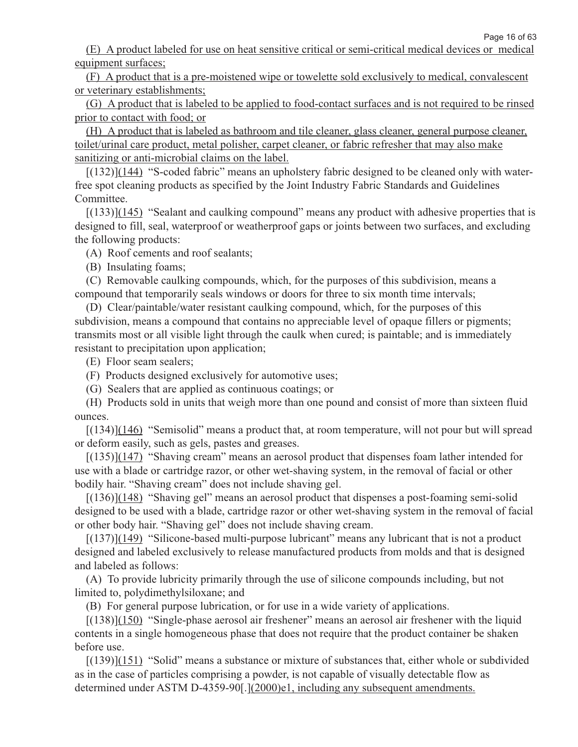(E) A product labeled for use on heat sensitive critical or semi-critical medical devices or medical equipment surfaces;

(F) A product that is a pre-moistened wipe or towelette sold exclusively to medical, convalescent or veterinary establishments;

(G) A product that is labeled to be applied to food-contact surfaces and is not required to be rinsed prior to contact with food; or

(H) A product that is labeled as bathroom and tile cleaner, glass cleaner, general purpose cleaner, toilet/urinal care product, metal polisher, carpet cleaner, or fabric refresher that may also make sanitizing or anti-microbial claims on the label.

[(132)](144) "S-coded fabric" means an upholstery fabric designed to be cleaned only with waterfree spot cleaning products as specified by the Joint Industry Fabric Standards and Guidelines Committee.

 $[(133)](145)$  "Sealant and caulking compound" means any product with adhesive properties that is designed to fill, seal, waterproof or weatherproof gaps or joints between two surfaces, and excluding the following products:

(A) Roof cements and roof sealants;

(B) Insulating foams;

(C) Removable caulking compounds, which, for the purposes of this subdivision, means a compound that temporarily seals windows or doors for three to six month time intervals;

(D) Clear/paintable/water resistant caulking compound, which, for the purposes of this subdivision, means a compound that contains no appreciable level of opaque fillers or pigments; transmits most or all visible light through the caulk when cured; is paintable; and is immediately resistant to precipitation upon application;

(E) Floor seam sealers;

(F) Products designed exclusively for automotive uses;

(G) Sealers that are applied as continuous coatings; or

(H) Products sold in units that weigh more than one pound and consist of more than sixteen fluid ounces.

 $[(134)](146)$  "Semisolid" means a product that, at room temperature, will not pour but will spread or deform easily, such as gels, pastes and greases.

 $[(135)](147)$  "Shaving cream" means an aerosol product that dispenses foam lather intended for use with a blade or cartridge razor, or other wet-shaving system, in the removal of facial or other bodily hair. "Shaving cream" does not include shaving gel.

 $[(136)](148)$  "Shaving gel" means an aerosol product that dispenses a post-foaming semi-solid designed to be used with a blade, cartridge razor or other wet-shaving system in the removal of facial or other body hair. "Shaving gel" does not include shaving cream.

 $[(137)](149)$  "Silicone-based multi-purpose lubricant" means any lubricant that is not a product designed and labeled exclusively to release manufactured products from molds and that is designed and labeled as follows:

(A) To provide lubricity primarily through the use of silicone compounds including, but not limited to, polydimethylsiloxane; and

(B) For general purpose lubrication, or for use in a wide variety of applications.

[(138)](150) "Single-phase aerosol air freshener" means an aerosol air freshener with the liquid contents in a single homogeneous phase that does not require that the product container be shaken before use.

[(139)](151) "Solid" means a substance or mixture of substances that, either whole or subdivided as in the case of particles comprising a powder, is not capable of visually detectable flow as determined under ASTM D-4359-90[.](2000)e1, including any subsequent amendments.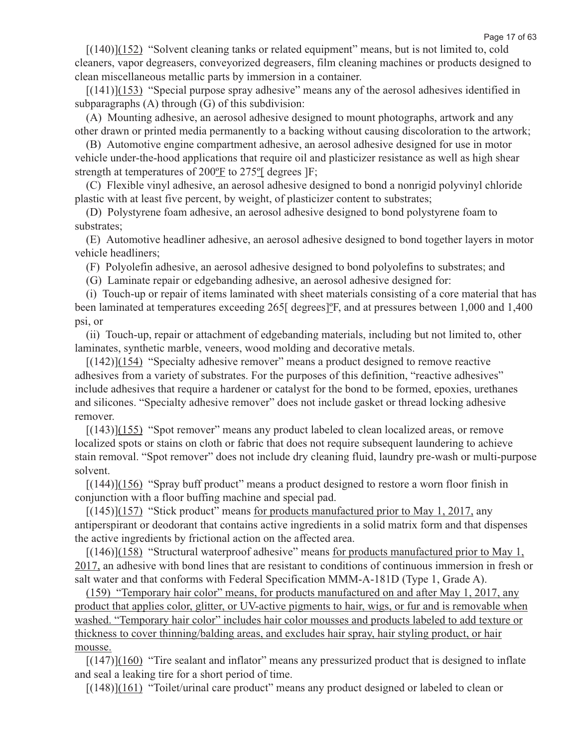$[(140)](152)$  "Solvent cleaning tanks or related equipment" means, but is not limited to, cold cleaners, vapor degreasers, conveyorized degreasers, film cleaning machines or products designed to clean miscellaneous metallic parts by immersion in a container.

[(141)](153) "Special purpose spray adhesive" means any of the aerosol adhesives identified in subparagraphs (A) through (G) of this subdivision:

(A) Mounting adhesive, an aerosol adhesive designed to mount photographs, artwork and any other drawn or printed media permanently to a backing without causing discoloration to the artwork;

(B) Automotive engine compartment adhesive, an aerosol adhesive designed for use in motor vehicle under-the-hood applications that require oil and plasticizer resistance as well as high shear strength at temperatures of 200°F to 275°[ degrees [F;

(C) Flexible vinyl adhesive, an aerosol adhesive designed to bond a nonrigid polyvinyl chloride plastic with at least five percent, by weight, of plasticizer content to substrates;

(D) Polystyrene foam adhesive, an aerosol adhesive designed to bond polystyrene foam to substrates;

(E) Automotive headliner adhesive, an aerosol adhesive designed to bond together layers in motor vehicle headliners;

(F) Polyolefin adhesive, an aerosol adhesive designed to bond polyolefins to substrates; and

(G) Laminate repair or edgebanding adhesive, an aerosol adhesive designed for:

(i) Touch-up or repair of items laminated with sheet materials consisting of a core material that has been laminated at temperatures exceeding 265[ degrees]ºF, and at pressures between 1,000 and 1,400 psi, or

(ii) Touch-up, repair or attachment of edgebanding materials, including but not limited to, other laminates, synthetic marble, veneers, wood molding and decorative metals.

 $[(142)](154)$  "Specialty adhesive remover" means a product designed to remove reactive adhesives from a variety of substrates. For the purposes of this definition, "reactive adhesives" include adhesives that require a hardener or catalyst for the bond to be formed, epoxies, urethanes and silicones. "Specialty adhesive remover" does not include gasket or thread locking adhesive remover.

 $[(143)](155)$  "Spot remover" means any product labeled to clean localized areas, or remove localized spots or stains on cloth or fabric that does not require subsequent laundering to achieve stain removal. "Spot remover" does not include dry cleaning fluid, laundry pre-wash or multi-purpose solvent.

[(144)](156) "Spray buff product" means a product designed to restore a worn floor finish in conjunction with a floor buffing machine and special pad.

 $[(145)](157)$  "Stick product" means for products manufactured prior to May 1, 2017, any antiperspirant or deodorant that contains active ingredients in a solid matrix form and that dispenses the active ingredients by frictional action on the affected area.

 $[(146)](158)$  "Structural waterproof adhesive" means for products manufactured prior to May 1, 2017, an adhesive with bond lines that are resistant to conditions of continuous immersion in fresh or salt water and that conforms with Federal Specification MMM-A-181D (Type 1, Grade A).

(159) "Temporary hair color" means, for products manufactured on and after May 1, 2017, any product that applies color, glitter, or UV-active pigments to hair, wigs, or fur and is removable when washed. "Temporary hair color" includes hair color mousses and products labeled to add texture or thickness to cover thinning/balding areas, and excludes hair spray, hair styling product, or hair mousse.

 $[(147)](160)$  "Tire sealant and inflator" means any pressurized product that is designed to inflate and seal a leaking tire for a short period of time.

[(148)](161) "Toilet/urinal care product" means any product designed or labeled to clean or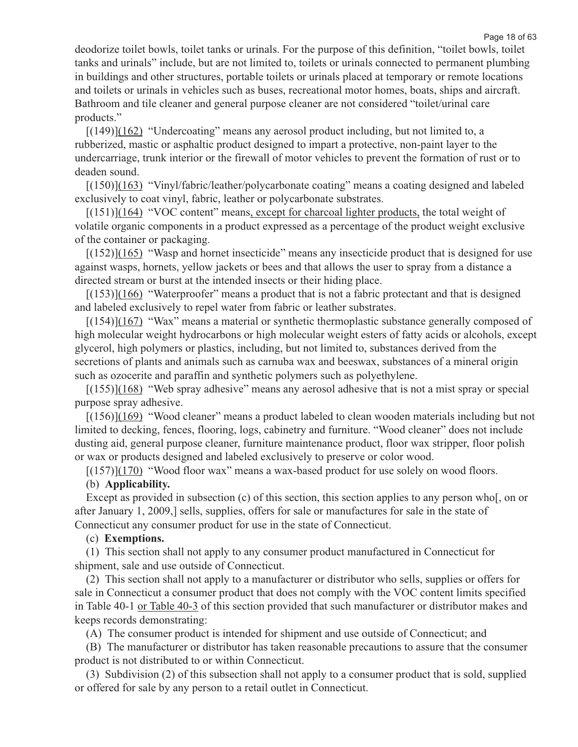deodorize toilet bowls, toilet tanks or urinals. For the purpose of this definition, "toilet bowls, toilet tanks and urinals" include, but are not limited to, toilets or urinals connected to permanent plumbing in buildings and other structures, portable toilets or urinals placed at temporary or remote locations and toilets or urinals in vehicles such as buses, recreational motor homes, boats, ships and aircraft. Bathroom and tile cleaner and general purpose cleaner are not considered "toilet/urinal care products."

[(149)](162) "Undercoating" means any aerosol product including, but not limited to, a rubberized, mastic or asphaltic product designed to impart a protective, non-paint layer to the undercarriage, trunk interior or the firewall of motor vehicles to prevent the formation of rust or to deaden sound.

[(150)](163) "Vinyl/fabric/leather/polycarbonate coating" means a coating designed and labeled exclusively to coat vinyl, fabric, leather or polycarbonate substrates.

[(151)](164) "VOC content" means, except for charcoal lighter products, the total weight of volatile organic components in a product expressed as a percentage of the product weight exclusive of the container or packaging.

 $[(152)](165)$  "Wasp and hornet insecticide" means any insecticide product that is designed for use against wasps, hornets, yellow jackets or bees and that allows the user to spray from a distance a directed stream or burst at the intended insects or their hiding place.

 $[(153)](166)$  "Waterproofer" means a product that is not a fabric protectant and that is designed and labeled exclusively to repel water from fabric or leather substrates.

 $[(154)](167)$  "Wax" means a material or synthetic thermoplastic substance generally composed of high molecular weight hydrocarbons or high molecular weight esters of fatty acids or alcohols, except glycerol, high polymers or plastics, including, but not limited to, substances derived from the secretions of plants and animals such as carnuba wax and beeswax, substances of a mineral origin such as ozocerite and paraffin and synthetic polymers such as polyethylene.

 $[(155)](168)$  "Web spray adhesive" means any aerosol adhesive that is not a mist spray or special purpose spray adhesive.

[(156)](169) "Wood cleaner" means a product labeled to clean wooden materials including but not limited to decking, fences, flooring, logs, cabinetry and furniture. "Wood cleaner" does not include dusting aid, general purpose cleaner, furniture maintenance product, floor wax stripper, floor polish or wax or products designed and labeled exclusively to preserve or color wood.

 $[(157)](170)$  "Wood floor wax" means a wax-based product for use solely on wood floors.

## (b) **Applicability.**

Except as provided in subsection (c) of this section, this section applies to any person who[, on or after January 1, 2009,] sells, supplies, offers for sale or manufactures for sale in the state of Connecticut any consumer product for use in the state of Connecticut.

## (c) **Exemptions.**

(1) This section shall not apply to any consumer product manufactured in Connecticut for shipment, sale and use outside of Connecticut.

(2) This section shall not apply to a manufacturer or distributor who sells, supplies or offers for sale in Connecticut a consumer product that does not comply with the VOC content limits specified in Table 40-1 or Table 40-3 of this section provided that such manufacturer or distributor makes and keeps records demonstrating:

(A) The consumer product is intended for shipment and use outside of Connecticut; and

(B) The manufacturer or distributor has taken reasonable precautions to assure that the consumer product is not distributed to or within Connecticut.

(3) Subdivision (2) of this subsection shall not apply to a consumer product that is sold, supplied or offered for sale by any person to a retail outlet in Connecticut.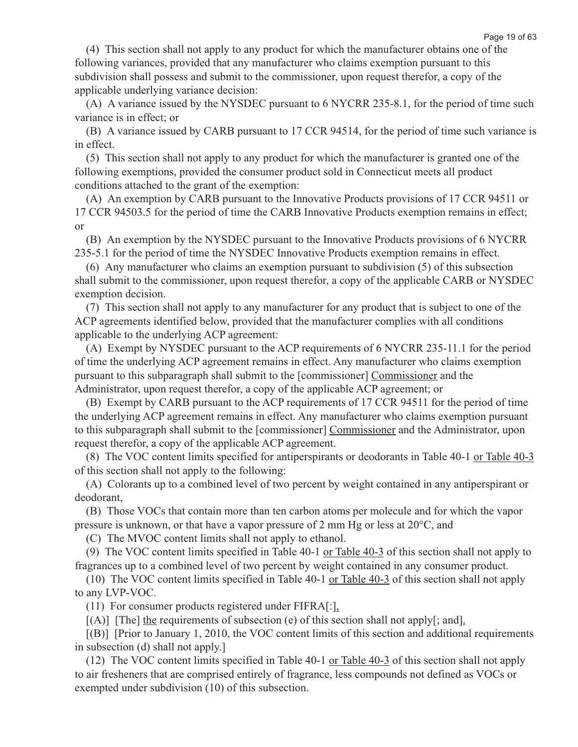(4) This section shall not apply to any product for which the manufacturer obtains one of the following variances, provided that any manufacturer who claims exemption pursuant to this subdivision shall possess and submit to the commissioner, upon request therefor, a copy of the applicable underlying variance decision:

(A) A variance issued by the NYSDEC pursuant to 6 NYCRR 235-8.1, for the period of time such variance is in effect; or

(B) A variance issued by CARB pursuant to 17 CCR 94514, for the period of time such variance is in effect.

(5) This section shall not apply to any product for which the manufacturer is granted one of the following exemptions, provided the consumer product sold in Connecticut meets all product conditions attached to the grant of the exemption:

(A) An exemption by CARB pursuant to the Innovative Products provisions of 17 CCR 94511 or 17 CCR 94503.5 for the period of time the CARB Innovative Products exemption remains in effect; or

(B) An exemption by the NYSDEC pursuant to the Innovative Products provisions of 6 NYCRR 235-5.1 for the period of time the NYSDEC Innovative Products exemption remains in effect.

(6) Any manufacturer who claims an exemption pursuant to subdivision (5) of this subsection shall submit to the commissioner, upon request therefor, a copy of the applicable CARB or NYSDEC exemption decision.

(7) This section shall not apply to any manufacturer for any product that is subject to one of the ACP agreements identified below, provided that the manufacturer complies with all conditions applicable to the underlying ACP agreement:

(A) Exempt by NYSDEC pursuant to the ACP requirements of 6 NYCRR 235-11.1 for the period of time the underlying ACP agreement remains in effect. Any manufacturer who claims exemption pursuant to this subparagraph shall submit to the [commissioner] Commissioner and the Administrator, upon request therefor, a copy of the applicable ACP agreement; or

(B) Exempt by CARB pursuant to the ACP requirements of 17 CCR 94511 for the period of time the underlying ACP agreement remains in effect. Any manufacturer who claims exemption pursuant to this subparagraph shall submit to the [commissioner] Commissioner and the Administrator, upon request therefor, a copy of the applicable ACP agreement.

(8) The VOC content limits specified for antiperspirants or deodorants in Table 40-1 or Table 40-3 of this section shall not apply to the following:

(A) Colorants up to a combined level of two percent by weight contained in any antiperspirant or deodorant,

(B) Those VOCs that contain more than ten carbon atoms per molecule and for which the vapor pressure is unknown, or that have a vapor pressure of 2 mm Hg or less at 20°C, and

(C) The MVOC content limits shall not apply to ethanol.

(9) The VOC content limits specified in Table 40-1 or Table 40-3 of this section shall not apply to fragrances up to a combined level of two percent by weight contained in any consumer product.

(10) The VOC content limits specified in Table 40-1 or Table 40-3 of this section shall not apply to any LVP-VOC.

(11) For consumer products registered under FIFRA[:],

 $[(A)]$  [The] the requirements of subsection (e) of this section shall not apply[; and].

[(B)] [Prior to January 1, 2010, the VOC content limits of this section and additional requirements in subsection (d) shall not apply.]

(12) The VOC content limits specified in Table 40-1 or Table 40-3 of this section shall not apply to air fresheners that are comprised entirely of fragrance, less compounds not defined as VOCs or exempted under subdivision (10) of this subsection.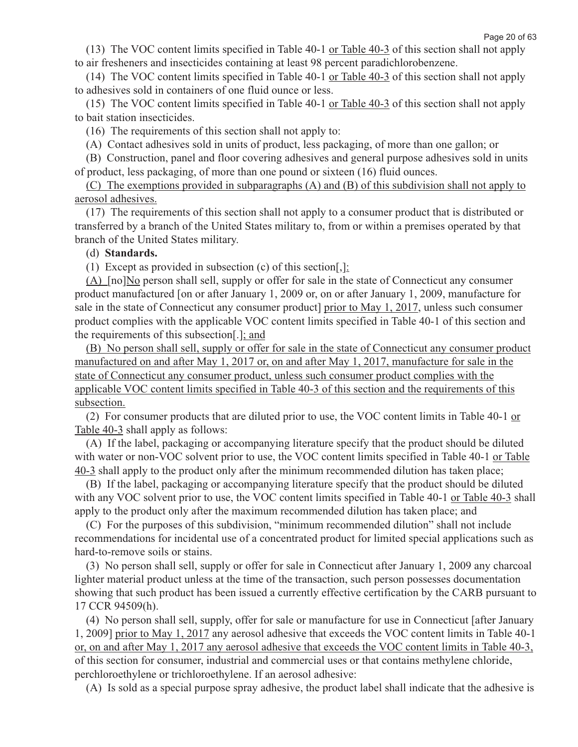(13) The VOC content limits specified in Table 40-1 or Table 40-3 of this section shall not apply to air fresheners and insecticides containing at least 98 percent paradichlorobenzene.

(14) The VOC content limits specified in Table 40-1 or Table 40-3 of this section shall not apply to adhesives sold in containers of one fluid ounce or less.

(15) The VOC content limits specified in Table 40-1 or Table 40-3 of this section shall not apply to bait station insecticides.

(16) The requirements of this section shall not apply to:

(A) Contact adhesives sold in units of product, less packaging, of more than one gallon; or

(B) Construction, panel and floor covering adhesives and general purpose adhesives sold in units of product, less packaging, of more than one pound or sixteen (16) fluid ounces.

(C) The exemptions provided in subparagraphs (A) and (B) of this subdivision shall not apply to aerosol adhesives.

(17) The requirements of this section shall not apply to a consumer product that is distributed or transferred by a branch of the United States military to, from or within a premises operated by that branch of the United States military.

#### (d) **Standards.**

(1) Except as provided in subsection (c) of this section[,]:

(A) [no]No person shall sell, supply or offer for sale in the state of Connecticut any consumer product manufactured [on or after January 1, 2009 or, on or after January 1, 2009, manufacture for sale in the state of Connecticut any consumer product] prior to May 1, 2017, unless such consumer product complies with the applicable VOC content limits specified in Table 40-1 of this section and the requirements of this subsection[.]; and

(B) No person shall sell, supply or offer for sale in the state of Connecticut any consumer product manufactured on and after May 1, 2017 or, on and after May 1, 2017, manufacture for sale in the state of Connecticut any consumer product, unless such consumer product complies with the applicable VOC content limits specified in Table 40-3 of this section and the requirements of this subsection.

(2) For consumer products that are diluted prior to use, the VOC content limits in Table 40-1 or Table 40-3 shall apply as follows:

(A) If the label, packaging or accompanying literature specify that the product should be diluted with water or non-VOC solvent prior to use, the VOC content limits specified in Table 40-1 or Table 40-3 shall apply to the product only after the minimum recommended dilution has taken place;

(B) If the label, packaging or accompanying literature specify that the product should be diluted with any VOC solvent prior to use, the VOC content limits specified in Table 40-1 or Table 40-3 shall apply to the product only after the maximum recommended dilution has taken place; and

(C) For the purposes of this subdivision, "minimum recommended dilution" shall not include recommendations for incidental use of a concentrated product for limited special applications such as hard-to-remove soils or stains.

(3) No person shall sell, supply or offer for sale in Connecticut after January 1, 2009 any charcoal lighter material product unless at the time of the transaction, such person possesses documentation showing that such product has been issued a currently effective certification by the CARB pursuant to 17 CCR 94509(h).

(4) No person shall sell, supply, offer for sale or manufacture for use in Connecticut [after January 1, 2009] prior to May 1, 2017 any aerosol adhesive that exceeds the VOC content limits in Table 40-1 or, on and after May 1, 2017 any aerosol adhesive that exceeds the VOC content limits in Table 40-3, of this section for consumer, industrial and commercial uses or that contains methylene chloride, perchloroethylene or trichloroethylene. If an aerosol adhesive:

(A) Is sold as a special purpose spray adhesive, the product label shall indicate that the adhesive is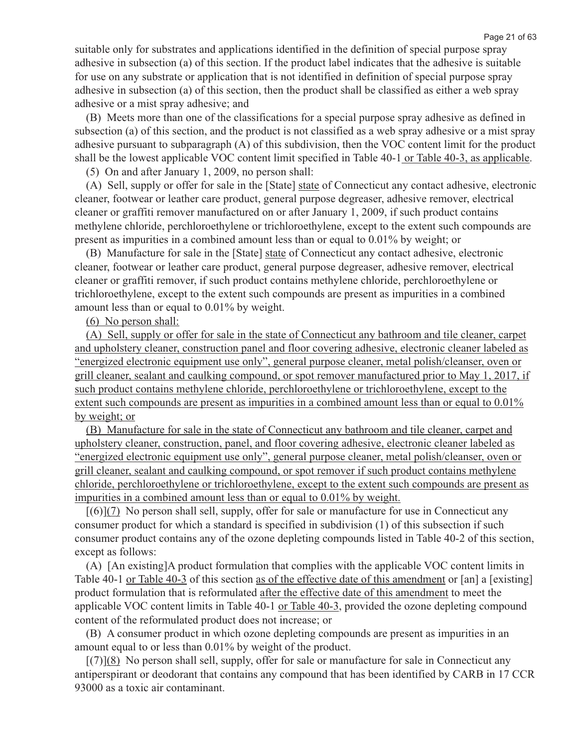suitable only for substrates and applications identified in the definition of special purpose spray adhesive in subsection (a) of this section. If the product label indicates that the adhesive is suitable for use on any substrate or application that is not identified in definition of special purpose spray adhesive in subsection (a) of this section, then the product shall be classified as either a web spray adhesive or a mist spray adhesive; and

(B) Meets more than one of the classifications for a special purpose spray adhesive as defined in subsection (a) of this section, and the product is not classified as a web spray adhesive or a mist spray adhesive pursuant to subparagraph (A) of this subdivision, then the VOC content limit for the product shall be the lowest applicable VOC content limit specified in Table 40-1 or Table 40-3, as applicable.

(5) On and after January 1, 2009, no person shall:

(A) Sell, supply or offer for sale in the [State] state of Connecticut any contact adhesive, electronic cleaner, footwear or leather care product, general purpose degreaser, adhesive remover, electrical cleaner or graffiti remover manufactured on or after January 1, 2009, if such product contains methylene chloride, perchloroethylene or trichloroethylene, except to the extent such compounds are present as impurities in a combined amount less than or equal to 0.01% by weight; or

(B) Manufacture for sale in the [State] state of Connecticut any contact adhesive, electronic cleaner, footwear or leather care product, general purpose degreaser, adhesive remover, electrical cleaner or graffiti remover, if such product contains methylene chloride, perchloroethylene or trichloroethylene, except to the extent such compounds are present as impurities in a combined amount less than or equal to 0.01% by weight.

(6) No person shall:

(A) Sell, supply or offer for sale in the state of Connecticut any bathroom and tile cleaner, carpet and upholstery cleaner, construction panel and floor covering adhesive, electronic cleaner labeled as "energized electronic equipment use only", general purpose cleaner, metal polish/cleanser, oven or grill cleaner, sealant and caulking compound, or spot remover manufactured prior to May 1, 2017, if such product contains methylene chloride, perchloroethylene or trichloroethylene, except to the extent such compounds are present as impurities in a combined amount less than or equal to  $0.01\%$ by weight; or

(B) Manufacture for sale in the state of Connecticut any bathroom and tile cleaner, carpet and upholstery cleaner, construction, panel, and floor covering adhesive, electronic cleaner labeled as "energized electronic equipment use only", general purpose cleaner, metal polish/cleanser, oven or grill cleaner, sealant and caulking compound, or spot remover if such product contains methylene chloride, perchloroethylene or trichloroethylene, except to the extent such compounds are present as impurities in a combined amount less than or equal to 0.01% by weight.

[(6)](7) No person shall sell, supply, offer for sale or manufacture for use in Connecticut any consumer product for which a standard is specified in subdivision (1) of this subsection if such consumer product contains any of the ozone depleting compounds listed in Table 40-2 of this section, except as follows:

(A) [An existing]A product formulation that complies with the applicable VOC content limits in Table 40-1 or Table 40-3 of this section as of the effective date of this amendment or [an] a [existing] product formulation that is reformulated after the effective date of this amendment to meet the applicable VOC content limits in Table 40-1 or Table 40-3, provided the ozone depleting compound content of the reformulated product does not increase; or

(B) A consumer product in which ozone depleting compounds are present as impurities in an amount equal to or less than 0.01% by weight of the product.

[(7)](8) No person shall sell, supply, offer for sale or manufacture for sale in Connecticut any antiperspirant or deodorant that contains any compound that has been identified by CARB in 17 CCR 93000 as a toxic air contaminant.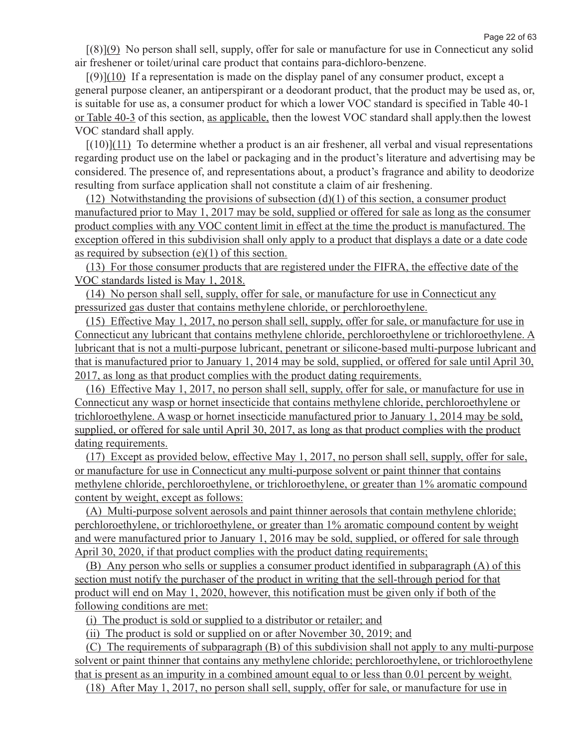[(8)](9) No person shall sell, supply, offer for sale or manufacture for use in Connecticut any solid air freshener or toilet/urinal care product that contains para-dichloro-benzene.

 $[(9)](10)$  If a representation is made on the display panel of any consumer product, except a general purpose cleaner, an antiperspirant or a deodorant product, that the product may be used as, or, is suitable for use as, a consumer product for which a lower VOC standard is specified in Table 40-1 or Table 40-3 of this section, as applicable, then the lowest VOC standard shall apply.then the lowest VOC standard shall apply.

 $[(10)](11)$  To determine whether a product is an air freshener, all verbal and visual representations regarding product use on the label or packaging and in the product's literature and advertising may be considered. The presence of, and representations about, a product's fragrance and ability to deodorize resulting from surface application shall not constitute a claim of air freshening.

(12) Notwithstanding the provisions of subsection (d)(1) of this section, a consumer product manufactured prior to May 1, 2017 may be sold, supplied or offered for sale as long as the consumer product complies with any VOC content limit in effect at the time the product is manufactured. The exception offered in this subdivision shall only apply to a product that displays a date or a date code as required by subsection  $(e)(1)$  of this section.

(13) For those consumer products that are registered under the FIFRA, the effective date of the VOC standards listed is May 1, 2018.

(14) No person shall sell, supply, offer for sale, or manufacture for use in Connecticut any pressurized gas duster that contains methylene chloride, or perchloroethylene.

(15) Effective May 1, 2017, no person shall sell, supply, offer for sale, or manufacture for use in Connecticut any lubricant that contains methylene chloride, perchloroethylene or trichloroethylene. A lubricant that is not a multi-purpose lubricant, penetrant or silicone-based multi-purpose lubricant and that is manufactured prior to January 1, 2014 may be sold, supplied, or offered for sale until April 30, 2017, as long as that product complies with the product dating requirements.

(16) Effective May 1, 2017, no person shall sell, supply, offer for sale, or manufacture for use in Connecticut any wasp or hornet insecticide that contains methylene chloride, perchloroethylene or trichloroethylene. A wasp or hornet insecticide manufactured prior to January 1, 2014 may be sold, supplied, or offered for sale until April 30, 2017, as long as that product complies with the product dating requirements.

(17) Except as provided below, effective May 1, 2017, no person shall sell, supply, offer for sale, or manufacture for use in Connecticut any multi-purpose solvent or paint thinner that contains methylene chloride, perchloroethylene, or trichloroethylene, or greater than 1% aromatic compound content by weight, except as follows:

(A) Multi-purpose solvent aerosols and paint thinner aerosols that contain methylene chloride; perchloroethylene, or trichloroethylene, or greater than 1% aromatic compound content by weight and were manufactured prior to January 1, 2016 may be sold, supplied, or offered for sale through April 30, 2020, if that product complies with the product dating requirements;

(B) Any person who sells or supplies a consumer product identified in subparagraph (A) of this section must notify the purchaser of the product in writing that the sell-through period for that product will end on May 1, 2020, however, this notification must be given only if both of the following conditions are met:

(i) The product is sold or supplied to a distributor or retailer; and

(ii) The product is sold or supplied on or after November 30, 2019; and

(C) The requirements of subparagraph (B) of this subdivision shall not apply to any multi-purpose solvent or paint thinner that contains any methylene chloride; perchloroethylene, or trichloroethylene that is present as an impurity in a combined amount equal to or less than 0.01 percent by weight.

(18) After May 1, 2017, no person shall sell, supply, offer for sale, or manufacture for use in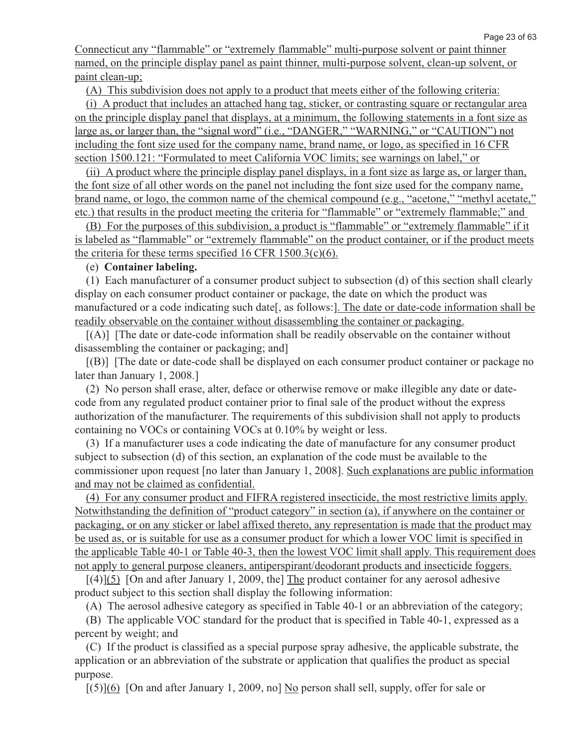Connecticut any "flammable" or "extremely flammable" multi-purpose solvent or paint thinner named, on the principle display panel as paint thinner, multi-purpose solvent, clean-up solvent, or paint clean-up;

(A) This subdivision does not apply to a product that meets either of the following criteria:

(i) A product that includes an attached hang tag, sticker, or contrasting square or rectangular area on the principle display panel that displays, at a minimum, the following statements in a font size as large as, or larger than, the "signal word" (i.e., "DANGER," "WARNING," or "CAUTION") not including the font size used for the company name, brand name, or logo, as specified in 16 CFR section 1500.121: "Formulated to meet California VOC limits; see warnings on label," or

(ii) A product where the principle display panel displays, in a font size as large as, or larger than, the font size of all other words on the panel not including the font size used for the company name, brand name, or logo, the common name of the chemical compound (e.g., "acetone," "methyl acetate," etc.) that results in the product meeting the criteria for "flammable" or "extremely flammable;" and

(B) For the purposes of this subdivision, a product is "flammable" or "extremely flammable" if it is labeled as "flammable" or "extremely flammable" on the product container, or if the product meets the criteria for these terms specified 16 CFR 1500.3(c)(6).

#### (e) **Container labeling.**

(1) Each manufacturer of a consumer product subject to subsection (d) of this section shall clearly display on each consumer product container or package, the date on which the product was manufactured or a code indicating such date[, as follows:]. The date or date-code information shall be readily observable on the container without disassembling the container or packaging.

[(A)] [The date or date-code information shall be readily observable on the container without disassembling the container or packaging; and]

[(B)] [The date or date-code shall be displayed on each consumer product container or package no later than January 1, 2008.]

(2) No person shall erase, alter, deface or otherwise remove or make illegible any date or datecode from any regulated product container prior to final sale of the product without the express authorization of the manufacturer. The requirements of this subdivision shall not apply to products containing no VOCs or containing VOCs at 0.10% by weight or less.

(3) If a manufacturer uses a code indicating the date of manufacture for any consumer product subject to subsection (d) of this section, an explanation of the code must be available to the commissioner upon request [no later than January 1, 2008]. Such explanations are public information and may not be claimed as confidential.

(4) For any consumer product and FIFRA registered insecticide, the most restrictive limits apply. Notwithstanding the definition of "product category" in section (a), if anywhere on the container or packaging, or on any sticker or label affixed thereto, any representation is made that the product may be used as, or is suitable for use as a consumer product for which a lower VOC limit is specified in the applicable Table 40-1 or Table 40-3, then the lowest VOC limit shall apply. This requirement does not apply to general purpose cleaners, antiperspirant/deodorant products and insecticide foggers.

[(4)](5) [On and after January 1, 2009, the] The product container for any aerosol adhesive product subject to this section shall display the following information:

(A) The aerosol adhesive category as specified in Table 40-1 or an abbreviation of the category;

(B) The applicable VOC standard for the product that is specified in Table 40-1, expressed as a percent by weight; and

(C) If the product is classified as a special purpose spray adhesive, the applicable substrate, the application or an abbreviation of the substrate or application that qualifies the product as special purpose.

[(5)](6) [On and after January 1, 2009, no] No person shall sell, supply, offer for sale or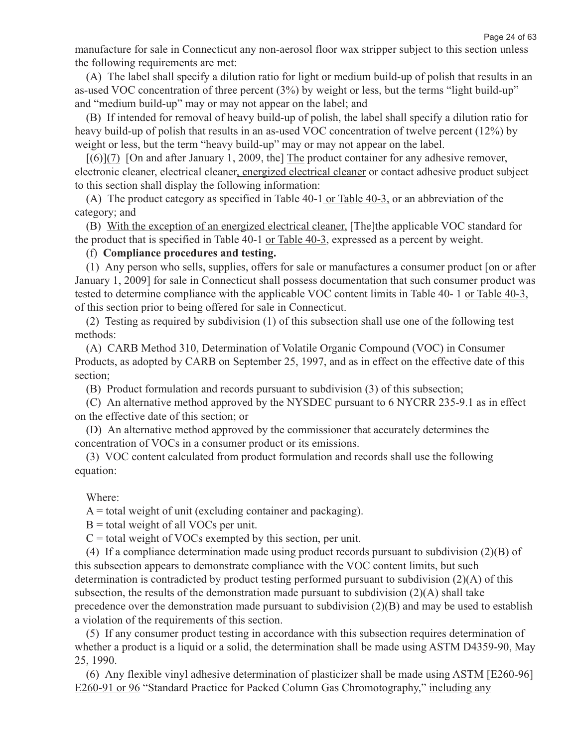manufacture for sale in Connecticut any non-aerosol floor wax stripper subject to this section unless the following requirements are met:

(A) The label shall specify a dilution ratio for light or medium build-up of polish that results in an as-used VOC concentration of three percent (3%) by weight or less, but the terms "light build-up" and "medium build-up" may or may not appear on the label; and

(B) If intended for removal of heavy build-up of polish, the label shall specify a dilution ratio for heavy build-up of polish that results in an as-used VOC concentration of twelve percent (12%) by weight or less, but the term "heavy build-up" may or may not appear on the label.

 $[(6)](7)$  [On and after January 1, 2009, the] The product container for any adhesive remover, electronic cleaner, electrical cleaner, energized electrical cleaner or contact adhesive product subject to this section shall display the following information:

(A) The product category as specified in Table 40-1 or Table 40-3, or an abbreviation of the category; and

(B) With the exception of an energized electrical cleaner, [The]the applicable VOC standard for the product that is specified in Table 40-1 or Table 40-3, expressed as a percent by weight.

#### (f) **Compliance procedures and testing.**

(1) Any person who sells, supplies, offers for sale or manufactures a consumer product [on or after January 1, 2009] for sale in Connecticut shall possess documentation that such consumer product was tested to determine compliance with the applicable VOC content limits in Table 40- 1 or Table 40-3, of this section prior to being offered for sale in Connecticut.

(2) Testing as required by subdivision (1) of this subsection shall use one of the following test methods:

(A) CARB Method 310, Determination of Volatile Organic Compound (VOC) in Consumer Products, as adopted by CARB on September 25, 1997, and as in effect on the effective date of this section;

(B) Product formulation and records pursuant to subdivision (3) of this subsection;

(C) An alternative method approved by the NYSDEC pursuant to 6 NYCRR 235-9.1 as in effect on the effective date of this section; or

(D) An alternative method approved by the commissioner that accurately determines the concentration of VOCs in a consumer product or its emissions.

(3) VOC content calculated from product formulation and records shall use the following equation:

#### Where:

 $A =$  total weight of unit (excluding container and packaging).

 $B =$  total weight of all VOCs per unit.

 $C =$  total weight of VOCs exempted by this section, per unit.

(4) If a compliance determination made using product records pursuant to subdivision (2)(B) of this subsection appears to demonstrate compliance with the VOC content limits, but such determination is contradicted by product testing performed pursuant to subdivision (2)(A) of this subsection, the results of the demonstration made pursuant to subdivision  $(2)(A)$  shall take precedence over the demonstration made pursuant to subdivision (2)(B) and may be used to establish a violation of the requirements of this section.

(5) If any consumer product testing in accordance with this subsection requires determination of whether a product is a liquid or a solid, the determination shall be made using ASTM D4359-90, May 25, 1990.

(6) Any flexible vinyl adhesive determination of plasticizer shall be made using ASTM [E260-96] E260-91 or 96 "Standard Practice for Packed Column Gas Chromotography," including any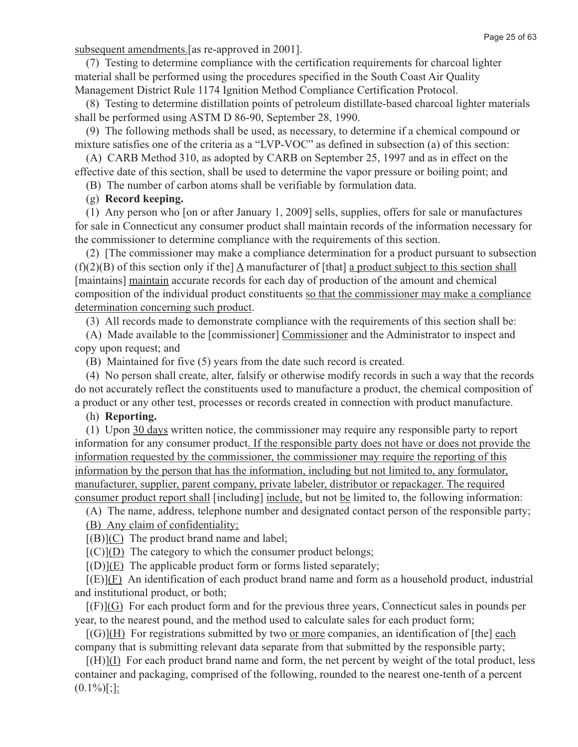subsequent amendments.[as re-approved in 2001].

(7) Testing to determine compliance with the certification requirements for charcoal lighter material shall be performed using the procedures specified in the South Coast Air Quality Management District Rule 1174 Ignition Method Compliance Certification Protocol.

(8) Testing to determine distillation points of petroleum distillate-based charcoal lighter materials shall be performed using ASTM D 86-90, September 28, 1990.

(9) The following methods shall be used, as necessary, to determine if a chemical compound or mixture satisfies one of the criteria as a "LVP-VOC" as defined in subsection (a) of this section:

(A) CARB Method 310, as adopted by CARB on September 25, 1997 and as in effect on the effective date of this section, shall be used to determine the vapor pressure or boiling point; and

(B) The number of carbon atoms shall be verifiable by formulation data.

(g) **Record keeping.**

(1) Any person who [on or after January 1, 2009] sells, supplies, offers for sale or manufactures for sale in Connecticut any consumer product shall maintain records of the information necessary for the commissioner to determine compliance with the requirements of this section.

(2) [The commissioner may make a compliance determination for a product pursuant to subsection  $(f)(2)(B)$  of this section only if the  $A$  manufacturer of [that] a product subject to this section shall [maintains] maintain accurate records for each day of production of the amount and chemical composition of the individual product constituents so that the commissioner may make a compliance determination concerning such product.

(3) All records made to demonstrate compliance with the requirements of this section shall be:

(A) Made available to the [commissioner] Commissioner and the Administrator to inspect and copy upon request; and

(B) Maintained for five (5) years from the date such record is created.

(4) No person shall create, alter, falsify or otherwise modify records in such a way that the records do not accurately reflect the constituents used to manufacture a product, the chemical composition of a product or any other test, processes or records created in connection with product manufacture.

## (h) **Reporting.**

(1) Upon 30 days written notice, the commissioner may require any responsible party to report information for any consumer product. If the responsible party does not have or does not provide the information requested by the commissioner, the commissioner may require the reporting of this information by the person that has the information, including but not limited to, any formulator, manufacturer, supplier, parent company, private labeler, distributor or repackager. The required consumer product report shall [including] include, but not be limited to, the following information:

(A) The name, address, telephone number and designated contact person of the responsible party;

(B) Any claim of confidentiality;

 $[(B)](C)$  The product brand name and label;

 $[(C)](D)$  The category to which the consumer product belongs;

 $[(D)](E)$  The applicable product form or forms listed separately;

 $[(E)](F)$  An identification of each product brand name and form as a household product, industrial and institutional product, or both;

 $[(F)]$ (G) For each product form and for the previous three years, Connecticut sales in pounds per year, to the nearest pound, and the method used to calculate sales for each product form;

 $[(G)](H)$  For registrations submitted by two or more companies, an identification of [the] each company that is submitting relevant data separate from that submitted by the responsible party;

[(H)](I) For each product brand name and form, the net percent by weight of the total product, less container and packaging, comprised of the following, rounded to the nearest one-tenth of a percent  $(0.1\%)$ [;]: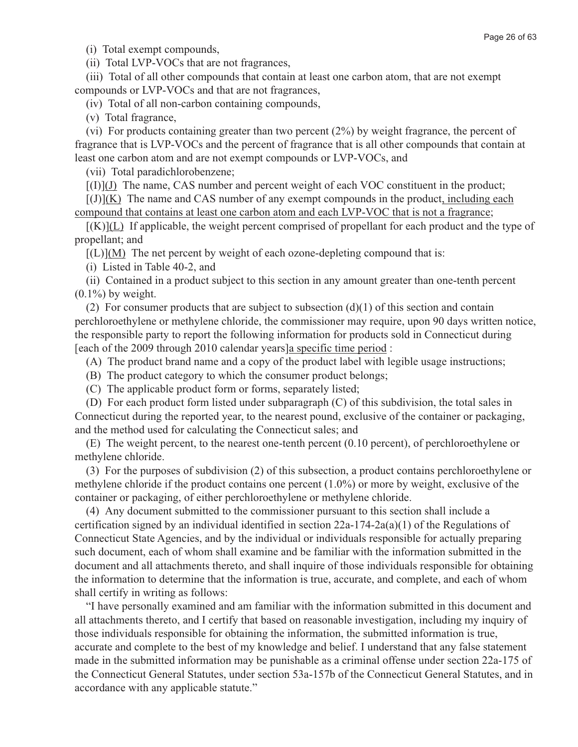(i) Total exempt compounds,

(ii) Total LVP-VOCs that are not fragrances,

(iii) Total of all other compounds that contain at least one carbon atom, that are not exempt compounds or LVP-VOCs and that are not fragrances,

(iv) Total of all non-carbon containing compounds,

(v) Total fragrance,

(vi) For products containing greater than two percent (2%) by weight fragrance, the percent of fragrance that is LVP-VOCs and the percent of fragrance that is all other compounds that contain at least one carbon atom and are not exempt compounds or LVP-VOCs, and

(vii) Total paradichlorobenzene;

 $[(1)]$ (J) The name, CAS number and percent weight of each VOC constituent in the product;

 $[(J)](K)$  The name and CAS number of any exempt compounds in the product, including each compound that contains at least one carbon atom and each LVP-VOC that is not a fragrance;

[(K)](L) If applicable, the weight percent comprised of propellant for each product and the type of propellant; and

 $[(L)](M)$  The net percent by weight of each ozone-depleting compound that is:

(i) Listed in Table 40-2, and

(ii) Contained in a product subject to this section in any amount greater than one-tenth percent  $(0.1\%)$  by weight.

(2) For consumer products that are subject to subsection  $(d)(1)$  of this section and contain perchloroethylene or methylene chloride, the commissioner may require, upon 90 days written notice, the responsible party to report the following information for products sold in Connecticut during [each of the 2009 through 2010 calendar years]a specific time period :

(A) The product brand name and a copy of the product label with legible usage instructions;

(B) The product category to which the consumer product belongs;

(C) The applicable product form or forms, separately listed;

(D) For each product form listed under subparagraph (C) of this subdivision, the total sales in Connecticut during the reported year, to the nearest pound, exclusive of the container or packaging, and the method used for calculating the Connecticut sales; and

(E) The weight percent, to the nearest one-tenth percent (0.10 percent), of perchloroethylene or methylene chloride.

(3) For the purposes of subdivision (2) of this subsection, a product contains perchloroethylene or methylene chloride if the product contains one percent (1.0%) or more by weight, exclusive of the container or packaging, of either perchloroethylene or methylene chloride.

(4) Any document submitted to the commissioner pursuant to this section shall include a certification signed by an individual identified in section  $22a-174-2a(a)(1)$  of the Regulations of Connecticut State Agencies, and by the individual or individuals responsible for actually preparing such document, each of whom shall examine and be familiar with the information submitted in the document and all attachments thereto, and shall inquire of those individuals responsible for obtaining the information to determine that the information is true, accurate, and complete, and each of whom shall certify in writing as follows:

"I have personally examined and am familiar with the information submitted in this document and all attachments thereto, and I certify that based on reasonable investigation, including my inquiry of those individuals responsible for obtaining the information, the submitted information is true, accurate and complete to the best of my knowledge and belief. I understand that any false statement made in the submitted information may be punishable as a criminal offense under section 22a-175 of the Connecticut General Statutes, under section 53a-157b of the Connecticut General Statutes, and in accordance with any applicable statute."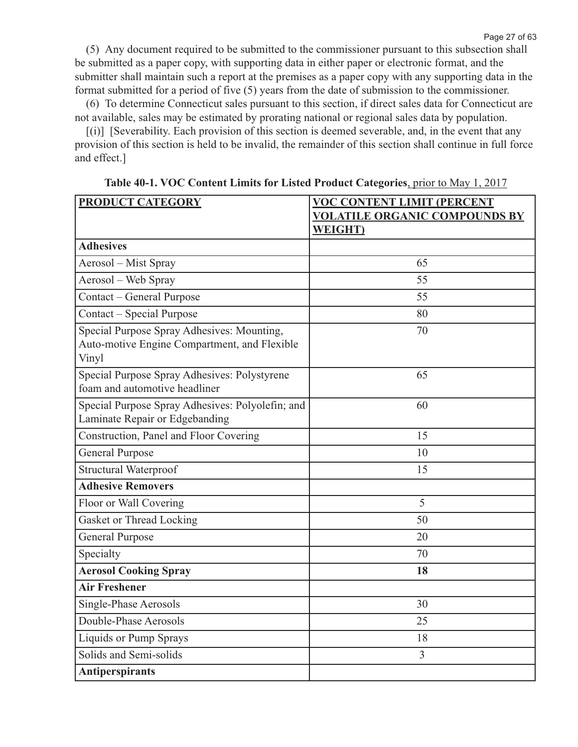(5) Any document required to be submitted to the commissioner pursuant to this subsection shall be submitted as a paper copy, with supporting data in either paper or electronic format, and the submitter shall maintain such a report at the premises as a paper copy with any supporting data in the format submitted for a period of five (5) years from the date of submission to the commissioner.

(6) To determine Connecticut sales pursuant to this section, if direct sales data for Connecticut are not available, sales may be estimated by prorating national or regional sales data by population.

[(i)] [Severability. Each provision of this section is deemed severable, and, in the event that any provision of this section is held to be invalid, the remainder of this section shall continue in full force and effect.]

| <b>PRODUCT CATEGORY</b>                                                                             | <b>VOC CONTENT LIMIT (PERCENT</b>    |
|-----------------------------------------------------------------------------------------------------|--------------------------------------|
|                                                                                                     | <b>VOLATILE ORGANIC COMPOUNDS BY</b> |
|                                                                                                     | <b>WEIGHT</b>                        |
| <b>Adhesives</b>                                                                                    |                                      |
| Aerosol – Mist Spray                                                                                | 65                                   |
| Aerosol - Web Spray                                                                                 | 55                                   |
| Contact – General Purpose                                                                           | 55                                   |
| Contact - Special Purpose                                                                           | 80                                   |
| Special Purpose Spray Adhesives: Mounting,<br>Auto-motive Engine Compartment, and Flexible<br>Vinyl | 70                                   |
| Special Purpose Spray Adhesives: Polystyrene<br>foam and automotive headliner                       | 65                                   |
| Special Purpose Spray Adhesives: Polyolefin; and<br>Laminate Repair or Edgebanding                  | 60                                   |
| Construction, Panel and Floor Covering                                                              | 15                                   |
| <b>General Purpose</b>                                                                              | 10                                   |
| <b>Structural Waterproof</b>                                                                        | 15                                   |
| <b>Adhesive Removers</b>                                                                            |                                      |
| Floor or Wall Covering                                                                              | 5                                    |
| <b>Gasket or Thread Locking</b>                                                                     | 50                                   |
| <b>General Purpose</b>                                                                              | 20                                   |
| Specialty                                                                                           | 70                                   |
| <b>Aerosol Cooking Spray</b>                                                                        | 18                                   |
| <b>Air Freshener</b>                                                                                |                                      |
| Single-Phase Aerosols                                                                               | 30                                   |
| Double-Phase Aerosols                                                                               | 25                                   |
| Liquids or Pump Sprays                                                                              | 18                                   |
| Solids and Semi-solids                                                                              | $\overline{3}$                       |
| <b>Antiperspirants</b>                                                                              |                                      |

**Table 40-1. VOC Content Limits for Listed Product Categories**, prior to May 1, 2017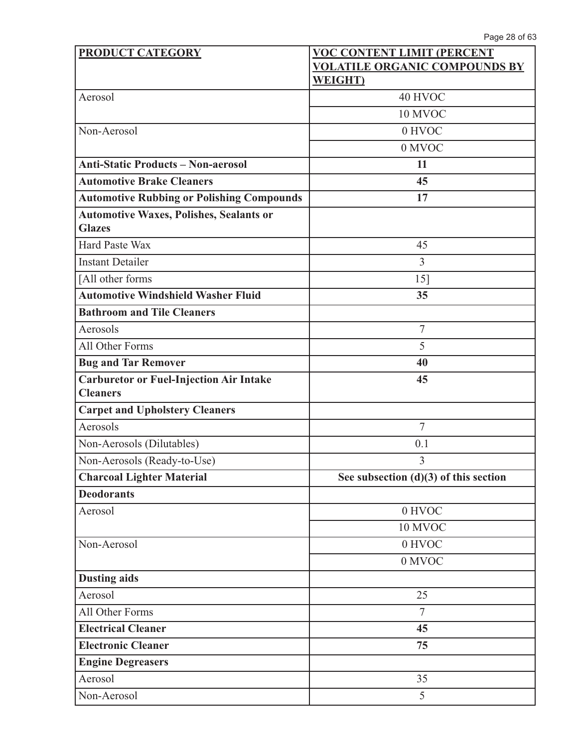| <b>WEIGHT</b><br>40 HVOC<br>Aerosol<br>10 MVOC<br>Non-Aerosol<br>0 HVOC<br>0 MVOC<br><b>Anti-Static Products - Non-aerosol</b><br>11<br><b>Automotive Brake Cleaners</b><br>45<br><b>Automotive Rubbing or Polishing Compounds</b><br>17<br><b>Automotive Waxes, Polishes, Sealants or</b><br><b>Glazes</b><br><b>Hard Paste Wax</b><br>45<br><b>Instant Detailer</b><br>3<br>[All other forms<br>15]<br><b>Automotive Windshield Washer Fluid</b><br>35<br><b>Bathroom and Tile Cleaners</b><br>$\tau$<br>Aerosols<br>All Other Forms<br>5<br><b>Bug and Tar Remover</b><br>40<br><b>Carburetor or Fuel-Injection Air Intake</b><br>45<br><b>Cleaners</b><br><b>Carpet and Upholstery Cleaners</b><br>Aerosols<br>$\overline{7}$<br>Non-Aerosols (Dilutables)<br>0.1<br>Non-Aerosols (Ready-to-Use)<br>3<br><b>Charcoal Lighter Material</b><br>See subsection $(d)(3)$ of this section<br><b>Deodorants</b><br>0 HVOC<br>Aerosol<br>10 MVOC<br>Non-Aerosol<br>0 HVOC<br>0 MVOC<br><b>Dusting aids</b><br>Aerosol<br>25<br>All Other Forms<br>$\overline{7}$<br><b>Electrical Cleaner</b><br>45<br><b>Electronic Cleaner</b><br>75<br><b>Engine Degreasers</b><br>Aerosol<br>35 | <b>PRODUCT CATEGORY</b> | <b>VOC CONTENT LIMIT (PERCENT</b>    |
|----------------------------------------------------------------------------------------------------------------------------------------------------------------------------------------------------------------------------------------------------------------------------------------------------------------------------------------------------------------------------------------------------------------------------------------------------------------------------------------------------------------------------------------------------------------------------------------------------------------------------------------------------------------------------------------------------------------------------------------------------------------------------------------------------------------------------------------------------------------------------------------------------------------------------------------------------------------------------------------------------------------------------------------------------------------------------------------------------------------------------------------------------------------------------------|-------------------------|--------------------------------------|
|                                                                                                                                                                                                                                                                                                                                                                                                                                                                                                                                                                                                                                                                                                                                                                                                                                                                                                                                                                                                                                                                                                                                                                                  |                         | <b>VOLATILE ORGANIC COMPOUNDS BY</b> |
|                                                                                                                                                                                                                                                                                                                                                                                                                                                                                                                                                                                                                                                                                                                                                                                                                                                                                                                                                                                                                                                                                                                                                                                  |                         |                                      |
|                                                                                                                                                                                                                                                                                                                                                                                                                                                                                                                                                                                                                                                                                                                                                                                                                                                                                                                                                                                                                                                                                                                                                                                  |                         |                                      |
|                                                                                                                                                                                                                                                                                                                                                                                                                                                                                                                                                                                                                                                                                                                                                                                                                                                                                                                                                                                                                                                                                                                                                                                  |                         |                                      |
|                                                                                                                                                                                                                                                                                                                                                                                                                                                                                                                                                                                                                                                                                                                                                                                                                                                                                                                                                                                                                                                                                                                                                                                  |                         |                                      |
|                                                                                                                                                                                                                                                                                                                                                                                                                                                                                                                                                                                                                                                                                                                                                                                                                                                                                                                                                                                                                                                                                                                                                                                  |                         |                                      |
|                                                                                                                                                                                                                                                                                                                                                                                                                                                                                                                                                                                                                                                                                                                                                                                                                                                                                                                                                                                                                                                                                                                                                                                  |                         |                                      |
|                                                                                                                                                                                                                                                                                                                                                                                                                                                                                                                                                                                                                                                                                                                                                                                                                                                                                                                                                                                                                                                                                                                                                                                  |                         |                                      |
|                                                                                                                                                                                                                                                                                                                                                                                                                                                                                                                                                                                                                                                                                                                                                                                                                                                                                                                                                                                                                                                                                                                                                                                  |                         |                                      |
|                                                                                                                                                                                                                                                                                                                                                                                                                                                                                                                                                                                                                                                                                                                                                                                                                                                                                                                                                                                                                                                                                                                                                                                  |                         |                                      |
|                                                                                                                                                                                                                                                                                                                                                                                                                                                                                                                                                                                                                                                                                                                                                                                                                                                                                                                                                                                                                                                                                                                                                                                  |                         |                                      |
|                                                                                                                                                                                                                                                                                                                                                                                                                                                                                                                                                                                                                                                                                                                                                                                                                                                                                                                                                                                                                                                                                                                                                                                  |                         |                                      |
|                                                                                                                                                                                                                                                                                                                                                                                                                                                                                                                                                                                                                                                                                                                                                                                                                                                                                                                                                                                                                                                                                                                                                                                  |                         |                                      |
|                                                                                                                                                                                                                                                                                                                                                                                                                                                                                                                                                                                                                                                                                                                                                                                                                                                                                                                                                                                                                                                                                                                                                                                  |                         |                                      |
|                                                                                                                                                                                                                                                                                                                                                                                                                                                                                                                                                                                                                                                                                                                                                                                                                                                                                                                                                                                                                                                                                                                                                                                  |                         |                                      |
|                                                                                                                                                                                                                                                                                                                                                                                                                                                                                                                                                                                                                                                                                                                                                                                                                                                                                                                                                                                                                                                                                                                                                                                  |                         |                                      |
|                                                                                                                                                                                                                                                                                                                                                                                                                                                                                                                                                                                                                                                                                                                                                                                                                                                                                                                                                                                                                                                                                                                                                                                  |                         |                                      |
|                                                                                                                                                                                                                                                                                                                                                                                                                                                                                                                                                                                                                                                                                                                                                                                                                                                                                                                                                                                                                                                                                                                                                                                  |                         |                                      |
|                                                                                                                                                                                                                                                                                                                                                                                                                                                                                                                                                                                                                                                                                                                                                                                                                                                                                                                                                                                                                                                                                                                                                                                  |                         |                                      |
|                                                                                                                                                                                                                                                                                                                                                                                                                                                                                                                                                                                                                                                                                                                                                                                                                                                                                                                                                                                                                                                                                                                                                                                  |                         |                                      |
|                                                                                                                                                                                                                                                                                                                                                                                                                                                                                                                                                                                                                                                                                                                                                                                                                                                                                                                                                                                                                                                                                                                                                                                  |                         |                                      |
|                                                                                                                                                                                                                                                                                                                                                                                                                                                                                                                                                                                                                                                                                                                                                                                                                                                                                                                                                                                                                                                                                                                                                                                  |                         |                                      |
|                                                                                                                                                                                                                                                                                                                                                                                                                                                                                                                                                                                                                                                                                                                                                                                                                                                                                                                                                                                                                                                                                                                                                                                  |                         |                                      |
|                                                                                                                                                                                                                                                                                                                                                                                                                                                                                                                                                                                                                                                                                                                                                                                                                                                                                                                                                                                                                                                                                                                                                                                  |                         |                                      |
|                                                                                                                                                                                                                                                                                                                                                                                                                                                                                                                                                                                                                                                                                                                                                                                                                                                                                                                                                                                                                                                                                                                                                                                  |                         |                                      |
|                                                                                                                                                                                                                                                                                                                                                                                                                                                                                                                                                                                                                                                                                                                                                                                                                                                                                                                                                                                                                                                                                                                                                                                  |                         |                                      |
|                                                                                                                                                                                                                                                                                                                                                                                                                                                                                                                                                                                                                                                                                                                                                                                                                                                                                                                                                                                                                                                                                                                                                                                  |                         |                                      |
|                                                                                                                                                                                                                                                                                                                                                                                                                                                                                                                                                                                                                                                                                                                                                                                                                                                                                                                                                                                                                                                                                                                                                                                  |                         |                                      |
|                                                                                                                                                                                                                                                                                                                                                                                                                                                                                                                                                                                                                                                                                                                                                                                                                                                                                                                                                                                                                                                                                                                                                                                  |                         |                                      |
|                                                                                                                                                                                                                                                                                                                                                                                                                                                                                                                                                                                                                                                                                                                                                                                                                                                                                                                                                                                                                                                                                                                                                                                  |                         |                                      |
|                                                                                                                                                                                                                                                                                                                                                                                                                                                                                                                                                                                                                                                                                                                                                                                                                                                                                                                                                                                                                                                                                                                                                                                  |                         |                                      |
|                                                                                                                                                                                                                                                                                                                                                                                                                                                                                                                                                                                                                                                                                                                                                                                                                                                                                                                                                                                                                                                                                                                                                                                  |                         |                                      |
|                                                                                                                                                                                                                                                                                                                                                                                                                                                                                                                                                                                                                                                                                                                                                                                                                                                                                                                                                                                                                                                                                                                                                                                  |                         |                                      |
|                                                                                                                                                                                                                                                                                                                                                                                                                                                                                                                                                                                                                                                                                                                                                                                                                                                                                                                                                                                                                                                                                                                                                                                  |                         |                                      |
|                                                                                                                                                                                                                                                                                                                                                                                                                                                                                                                                                                                                                                                                                                                                                                                                                                                                                                                                                                                                                                                                                                                                                                                  |                         |                                      |
|                                                                                                                                                                                                                                                                                                                                                                                                                                                                                                                                                                                                                                                                                                                                                                                                                                                                                                                                                                                                                                                                                                                                                                                  |                         |                                      |
|                                                                                                                                                                                                                                                                                                                                                                                                                                                                                                                                                                                                                                                                                                                                                                                                                                                                                                                                                                                                                                                                                                                                                                                  |                         |                                      |
|                                                                                                                                                                                                                                                                                                                                                                                                                                                                                                                                                                                                                                                                                                                                                                                                                                                                                                                                                                                                                                                                                                                                                                                  |                         |                                      |
|                                                                                                                                                                                                                                                                                                                                                                                                                                                                                                                                                                                                                                                                                                                                                                                                                                                                                                                                                                                                                                                                                                                                                                                  | Non-Aerosol             | 5                                    |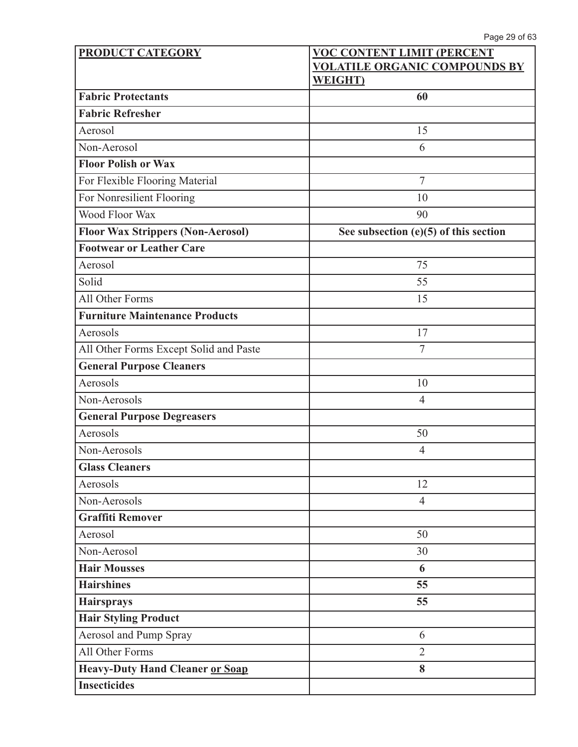| PRODUCT CATEGORY                         | <b>VOC CONTENT LIMIT (PERCENT</b>       |
|------------------------------------------|-----------------------------------------|
|                                          | <b>VOLATILE ORGANIC COMPOUNDS BY</b>    |
|                                          | <b>WEIGHT</b> )                         |
| <b>Fabric Protectants</b>                | 60                                      |
| <b>Fabric Refresher</b>                  |                                         |
| Aerosol                                  | 15                                      |
| Non-Aerosol                              | 6                                       |
| <b>Floor Polish or Wax</b>               |                                         |
| For Flexible Flooring Material           | $\overline{7}$                          |
| For Nonresilient Flooring                | 10                                      |
| Wood Floor Wax                           | 90                                      |
| <b>Floor Wax Strippers (Non-Aerosol)</b> | See subsection $(e)(5)$ of this section |
| <b>Footwear or Leather Care</b>          |                                         |
| Aerosol                                  | 75                                      |
| Solid                                    | 55                                      |
| All Other Forms                          | 15                                      |
| <b>Furniture Maintenance Products</b>    |                                         |
| Aerosols                                 | 17                                      |
| All Other Forms Except Solid and Paste   | $\overline{7}$                          |
| <b>General Purpose Cleaners</b>          |                                         |
| Aerosols                                 | 10                                      |
| Non-Aerosols                             | $\overline{4}$                          |
| <b>General Purpose Degreasers</b>        |                                         |
| Aerosols                                 | 50                                      |
| Non-Aerosols                             | $\overline{4}$                          |
| <b>Glass Cleaners</b>                    |                                         |
| Aerosols                                 | 12                                      |
| Non-Aerosols                             | $\overline{4}$                          |
| <b>Graffiti Remover</b>                  |                                         |
| Aerosol                                  | 50                                      |
| Non-Aerosol                              | 30                                      |
| <b>Hair Mousses</b>                      | 6                                       |
| <b>Hairshines</b>                        | 55                                      |
| <b>Hairsprays</b>                        | 55                                      |
| <b>Hair Styling Product</b>              |                                         |
| <b>Aerosol and Pump Spray</b>            | 6                                       |
| All Other Forms                          | $\overline{2}$                          |
| <b>Heavy-Duty Hand Cleaner or Soap</b>   | 8                                       |
| <b>Insecticides</b>                      |                                         |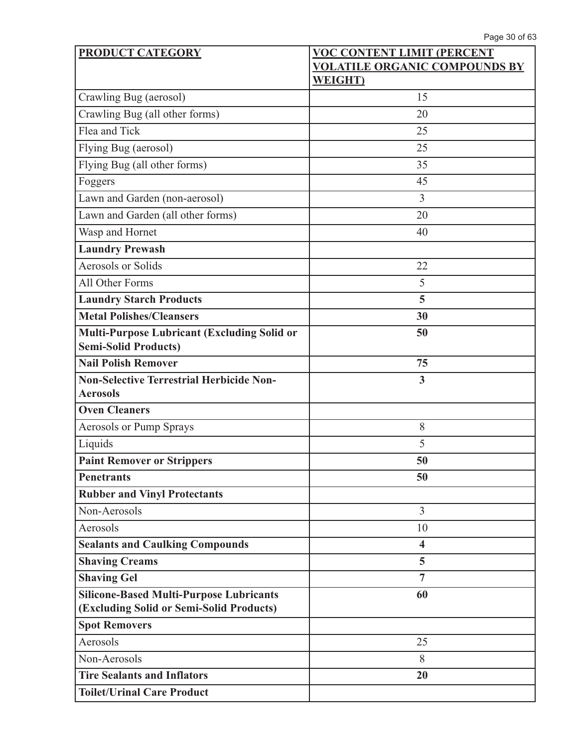| <b>PRODUCT CATEGORY</b>                            | <b>VOC CONTENT LIMIT (PERCENT</b>    |
|----------------------------------------------------|--------------------------------------|
|                                                    | <b>VOLATILE ORGANIC COMPOUNDS BY</b> |
|                                                    | <b>WEIGHT</b> )                      |
| Crawling Bug (aerosol)                             | 15                                   |
| Crawling Bug (all other forms)                     | 20                                   |
| Flea and Tick                                      | 25                                   |
| Flying Bug (aerosol)                               | 25                                   |
| Flying Bug (all other forms)                       | 35                                   |
| Foggers                                            | 45                                   |
| Lawn and Garden (non-aerosol)                      | $\overline{3}$                       |
| Lawn and Garden (all other forms)                  | 20                                   |
| Wasp and Hornet                                    | 40                                   |
| <b>Laundry Prewash</b>                             |                                      |
| <b>Aerosols or Solids</b>                          | 22                                   |
| <b>All Other Forms</b>                             | 5                                    |
| <b>Laundry Starch Products</b>                     | 5                                    |
| <b>Metal Polishes/Cleansers</b>                    | 30                                   |
| <b>Multi-Purpose Lubricant (Excluding Solid or</b> | 50                                   |
| <b>Semi-Solid Products)</b>                        |                                      |
| <b>Nail Polish Remover</b>                         | 75                                   |
| <b>Non-Selective Terrestrial Herbicide Non-</b>    | 3                                    |
| <b>Aerosols</b>                                    |                                      |
| <b>Oven Cleaners</b>                               |                                      |
| Aerosols or Pump Sprays                            | 8                                    |
| Liquids                                            | 5                                    |
| <b>Paint Remover or Strippers</b>                  | 50                                   |
| <b>Penetrants</b>                                  | 50                                   |
| <b>Rubber and Vinyl Protectants</b>                |                                      |
| Non-Aerosols                                       | $\overline{3}$                       |
| Aerosols                                           | 10                                   |
| <b>Sealants and Caulking Compounds</b>             | $\overline{\mathbf{4}}$              |
| <b>Shaving Creams</b>                              | 5                                    |
| <b>Shaving Gel</b>                                 | $\overline{7}$                       |
| <b>Silicone-Based Multi-Purpose Lubricants</b>     | 60                                   |
| (Excluding Solid or Semi-Solid Products)           |                                      |
| <b>Spot Removers</b>                               |                                      |
| Aerosols                                           | 25                                   |
| Non-Aerosols                                       | 8                                    |
| <b>Tire Sealants and Inflators</b>                 | 20                                   |
| <b>Toilet/Urinal Care Product</b>                  |                                      |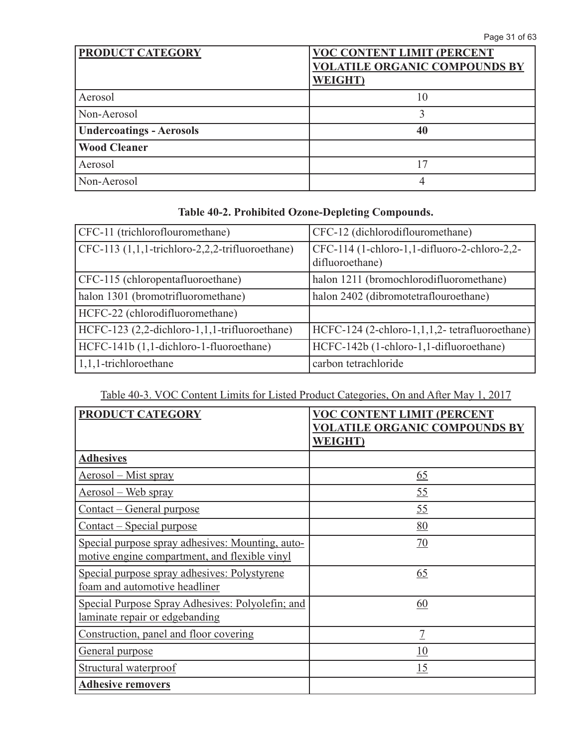| PRODUCT CATEGORY                | <b>VOC CONTENT LIMIT (PERCENT)</b><br><b>VOLATILE ORGANIC COMPOUNDS BY</b><br><b>WEIGHT</b> ) |
|---------------------------------|-----------------------------------------------------------------------------------------------|
| Aerosol                         | 10                                                                                            |
| Non-Aerosol                     |                                                                                               |
| <b>Undercoatings - Aerosols</b> | 40                                                                                            |
| <b>Wood Cleaner</b>             |                                                                                               |
| Aerosol                         | 17                                                                                            |
| Non-Aerosol                     |                                                                                               |

| CFC-11 (trichloroflouromethane)                 | CFC-12 (dichlorodiflouromethane)                                |
|-------------------------------------------------|-----------------------------------------------------------------|
| CFC-113 (1,1,1-trichloro-2,2,2-trifluoroethane) | CFC-114 (1-chloro-1,1-difluoro-2-chloro-2,2-<br>difluoroethane) |
| CFC-115 (chloropentafluoroethane)               | halon 1211 (bromochlorodifluoromethane)                         |
| halon 1301 (bromotrifluoromethane)              | halon 2402 (dibromotetraflouroethane)                           |
| HCFC-22 (chlorodifluoromethane)                 |                                                                 |
| HCFC-123 (2,2-dichloro-1,1,1-trifluoroethane)   | HCFC-124 (2-chloro-1,1,1,2- tetrafluoroethane)                  |
| HCFC-141b (1,1-dichloro-1-fluoroethane)         | HCFC-142b (1-chloro-1,1-difluoroethane)                         |
| $ 1,1,1$ -trichloroethane                       | carbon tetrachloride                                            |

# Table 40-3. VOC Content Limits for Listed Product Categories, On and After May 1, 2017

| <b>PRODUCT CATEGORY</b>                                                                           | <b>VOC CONTENT LIMIT (PERCENT)</b><br><b>VOLATILE ORGANIC COMPOUNDS BY</b> |
|---------------------------------------------------------------------------------------------------|----------------------------------------------------------------------------|
|                                                                                                   | <b>WEIGHT</b> )                                                            |
| <b>Adhesives</b>                                                                                  |                                                                            |
| Aerosol - Mist spray                                                                              | 65                                                                         |
| <u>Aerosol – Web spray</u>                                                                        | 55                                                                         |
| Contact – General purpose                                                                         | 55                                                                         |
| <u>Contact – Special purpose</u>                                                                  | 80                                                                         |
| Special purpose spray adhesives: Mounting, auto-<br>motive engine compartment, and flexible vinyl | 70                                                                         |
| Special purpose spray adhesives: Polystyrene<br>foam and automotive headliner                     | 65                                                                         |
| Special Purpose Spray Adhesives: Polyolefin; and<br>laminate repair or edgebanding                | $\underline{60}$                                                           |
| Construction, panel and floor covering                                                            | $\overline{1}$                                                             |
| General purpose                                                                                   | 10                                                                         |
| <b>Structural waterproof</b>                                                                      | 15                                                                         |
| <b>Adhesive removers</b>                                                                          |                                                                            |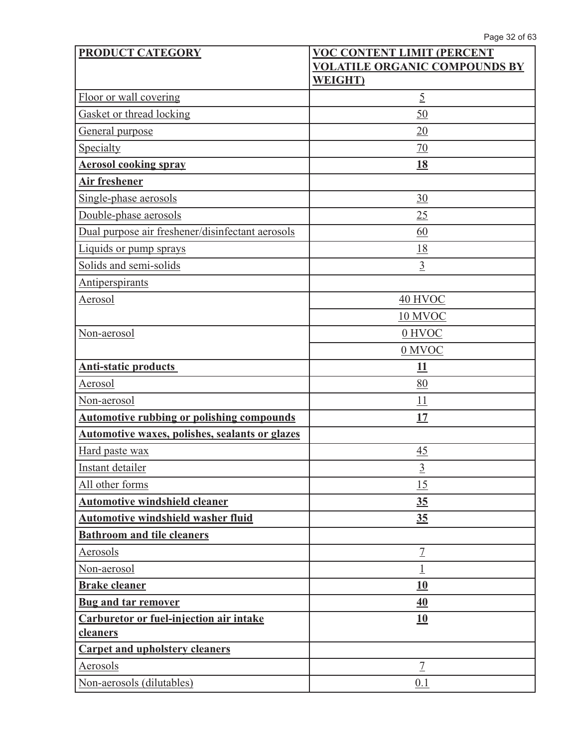| <b>PRODUCT CATEGORY</b>                          | <b>VOC CONTENT LIMIT (PERCENT</b>    |
|--------------------------------------------------|--------------------------------------|
|                                                  | <b>VOLATILE ORGANIC COMPOUNDS BY</b> |
|                                                  | <b>WEIGHT</b>                        |
| Floor or wall covering                           | $\overline{5}$                       |
| Gasket or thread locking                         | 50                                   |
| General purpose                                  | 20                                   |
| Specialty                                        | 70                                   |
| <b>Aerosol cooking spray</b>                     | <u>18</u>                            |
| <b>Air freshener</b>                             |                                      |
| Single-phase aerosols                            | 30                                   |
| Double-phase aerosols                            | 25                                   |
| Dual purpose air freshener/disinfectant aerosols | 60                                   |
| Liquids or pump sprays                           | <u>18</u>                            |
| Solids and semi-solids                           | $\overline{3}$                       |
| <b>Antiperspirants</b>                           |                                      |
| Aerosol                                          | 40 HVOC                              |
|                                                  | 10 MVOC                              |
| Non-aerosol                                      | 0 HVOC                               |
|                                                  | $0$ MVOC                             |
| <b>Anti-static products</b>                      | 11                                   |
| Aerosol                                          | 80                                   |
| Non-aerosol                                      | 11                                   |
| <b>Automotive rubbing or polishing compounds</b> | 17                                   |
| Automotive waxes, polishes, sealants or glazes   |                                      |
| Hard paste wax                                   | 45                                   |
| Instant detailer                                 | $\overline{3}$                       |
| All other forms                                  | 15                                   |
| <b>Automotive windshield cleaner</b>             | 35                                   |
| <b>Automotive windshield washer fluid</b>        | 35                                   |
| <b>Bathroom and tile cleaners</b>                |                                      |
| Aerosols                                         | $\overline{1}$                       |
| Non-aerosol                                      | $\overline{1}$                       |
| <b>Brake cleaner</b>                             | 10                                   |
| <b>Bug and tar remover</b>                       | 40                                   |
| Carburetor or fuel-injection air intake          | <u>10</u>                            |
| <u>cleaners</u>                                  |                                      |
| <b>Carpet and upholstery cleaners</b>            |                                      |
| Aerosols                                         | $\overline{1}$                       |
| Non-aerosols (dilutables)                        | 0.1                                  |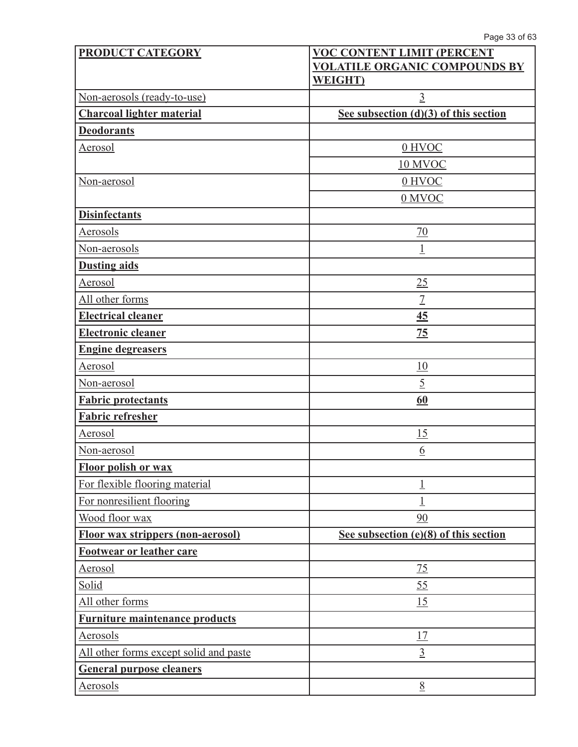| <b>PRODUCT CATEGORY</b>                  | VOC CONTENT LIMIT (PERCENT              |
|------------------------------------------|-----------------------------------------|
|                                          | <b>VOLATILE ORGANIC COMPOUNDS BY</b>    |
|                                          | <b>WEIGHT</b>                           |
| Non-aerosols (ready-to-use)              | 3                                       |
| <b>Charcoal lighter material</b>         | See subsection $(d)(3)$ of this section |
| <b>Deodorants</b>                        |                                         |
| Aerosol                                  | 0 HVOC                                  |
|                                          | 10 MVOC                                 |
| Non-aerosol                              | 0 HVOC                                  |
|                                          | 0 MVOC                                  |
| <b>Disinfectants</b>                     |                                         |
| Aerosols                                 | 70                                      |
| Non-aerosols                             | $\overline{1}$                          |
| <b>Dusting aids</b>                      |                                         |
| Aerosol                                  | 25                                      |
| All other forms                          | $\overline{1}$                          |
| <b>Electrical cleaner</b>                | 45                                      |
| <b>Electronic cleaner</b>                | 75                                      |
| <b>Engine degreasers</b>                 |                                         |
| Aerosol                                  | 10                                      |
| Non-aerosol                              | $\overline{5}$                          |
| <b>Fabric protectants</b>                | 60                                      |
| <b>Fabric refresher</b>                  |                                         |
| Aerosol                                  | 15                                      |
| Non-aerosol                              | 6                                       |
| <b>Floor polish or wax</b>               |                                         |
| For flexible flooring material           | $\overline{1}$                          |
| For nonresilient flooring                | $\overline{1}$                          |
| Wood floor wax                           | 90                                      |
| <b>Floor wax strippers (non-aerosol)</b> | See subsection (e)(8) of this section   |
| Footwear or leather care                 |                                         |
| Aerosol                                  | 75                                      |
| Solid                                    | 55                                      |
| All other forms                          | 15                                      |
| <b>Furniture maintenance products</b>    |                                         |
| Aerosols                                 | 17                                      |
| All other forms except solid and paste   | $\overline{3}$                          |
| <b>General purpose cleaners</b>          |                                         |
| <b>Aerosols</b>                          | 8                                       |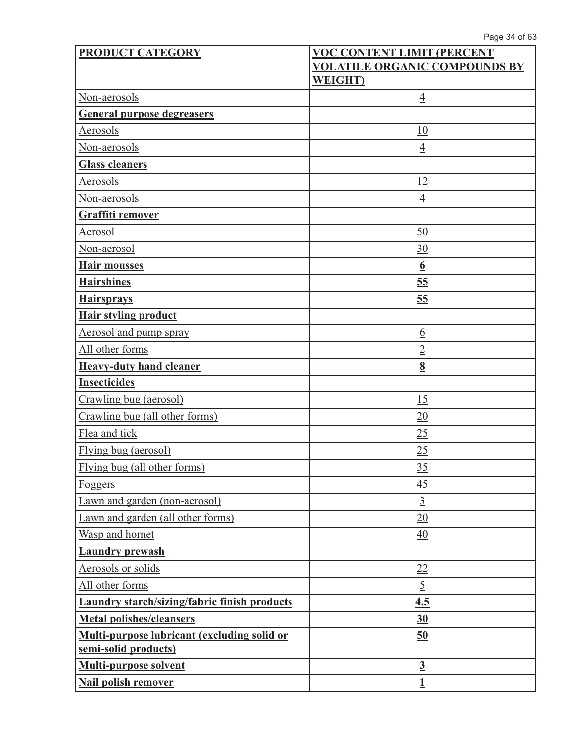| <b>PRODUCT CATEGORY</b>                             | <b>VOC CONTENT LIMIT (PERCENT</b>    |
|-----------------------------------------------------|--------------------------------------|
|                                                     | <b>VOLATILE ORGANIC COMPOUNDS BY</b> |
|                                                     | <b>WEIGHT</b> )                      |
| Non-aerosols                                        | $\overline{4}$                       |
| <b>General purpose degreasers</b>                   |                                      |
| Aerosols                                            | 10                                   |
| Non-aerosols                                        | $\overline{4}$                       |
| <b>Glass cleaners</b>                               |                                      |
| Aerosols                                            | 12                                   |
| Non-aerosols                                        | $\overline{4}$                       |
| Graffiti remover                                    |                                      |
| Aerosol                                             | 50                                   |
| Non-aerosol                                         | 30                                   |
| <b>Hair mousses</b>                                 | $6\overline{6}$                      |
| <b>Hairshines</b>                                   | 55                                   |
| <b>Hairsprays</b>                                   | 55                                   |
| <b>Hair styling product</b>                         |                                      |
| <b>Aerosol and pump spray</b>                       | $\underline{6}$                      |
| All other forms                                     | $\overline{2}$                       |
| <b>Heavy-duty hand cleaner</b>                      | $\underline{8}$                      |
| <b>Insecticides</b>                                 |                                      |
| Crawling bug (aerosol)                              | 15                                   |
| Crawling bug (all other forms)                      | 20                                   |
| Flea and tick                                       | 25                                   |
| Flying bug (aerosol)                                | 25                                   |
| Flying bug (all other forms)                        | 35                                   |
| <b>Foggers</b>                                      | 45                                   |
| Lawn and garden (non-aerosol)                       | $\overline{3}$                       |
| Lawn and garden (all other forms)                   | 20                                   |
| Wasp and hornet                                     | 40                                   |
| <b>Laundry prewash</b>                              |                                      |
| Aerosols or solids                                  | 22                                   |
| All other forms                                     | $\overline{2}$                       |
| <b>Laundry starch/sizing/fabric finish products</b> | 4.5                                  |
| <b>Metal polishes/cleansers</b>                     | 30                                   |
| Multi-purpose lubricant (excluding solid or         | 50                                   |
| semi-solid products)                                |                                      |
| <b>Multi-purpose solvent</b>                        | $\overline{3}$                       |
| Nail polish remover                                 | $\overline{1}$                       |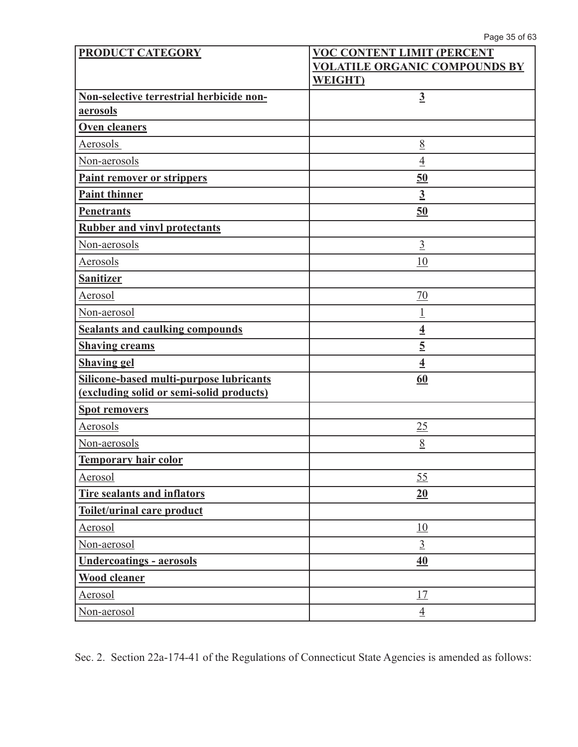| <b>PRODUCT CATEGORY</b>                  | <b>VOC CONTENT LIMIT (PERCENT</b>    |
|------------------------------------------|--------------------------------------|
|                                          | <b>VOLATILE ORGANIC COMPOUNDS BY</b> |
|                                          | <b>WEIGHT</b> )                      |
| Non-selective terrestrial herbicide non- | $\overline{3}$                       |
| aerosols                                 |                                      |
| <b>Oven cleaners</b>                     |                                      |
| Aerosols                                 | 8                                    |
| Non-aerosols                             | $\overline{4}$                       |
| <b>Paint remover or strippers</b>        | 50                                   |
| <b>Paint thinner</b>                     | $\overline{3}$                       |
| <b>Penetrants</b>                        | 50                                   |
| <b>Rubber and vinyl protectants</b>      |                                      |
| Non-aerosols                             | $\overline{3}$                       |
| Aerosols                                 | 10                                   |
| <b>Sanitizer</b>                         |                                      |
| Aerosol                                  | 70                                   |
| Non-aerosol                              | $\overline{1}$                       |
| <b>Sealants and caulking compounds</b>   | $\overline{4}$                       |
| <b>Shaving creams</b>                    | $\overline{5}$                       |
| <b>Shaving gel</b>                       | $\overline{4}$                       |
| Silicone-based multi-purpose lubricants  | 60                                   |
| (excluding solid or semi-solid products) |                                      |
| <b>Spot removers</b>                     |                                      |
| Aerosols                                 | 25                                   |
| Non-aerosols                             | 8                                    |
| <b>Temporary hair color</b>              |                                      |
| Aerosol                                  | 55                                   |
| Tire sealants and inflators              | 20                                   |
| Toilet/urinal care product               |                                      |
| Aerosol                                  | 10                                   |
| Non-aerosol                              | $\underline{3}$                      |
| <b>Undercoatings - aerosols</b>          | 40                                   |
| <b>Wood cleaner</b>                      |                                      |
| Aerosol                                  | 17                                   |
| Non-aerosol                              | $\overline{4}$                       |

Sec. 2. Section 22a-174-41 of the Regulations of Connecticut State Agencies is amended as follows: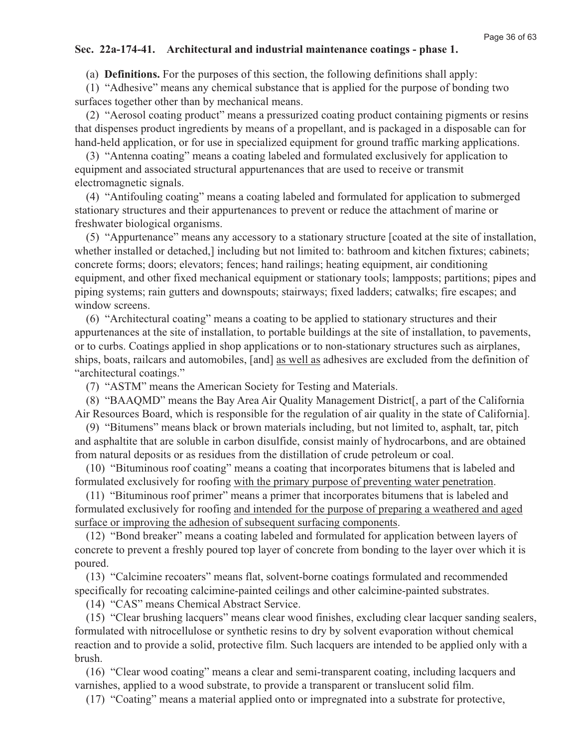#### **Sec. 22a-174-41. Architectural and industrial maintenance coatings - phase 1.**

(a) **Definitions.** For the purposes of this section, the following definitions shall apply:

(1) "Adhesive" means any chemical substance that is applied for the purpose of bonding two surfaces together other than by mechanical means.

(2) "Aerosol coating product" means a pressurized coating product containing pigments or resins that dispenses product ingredients by means of a propellant, and is packaged in a disposable can for hand-held application, or for use in specialized equipment for ground traffic marking applications.

(3) "Antenna coating" means a coating labeled and formulated exclusively for application to equipment and associated structural appurtenances that are used to receive or transmit electromagnetic signals.

(4) "Antifouling coating" means a coating labeled and formulated for application to submerged stationary structures and their appurtenances to prevent or reduce the attachment of marine or freshwater biological organisms.

(5) "Appurtenance" means any accessory to a stationary structure [coated at the site of installation, whether installed or detached,] including but not limited to: bathroom and kitchen fixtures; cabinets; concrete forms; doors; elevators; fences; hand railings; heating equipment, air conditioning equipment, and other fixed mechanical equipment or stationary tools; lampposts; partitions; pipes and piping systems; rain gutters and downspouts; stairways; fixed ladders; catwalks; fire escapes; and window screens.

(6) "Architectural coating" means a coating to be applied to stationary structures and their appurtenances at the site of installation, to portable buildings at the site of installation, to pavements, or to curbs. Coatings applied in shop applications or to non-stationary structures such as airplanes, ships, boats, railcars and automobiles, [and] as well as adhesives are excluded from the definition of "architectural coatings."

(7) "ASTM" means the American Society for Testing and Materials.

(8) "BAAQMD" means the Bay Area Air Quality Management District[, a part of the California Air Resources Board, which is responsible for the regulation of air quality in the state of California].

(9) "Bitumens" means black or brown materials including, but not limited to, asphalt, tar, pitch and asphaltite that are soluble in carbon disulfide, consist mainly of hydrocarbons, and are obtained from natural deposits or as residues from the distillation of crude petroleum or coal.

(10) "Bituminous roof coating" means a coating that incorporates bitumens that is labeled and formulated exclusively for roofing with the primary purpose of preventing water penetration.

(11) "Bituminous roof primer" means a primer that incorporates bitumens that is labeled and formulated exclusively for roofing and intended for the purpose of preparing a weathered and aged surface or improving the adhesion of subsequent surfacing components.

(12) "Bond breaker" means a coating labeled and formulated for application between layers of concrete to prevent a freshly poured top layer of concrete from bonding to the layer over which it is poured.

(13) "Calcimine recoaters" means flat, solvent-borne coatings formulated and recommended specifically for recoating calcimine-painted ceilings and other calcimine-painted substrates.

(14) "CAS" means Chemical Abstract Service.

(15) "Clear brushing lacquers" means clear wood finishes, excluding clear lacquer sanding sealers, formulated with nitrocellulose or synthetic resins to dry by solvent evaporation without chemical reaction and to provide a solid, protective film. Such lacquers are intended to be applied only with a brush.

(16) "Clear wood coating" means a clear and semi-transparent coating, including lacquers and varnishes, applied to a wood substrate, to provide a transparent or translucent solid film.

(17) "Coating" means a material applied onto or impregnated into a substrate for protective,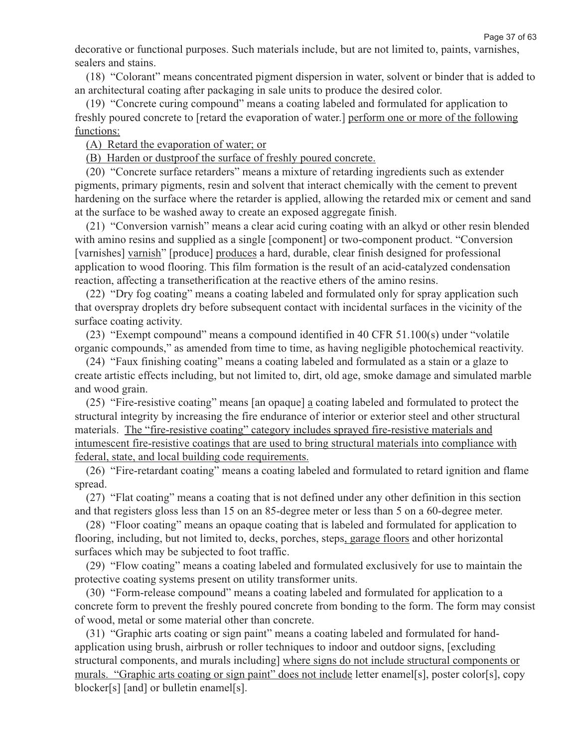decorative or functional purposes. Such materials include, but are not limited to, paints, varnishes, sealers and stains.

(18) "Colorant" means concentrated pigment dispersion in water, solvent or binder that is added to an architectural coating after packaging in sale units to produce the desired color.

(19) "Concrete curing compound" means a coating labeled and formulated for application to freshly poured concrete to [retard the evaporation of water.] perform one or more of the following functions:

(A) Retard the evaporation of water; or

(B) Harden or dustproof the surface of freshly poured concrete.

(20) "Concrete surface retarders" means a mixture of retarding ingredients such as extender pigments, primary pigments, resin and solvent that interact chemically with the cement to prevent hardening on the surface where the retarder is applied, allowing the retarded mix or cement and sand at the surface to be washed away to create an exposed aggregate finish.

(21) "Conversion varnish" means a clear acid curing coating with an alkyd or other resin blended with amino resins and supplied as a single [component] or two-component product. "Conversion [varnishes] varnish" [produce] produces a hard, durable, clear finish designed for professional application to wood flooring. This film formation is the result of an acid-catalyzed condensation reaction, affecting a transetherification at the reactive ethers of the amino resins.

(22) "Dry fog coating" means a coating labeled and formulated only for spray application such that overspray droplets dry before subsequent contact with incidental surfaces in the vicinity of the surface coating activity.

(23) "Exempt compound" means a compound identified in 40 CFR 51.100(s) under "volatile organic compounds," as amended from time to time, as having negligible photochemical reactivity.

(24) "Faux finishing coating" means a coating labeled and formulated as a stain or a glaze to create artistic effects including, but not limited to, dirt, old age, smoke damage and simulated marble and wood grain.

(25) "Fire-resistive coating" means [an opaque] a coating labeled and formulated to protect the structural integrity by increasing the fire endurance of interior or exterior steel and other structural materials. The "fire-resistive coating" category includes sprayed fire-resistive materials and intumescent fire-resistive coatings that are used to bring structural materials into compliance with federal, state, and local building code requirements.

(26) "Fire-retardant coating" means a coating labeled and formulated to retard ignition and flame spread.

(27) "Flat coating" means a coating that is not defined under any other definition in this section and that registers gloss less than 15 on an 85-degree meter or less than 5 on a 60-degree meter.

(28) "Floor coating" means an opaque coating that is labeled and formulated for application to flooring, including, but not limited to, decks, porches, steps, garage floors and other horizontal surfaces which may be subjected to foot traffic.

(29) "Flow coating" means a coating labeled and formulated exclusively for use to maintain the protective coating systems present on utility transformer units.

(30) "Form-release compound" means a coating labeled and formulated for application to a concrete form to prevent the freshly poured concrete from bonding to the form. The form may consist of wood, metal or some material other than concrete.

(31) "Graphic arts coating or sign paint" means a coating labeled and formulated for handapplication using brush, airbrush or roller techniques to indoor and outdoor signs, [excluding structural components, and murals including] where signs do not include structural components or murals. "Graphic arts coating or sign paint" does not include letter enamel[s], poster color[s], copy blocker[s] [and] or bulletin enamel[s].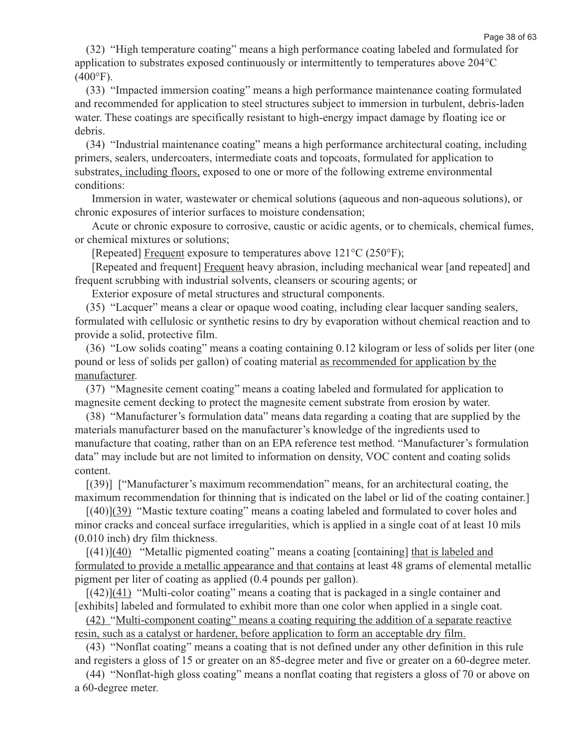(32) "High temperature coating" means a high performance coating labeled and formulated for application to substrates exposed continuously or intermittently to temperatures above 204°C  $(400^{\circ}F).$ 

(33) "Impacted immersion coating" means a high performance maintenance coating formulated and recommended for application to steel structures subject to immersion in turbulent, debris-laden water. These coatings are specifically resistant to high-energy impact damage by floating ice or debris.

(34) "Industrial maintenance coating" means a high performance architectural coating, including primers, sealers, undercoaters, intermediate coats and topcoats, formulated for application to substrates, including floors, exposed to one or more of the following extreme environmental conditions:

Immersion in water, wastewater or chemical solutions (aqueous and non-aqueous solutions), or chronic exposures of interior surfaces to moisture condensation;

Acute or chronic exposure to corrosive, caustic or acidic agents, or to chemicals, chemical fumes, or chemical mixtures or solutions;

[Repeated] Frequent exposure to temperatures above 121°C (250°F);

[Repeated and frequent] Frequent heavy abrasion, including mechanical wear [and repeated] and frequent scrubbing with industrial solvents, cleansers or scouring agents; or

Exterior exposure of metal structures and structural components.

(35) "Lacquer" means a clear or opaque wood coating, including clear lacquer sanding sealers, formulated with cellulosic or synthetic resins to dry by evaporation without chemical reaction and to provide a solid, protective film.

(36) "Low solids coating" means a coating containing 0.12 kilogram or less of solids per liter (one pound or less of solids per gallon) of coating material as recommended for application by the manufacturer.

(37) "Magnesite cement coating" means a coating labeled and formulated for application to magnesite cement decking to protect the magnesite cement substrate from erosion by water.

(38) "Manufacturer's formulation data" means data regarding a coating that are supplied by the materials manufacturer based on the manufacturer's knowledge of the ingredients used to manufacture that coating, rather than on an EPA reference test method. "Manufacturer's formulation data" may include but are not limited to information on density, VOC content and coating solids content.

[(39)] ["Manufacturer's maximum recommendation" means, for an architectural coating, the maximum recommendation for thinning that is indicated on the label or lid of the coating container.]

 $[(40)](39)$  "Mastic texture coating" means a coating labeled and formulated to cover holes and minor cracks and conceal surface irregularities, which is applied in a single coat of at least 10 mils (0.010 inch) dry film thickness.

[(41)](40) "Metallic pigmented coating" means a coating [containing] that is labeled and formulated to provide a metallic appearance and that contains at least 48 grams of elemental metallic pigment per liter of coating as applied (0.4 pounds per gallon).

 $[(42)](41)$  "Multi-color coating" means a coating that is packaged in a single container and [exhibits] labeled and formulated to exhibit more than one color when applied in a single coat.

(42) "Multi-component coating" means a coating requiring the addition of a separate reactive resin, such as a catalyst or hardener, before application to form an acceptable dry film.

(43) "Nonflat coating" means a coating that is not defined under any other definition in this rule and registers a gloss of 15 or greater on an 85-degree meter and five or greater on a 60-degree meter.

(44) "Nonflat-high gloss coating" means a nonflat coating that registers a gloss of 70 or above on a 60-degree meter.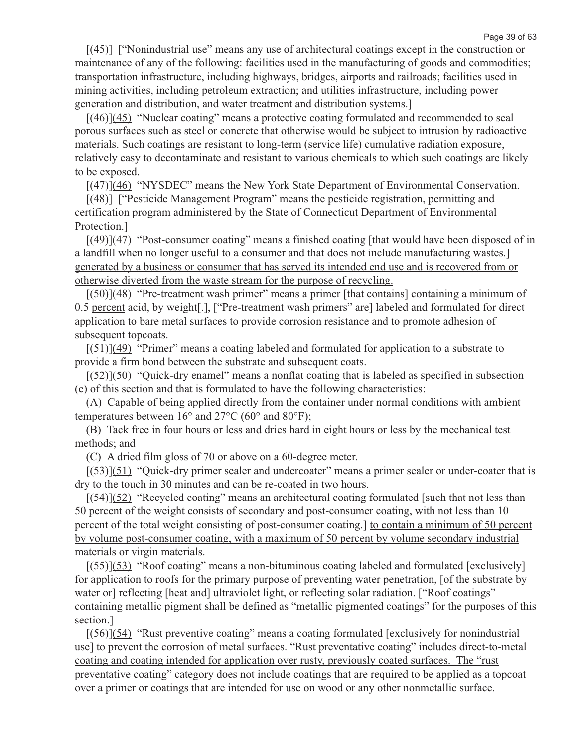[(45)] ["Nonindustrial use" means any use of architectural coatings except in the construction or maintenance of any of the following: facilities used in the manufacturing of goods and commodities; transportation infrastructure, including highways, bridges, airports and railroads; facilities used in mining activities, including petroleum extraction; and utilities infrastructure, including power generation and distribution, and water treatment and distribution systems.]

 $[(46)](45)$  "Nuclear coating" means a protective coating formulated and recommended to seal porous surfaces such as steel or concrete that otherwise would be subject to intrusion by radioactive materials. Such coatings are resistant to long-term (service life) cumulative radiation exposure, relatively easy to decontaminate and resistant to various chemicals to which such coatings are likely to be exposed.

[(47)](46) "NYSDEC" means the New York State Department of Environmental Conservation.

[(48)] ["Pesticide Management Program" means the pesticide registration, permitting and certification program administered by the State of Connecticut Department of Environmental Protection.]

[(49)](47) "Post-consumer coating" means a finished coating [that would have been disposed of in a landfill when no longer useful to a consumer and that does not include manufacturing wastes.] generated by a business or consumer that has served its intended end use and is recovered from or otherwise diverted from the waste stream for the purpose of recycling.

 $[(50)]$ (48) "Pre-treatment wash primer" means a primer [that contains] containing a minimum of 0.5 percent acid, by weight[.], ["Pre-treatment wash primers" are] labeled and formulated for direct application to bare metal surfaces to provide corrosion resistance and to promote adhesion of subsequent topcoats.

 $[(51)](49)$  "Primer" means a coating labeled and formulated for application to a substrate to provide a firm bond between the substrate and subsequent coats.

 $[(52)](50)$  "Quick-dry enamel" means a nonflat coating that is labeled as specified in subsection (e) of this section and that is formulated to have the following characteristics:

(A) Capable of being applied directly from the container under normal conditions with ambient temperatures between  $16^{\circ}$  and  $27^{\circ}$ C (60° and 80°F);

(B) Tack free in four hours or less and dries hard in eight hours or less by the mechanical test methods; and

(C) A dried film gloss of 70 or above on a 60-degree meter.

 $[(53)](51)$  "Quick-dry primer sealer and undercoater" means a primer sealer or under-coater that is dry to the touch in 30 minutes and can be re-coated in two hours.

 $[(54)](52)$  "Recycled coating" means an architectural coating formulated [such that not less than 50 percent of the weight consists of secondary and post-consumer coating, with not less than 10 percent of the total weight consisting of post-consumer coating.] to contain a minimum of 50 percent by volume post-consumer coating, with a maximum of 50 percent by volume secondary industrial materials or virgin materials.

 $[(55)]$ (53) "Roof coating" means a non-bituminous coating labeled and formulated [exclusively] for application to roofs for the primary purpose of preventing water penetration, [of the substrate by water or] reflecting [heat and] ultraviolet light, or reflecting solar radiation. ["Roof coatings" containing metallic pigment shall be defined as "metallic pigmented coatings" for the purposes of this section.]

[(56)](54) "Rust preventive coating" means a coating formulated [exclusively for nonindustrial use] to prevent the corrosion of metal surfaces. "Rust preventative coating" includes direct-to-metal coating and coating intended for application over rusty, previously coated surfaces. The "rust preventative coating" category does not include coatings that are required to be applied as a topcoat over a primer or coatings that are intended for use on wood or any other nonmetallic surface.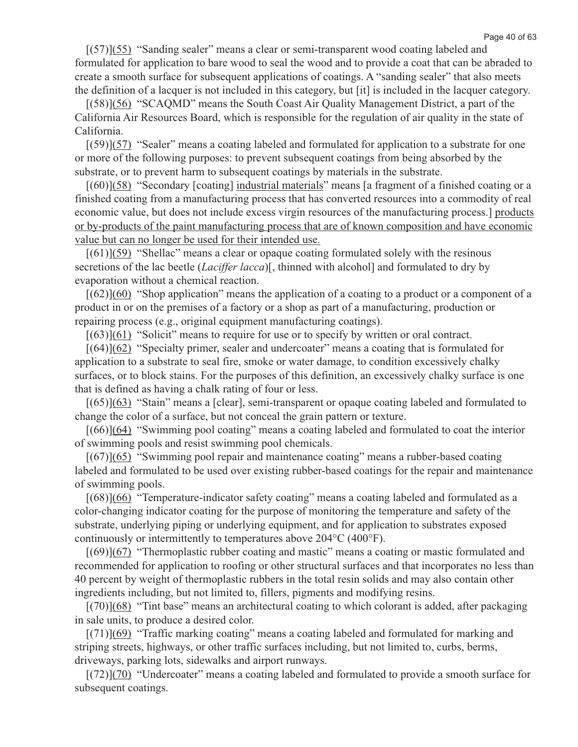$[(57)](55)$  "Sanding sealer" means a clear or semi-transparent wood coating labeled and formulated for application to bare wood to seal the wood and to provide a coat that can be abraded to create a smooth surface for subsequent applications of coatings. A "sanding sealer" that also meets the definition of a lacquer is not included in this category, but [it] is included in the lacquer category.

[(58)](56) "SCAQMD" means the South Coast Air Quality Management District, a part of the California Air Resources Board, which is responsible for the regulation of air quality in the state of California.

[(59)](57) "Sealer" means a coating labeled and formulated for application to a substrate for one or more of the following purposes: to prevent subsequent coatings from being absorbed by the substrate, or to prevent harm to subsequent coatings by materials in the substrate.

[(60)](58) "Secondary [coating] industrial materials" means [a fragment of a finished coating or a finished coating from a manufacturing process that has converted resources into a commodity of real economic value, but does not include excess virgin resources of the manufacturing process.] products or by-products of the paint manufacturing process that are of known composition and have economic value but can no longer be used for their intended use.

[(61)](59) "Shellac" means a clear or opaque coating formulated solely with the resinous secretions of the lac beetle (*Laciffer lacca*)[, thinned with alcohol] and formulated to dry by evaporation without a chemical reaction.

 $[(62)]$ (60) "Shop application" means the application of a coating to a product or a component of a product in or on the premises of a factory or a shop as part of a manufacturing, production or repairing process (e.g., original equipment manufacturing coatings).

 $[(63)](61)$  "Solicit" means to require for use or to specify by written or oral contract.

 $[(64)](62)$  "Specialty primer, sealer and undercoater" means a coating that is formulated for application to a substrate to seal fire, smoke or water damage, to condition excessively chalky surfaces, or to block stains. For the purposes of this definition, an excessively chalky surface is one that is defined as having a chalk rating of four or less.

[(65)](63) "Stain" means a [clear], semi-transparent or opaque coating labeled and formulated to change the color of a surface, but not conceal the grain pattern or texture.

[(66)](64) "Swimming pool coating" means a coating labeled and formulated to coat the interior of swimming pools and resist swimming pool chemicals.

[(67)](65) "Swimming pool repair and maintenance coating" means a rubber-based coating labeled and formulated to be used over existing rubber-based coatings for the repair and maintenance of swimming pools.

 $[(68)]$ (66) "Temperature-indicator safety coating" means a coating labeled and formulated as a color-changing indicator coating for the purpose of monitoring the temperature and safety of the substrate, underlying piping or underlying equipment, and for application to substrates exposed continuously or intermittently to temperatures above 204°C (400°F).

[(69)](67) "Thermoplastic rubber coating and mastic" means a coating or mastic formulated and recommended for application to roofing or other structural surfaces and that incorporates no less than 40 percent by weight of thermoplastic rubbers in the total resin solids and may also contain other ingredients including, but not limited to, fillers, pigments and modifying resins.

 $[(70)]$ (68) "Tint base" means an architectural coating to which colorant is added, after packaging in sale units, to produce a desired color.

[(71)](69) "Traffic marking coating" means a coating labeled and formulated for marking and striping streets, highways, or other traffic surfaces including, but not limited to, curbs, berms, driveways, parking lots, sidewalks and airport runways.

 $[(72)](70)$  "Undercoater" means a coating labeled and formulated to provide a smooth surface for subsequent coatings.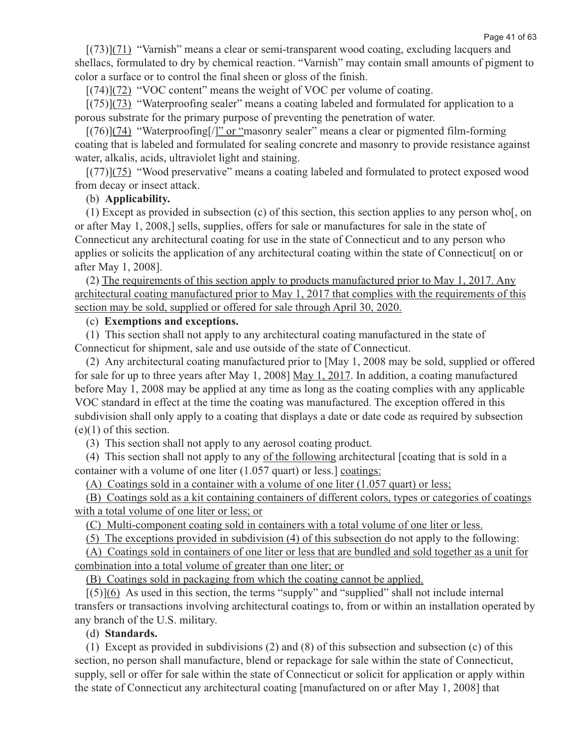Page 41 of 63

 $[(73)](71)$  "Varnish" means a clear or semi-transparent wood coating, excluding lacquers and shellacs, formulated to dry by chemical reaction. "Varnish" may contain small amounts of pigment to color a surface or to control the final sheen or gloss of the finish.

[(74)](72) "VOC content" means the weight of VOC per volume of coating.

 $[(75)](73)$  "Waterproofing sealer" means a coating labeled and formulated for application to a porous substrate for the primary purpose of preventing the penetration of water.

[(76)](74) "Waterproofing[/]" or "masonry sealer" means a clear or pigmented film-forming coating that is labeled and formulated for sealing concrete and masonry to provide resistance against water, alkalis, acids, ultraviolet light and staining.

[(77)](75) "Wood preservative" means a coating labeled and formulated to protect exposed wood from decay or insect attack.

# (b) **Applicability.**

(1) Except as provided in subsection (c) of this section, this section applies to any person who[, on or after May 1, 2008,] sells, supplies, offers for sale or manufactures for sale in the state of Connecticut any architectural coating for use in the state of Connecticut and to any person who applies or solicits the application of any architectural coating within the state of Connecticut on or after May 1, 2008].

(2) The requirements of this section apply to products manufactured prior to May 1, 2017. Any architectural coating manufactured prior to May 1, 2017 that complies with the requirements of this section may be sold, supplied or offered for sale through April 30, 2020.

## (c) **Exemptions and exceptions.**

(1) This section shall not apply to any architectural coating manufactured in the state of Connecticut for shipment, sale and use outside of the state of Connecticut.

(2) Any architectural coating manufactured prior to [May 1, 2008 may be sold, supplied or offered for sale for up to three years after May 1, 2008] May 1, 2017. In addition, a coating manufactured before May 1, 2008 may be applied at any time as long as the coating complies with any applicable VOC standard in effect at the time the coating was manufactured. The exception offered in this subdivision shall only apply to a coating that displays a date or date code as required by subsection  $(e)(1)$  of this section.

(3) This section shall not apply to any aerosol coating product.

(4) This section shall not apply to any of the following architectural [coating that is sold in a container with a volume of one liter (1.057 quart) or less.] coatings:

(A) Coatings sold in a container with a volume of one liter (1.057 quart) or less;

(B) Coatings sold as a kit containing containers of different colors, types or categories of coatings with a total volume of one liter or less; or

(C) Multi-component coating sold in containers with a total volume of one liter or less.

(5) The exceptions provided in subdivision (4) of this subsection do not apply to the following:

(A) Coatings sold in containers of one liter or less that are bundled and sold together as a unit for combination into a total volume of greater than one liter; or

(B) Coatings sold in packaging from which the coating cannot be applied.

 $[(5)](6)$  As used in this section, the terms "supply" and "supplied" shall not include internal transfers or transactions involving architectural coatings to, from or within an installation operated by any branch of the U.S. military.

# (d) **Standards.**

(1) Except as provided in subdivisions (2) and (8) of this subsection and subsection (c) of this section, no person shall manufacture, blend or repackage for sale within the state of Connecticut, supply, sell or offer for sale within the state of Connecticut or solicit for application or apply within the state of Connecticut any architectural coating [manufactured on or after May 1, 2008] that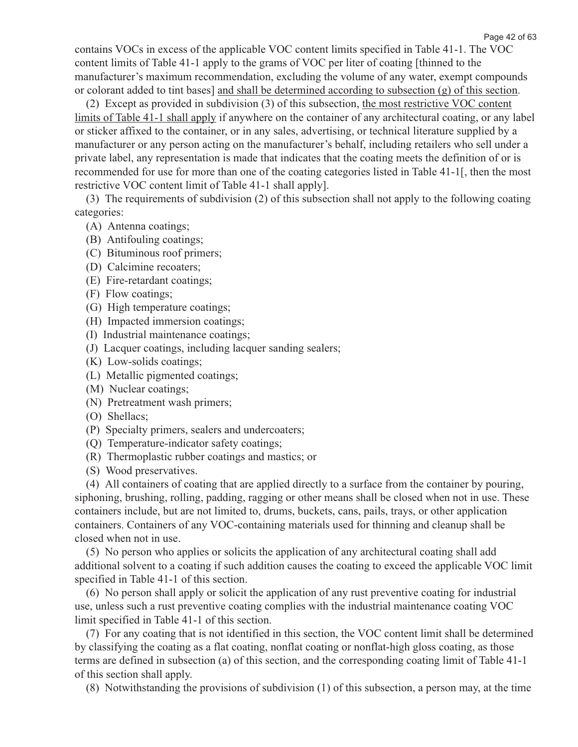contains VOCs in excess of the applicable VOC content limits specified in Table 41-1. The VOC content limits of Table 41-1 apply to the grams of VOC per liter of coating [thinned to the manufacturer's maximum recommendation, excluding the volume of any water, exempt compounds or colorant added to tint bases] and shall be determined according to subsection (g) of this section.

(2) Except as provided in subdivision (3) of this subsection, the most restrictive VOC content limits of Table 41-1 shall apply if anywhere on the container of any architectural coating, or any label or sticker affixed to the container, or in any sales, advertising, or technical literature supplied by a manufacturer or any person acting on the manufacturer's behalf, including retailers who sell under a private label, any representation is made that indicates that the coating meets the definition of or is recommended for use for more than one of the coating categories listed in Table 41-1[, then the most restrictive VOC content limit of Table 41-1 shall apply].

(3) The requirements of subdivision (2) of this subsection shall not apply to the following coating categories:

- (A) Antenna coatings;
- (B) Antifouling coatings;
- (C) Bituminous roof primers;
- (D) Calcimine recoaters;
- (E) Fire-retardant coatings;
- (F) Flow coatings;
- (G) High temperature coatings;
- (H) Impacted immersion coatings;
- (I) Industrial maintenance coatings;
- (J) Lacquer coatings, including lacquer sanding sealers;
- (K) Low-solids coatings;
- (L) Metallic pigmented coatings;
- (M) Nuclear coatings;
- (N) Pretreatment wash primers;
- (O) Shellacs;
- (P) Specialty primers, sealers and undercoaters;
- (Q) Temperature-indicator safety coatings;
- (R) Thermoplastic rubber coatings and mastics; or
- (S) Wood preservatives.

(4) All containers of coating that are applied directly to a surface from the container by pouring, siphoning, brushing, rolling, padding, ragging or other means shall be closed when not in use. These containers include, but are not limited to, drums, buckets, cans, pails, trays, or other application containers. Containers of any VOC-containing materials used for thinning and cleanup shall be closed when not in use.

(5) No person who applies or solicits the application of any architectural coating shall add additional solvent to a coating if such addition causes the coating to exceed the applicable VOC limit specified in Table 41-1 of this section.

(6) No person shall apply or solicit the application of any rust preventive coating for industrial use, unless such a rust preventive coating complies with the industrial maintenance coating VOC limit specified in Table 41-1 of this section.

(7) For any coating that is not identified in this section, the VOC content limit shall be determined by classifying the coating as a flat coating, nonflat coating or nonflat-high gloss coating, as those terms are defined in subsection (a) of this section, and the corresponding coating limit of Table 41-1 of this section shall apply.

(8) Notwithstanding the provisions of subdivision (1) of this subsection, a person may, at the time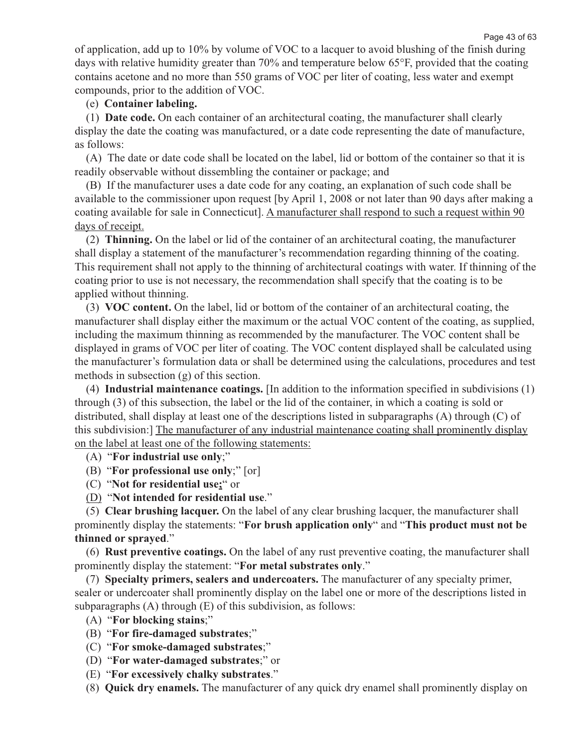of application, add up to 10% by volume of VOC to a lacquer to avoid blushing of the finish during days with relative humidity greater than 70% and temperature below 65°F, provided that the coating contains acetone and no more than 550 grams of VOC per liter of coating, less water and exempt compounds, prior to the addition of VOC.

Page 43 of 63

# (e) **Container labeling.**

(1) **Date code.** On each container of an architectural coating, the manufacturer shall clearly display the date the coating was manufactured, or a date code representing the date of manufacture, as follows:

(A) The date or date code shall be located on the label, lid or bottom of the container so that it is readily observable without dissembling the container or package; and

(B) If the manufacturer uses a date code for any coating, an explanation of such code shall be available to the commissioner upon request [by April 1, 2008 or not later than 90 days after making a coating available for sale in Connecticut]. A manufacturer shall respond to such a request within 90 days of receipt.

(2) **Thinning.** On the label or lid of the container of an architectural coating, the manufacturer shall display a statement of the manufacturer's recommendation regarding thinning of the coating. This requirement shall not apply to the thinning of architectural coatings with water. If thinning of the coating prior to use is not necessary, the recommendation shall specify that the coating is to be applied without thinning.

(3) **VOC content.** On the label, lid or bottom of the container of an architectural coating, the manufacturer shall display either the maximum or the actual VOC content of the coating, as supplied, including the maximum thinning as recommended by the manufacturer. The VOC content shall be displayed in grams of VOC per liter of coating. The VOC content displayed shall be calculated using the manufacturer's formulation data or shall be determined using the calculations, procedures and test methods in subsection (g) of this section.

(4) **Industrial maintenance coatings.** [In addition to the information specified in subdivisions (1) through (3) of this subsection, the label or the lid of the container, in which a coating is sold or distributed, shall display at least one of the descriptions listed in subparagraphs (A) through (C) of this subdivision:] The manufacturer of any industrial maintenance coating shall prominently display on the label at least one of the following statements:

- (A) "**For industrial use only**;"
- (B) "**For professional use only**;" [or]
- (C) "**Not for residential use;**" or
- (D) "**Not intended for residential use**."

(5) **Clear brushing lacquer.** On the label of any clear brushing lacquer, the manufacturer shall prominently display the statements: "**For brush application only**" and "**This product must not be thinned or sprayed**."

(6) **Rust preventive coatings.** On the label of any rust preventive coating, the manufacturer shall prominently display the statement: "**For metal substrates only**."

(7) **Specialty primers, sealers and undercoaters.** The manufacturer of any specialty primer, sealer or undercoater shall prominently display on the label one or more of the descriptions listed in subparagraphs (A) through (E) of this subdivision, as follows:

- (A) "**For blocking stains**;"
- (B) "**For fire-damaged substrates**;"
- (C) "**For smoke-damaged substrates**;"
- (D) "**For water-damaged substrates**;" or
- (E) "**For excessively chalky substrates**."
- (8) **Quick dry enamels.** The manufacturer of any quick dry enamel shall prominently display on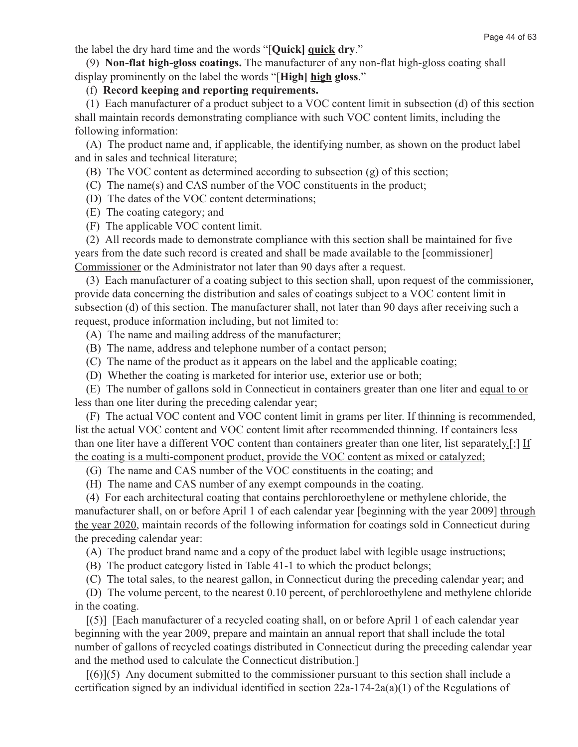the label the dry hard time and the words "[**Quick] quick dry**."

(9) **Non-flat high-gloss coatings.** The manufacturer of any non-flat high-gloss coating shall display prominently on the label the words "[**High] high gloss**."

#### (f) **Record keeping and reporting requirements.**

(1) Each manufacturer of a product subject to a VOC content limit in subsection (d) of this section shall maintain records demonstrating compliance with such VOC content limits, including the following information:

(A) The product name and, if applicable, the identifying number, as shown on the product label and in sales and technical literature;

(B) The VOC content as determined according to subsection (g) of this section;

(C) The name(s) and CAS number of the VOC constituents in the product;

- (D) The dates of the VOC content determinations;
- (E) The coating category; and
- (F) The applicable VOC content limit.

(2) All records made to demonstrate compliance with this section shall be maintained for five years from the date such record is created and shall be made available to the [commissioner] Commissioner or the Administrator not later than 90 days after a request.

(3) Each manufacturer of a coating subject to this section shall, upon request of the commissioner, provide data concerning the distribution and sales of coatings subject to a VOC content limit in subsection (d) of this section. The manufacturer shall, not later than 90 days after receiving such a request, produce information including, but not limited to:

(A) The name and mailing address of the manufacturer;

- (B) The name, address and telephone number of a contact person;
- (C) The name of the product as it appears on the label and the applicable coating;
- (D) Whether the coating is marketed for interior use, exterior use or both;

(E) The number of gallons sold in Connecticut in containers greater than one liter and equal to or less than one liter during the preceding calendar year;

(F) The actual VOC content and VOC content limit in grams per liter. If thinning is recommended, list the actual VOC content and VOC content limit after recommended thinning. If containers less than one liter have a different VOC content than containers greater than one liter, list separately.[;] If the coating is a multi-component product, provide the VOC content as mixed or catalyzed;

(G) The name and CAS number of the VOC constituents in the coating; and

(H) The name and CAS number of any exempt compounds in the coating.

(4) For each architectural coating that contains perchloroethylene or methylene chloride, the manufacturer shall, on or before April 1 of each calendar year [beginning with the year 2009] through the year 2020, maintain records of the following information for coatings sold in Connecticut during the preceding calendar year:

(A) The product brand name and a copy of the product label with legible usage instructions;

(B) The product category listed in Table 41-1 to which the product belongs;

(C) The total sales, to the nearest gallon, in Connecticut during the preceding calendar year; and

(D) The volume percent, to the nearest 0.10 percent, of perchloroethylene and methylene chloride in the coating.

[(5)] [Each manufacturer of a recycled coating shall, on or before April 1 of each calendar year beginning with the year 2009, prepare and maintain an annual report that shall include the total number of gallons of recycled coatings distributed in Connecticut during the preceding calendar year and the method used to calculate the Connecticut distribution.]

 $[(6)](5)$  Any document submitted to the commissioner pursuant to this section shall include a certification signed by an individual identified in section  $22a-174-2a(a)(1)$  of the Regulations of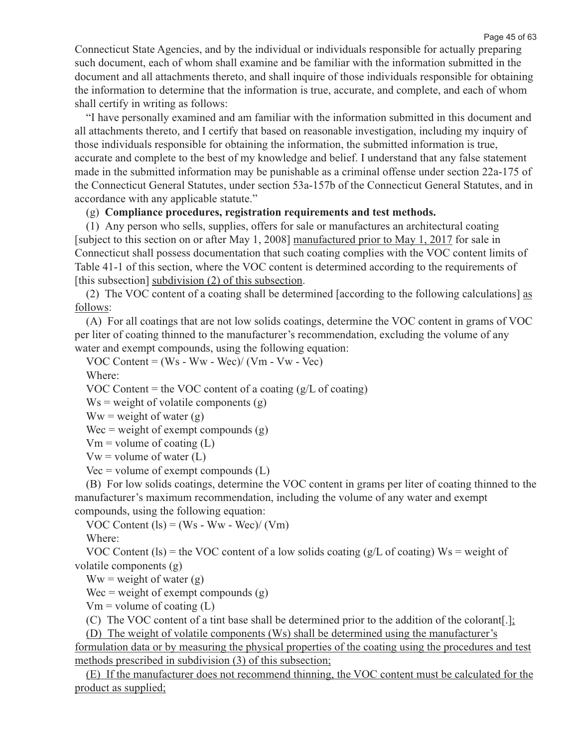Connecticut State Agencies, and by the individual or individuals responsible for actually preparing such document, each of whom shall examine and be familiar with the information submitted in the document and all attachments thereto, and shall inquire of those individuals responsible for obtaining the information to determine that the information is true, accurate, and complete, and each of whom shall certify in writing as follows:

"I have personally examined and am familiar with the information submitted in this document and all attachments thereto, and I certify that based on reasonable investigation, including my inquiry of those individuals responsible for obtaining the information, the submitted information is true, accurate and complete to the best of my knowledge and belief. I understand that any false statement made in the submitted information may be punishable as a criminal offense under section 22a-175 of the Connecticut General Statutes, under section 53a-157b of the Connecticut General Statutes, and in accordance with any applicable statute."

# (g) **Compliance procedures, registration requirements and test methods.**

(1) Any person who sells, supplies, offers for sale or manufactures an architectural coating [subject to this section on or after May 1, 2008] manufactured prior to May 1, 2017 for sale in Connecticut shall possess documentation that such coating complies with the VOC content limits of Table 41-1 of this section, where the VOC content is determined according to the requirements of [this subsection] subdivision (2) of this subsection.

(2) The VOC content of a coating shall be determined [according to the following calculations] as follows:

(A) For all coatings that are not low solids coatings, determine the VOC content in grams of VOC per liter of coating thinned to the manufacturer's recommendation, excluding the volume of any water and exempt compounds, using the following equation:

VOC Content = (Ws - Ww - Wec)/ (Vm - Vw - Vec)

Where:

VOC Content = the VOC content of a coating  $(g/L \text{ of coating})$ 

 $Ws$  = weight of volatile components (g)

 $Ww = weight of water(g)$ 

Wec = weight of exempt compounds  $(g)$ 

 $Vm = volume of coating (L)$ 

 $Vw =$  volume of water  $(L)$ 

 $Vec = volume of$  exempt compounds  $(L)$ 

(B) For low solids coatings, determine the VOC content in grams per liter of coating thinned to the manufacturer's maximum recommendation, including the volume of any water and exempt compounds, using the following equation:

VOC Content  $(ls) = (Ws - Ww - Wec)/(Vm)$ 

Where:

VOC Content (ls) = the VOC content of a low solids coating ( $g/L$  of coating) Ws = weight of volatile components (g)

 $Ww = weight of water(g)$ 

Wec = weight of exempt compounds  $(g)$ 

 $Vm = volume$  of coating (L)

(C) The VOC content of a tint base shall be determined prior to the addition of the colorant[.];

(D) The weight of volatile components (Ws) shall be determined using the manufacturer's formulation data or by measuring the physical properties of the coating using the procedures and test methods prescribed in subdivision (3) of this subsection;

(E) If the manufacturer does not recommend thinning, the VOC content must be calculated for the product as supplied;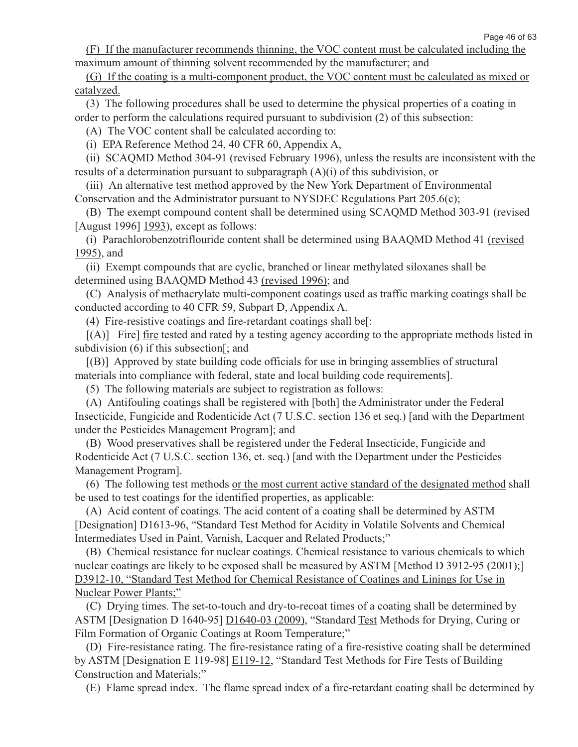Page 46 of 63

(F) If the manufacturer recommends thinning, the VOC content must be calculated including the maximum amount of thinning solvent recommended by the manufacturer; and

(G) If the coating is a multi-component product, the VOC content must be calculated as mixed or catalyzed.

(3) The following procedures shall be used to determine the physical properties of a coating in order to perform the calculations required pursuant to subdivision (2) of this subsection:

(A) The VOC content shall be calculated according to:

(i) EPA Reference Method 24, 40 CFR 60, Appendix A,

(ii) SCAQMD Method 304-91 (revised February 1996), unless the results are inconsistent with the results of a determination pursuant to subparagraph (A)(i) of this subdivision, or

(iii) An alternative test method approved by the New York Department of Environmental Conservation and the Administrator pursuant to NYSDEC Regulations Part 205.6(c);

(B) The exempt compound content shall be determined using SCAQMD Method 303-91 (revised [August 1996] 1993), except as follows:

(i) Parachlorobenzotriflouride content shall be determined using BAAQMD Method 41 (revised 1995), and

(ii) Exempt compounds that are cyclic, branched or linear methylated siloxanes shall be determined using BAAQMD Method 43 (revised 1996); and

(C) Analysis of methacrylate multi-component coatings used as traffic marking coatings shall be conducted according to 40 CFR 59, Subpart D, Appendix A.

(4) Fire-resistive coatings and fire-retardant coatings shall be[:

[(A)] Fire] fire tested and rated by a testing agency according to the appropriate methods listed in subdivision (6) if this subsection<sup>[</sup>; and

[(B)] Approved by state building code officials for use in bringing assemblies of structural materials into compliance with federal, state and local building code requirements].

(5) The following materials are subject to registration as follows:

(A) Antifouling coatings shall be registered with [both] the Administrator under the Federal Insecticide, Fungicide and Rodenticide Act (7 U.S.C. section 136 et seq.) [and with the Department under the Pesticides Management Program]; and

(B) Wood preservatives shall be registered under the Federal Insecticide, Fungicide and Rodenticide Act (7 U.S.C. section 136, et. seq.) [and with the Department under the Pesticides Management Program].

(6) The following test methods or the most current active standard of the designated method shall be used to test coatings for the identified properties, as applicable:

(A) Acid content of coatings. The acid content of a coating shall be determined by ASTM [Designation] D1613-96, "Standard Test Method for Acidity in Volatile Solvents and Chemical Intermediates Used in Paint, Varnish, Lacquer and Related Products;"

(B) Chemical resistance for nuclear coatings. Chemical resistance to various chemicals to which nuclear coatings are likely to be exposed shall be measured by ASTM [Method D 3912-95 (2001);] D3912-10, "Standard Test Method for Chemical Resistance of Coatings and Linings for Use in Nuclear Power Plants;"

(C) Drying times. The set-to-touch and dry-to-recoat times of a coating shall be determined by ASTM [Designation D 1640-95] D1640-03 (2009), "Standard Test Methods for Drying, Curing or Film Formation of Organic Coatings at Room Temperature;"

(D) Fire-resistance rating. The fire-resistance rating of a fire-resistive coating shall be determined by ASTM [Designation E 119-98] E119-12, "Standard Test Methods for Fire Tests of Building Construction and Materials;"

(E) Flame spread index. The flame spread index of a fire-retardant coating shall be determined by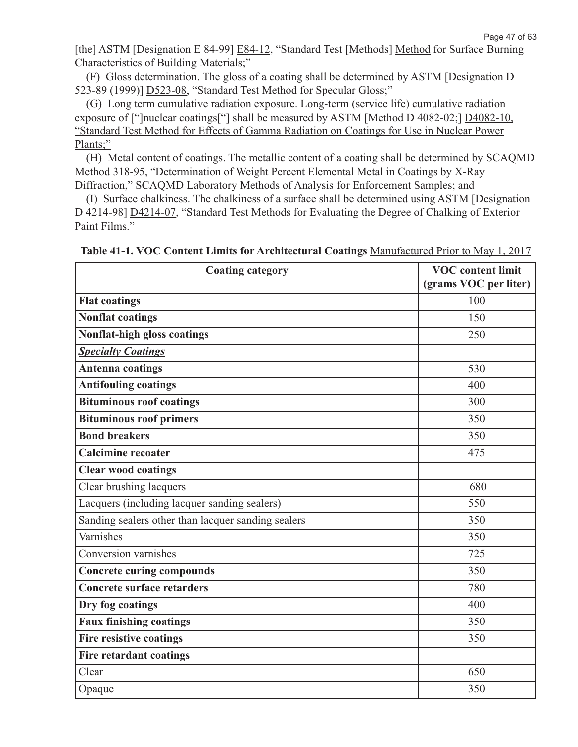[the] ASTM [Designation E 84-99] E84-12, "Standard Test [Methods] Method for Surface Burning Characteristics of Building Materials;"

(F) Gloss determination. The gloss of a coating shall be determined by ASTM [Designation D 523-89 (1999)] D523-08, "Standard Test Method for Specular Gloss;"

(G) Long term cumulative radiation exposure. Long-term (service life) cumulative radiation exposure of ["]nuclear coatings["] shall be measured by ASTM [Method D 4082-02;] D4082-10, "Standard Test Method for Effects of Gamma Radiation on Coatings for Use in Nuclear Power Plants;"

(H) Metal content of coatings. The metallic content of a coating shall be determined by SCAQMD Method 318-95, "Determination of Weight Percent Elemental Metal in Coatings by X-Ray Diffraction," SCAQMD Laboratory Methods of Analysis for Enforcement Samples; and

(I) Surface chalkiness. The chalkiness of a surface shall be determined using ASTM [Designation D 4214-98] D4214-07, "Standard Test Methods for Evaluating the Degree of Chalking of Exterior Paint Films."

| <b>Coating category</b>                            | <b>VOC</b> content limit<br>(grams VOC per liter) |
|----------------------------------------------------|---------------------------------------------------|
| <b>Flat coatings</b>                               | 100                                               |
| <b>Nonflat coatings</b>                            | 150                                               |
| Nonflat-high gloss coatings                        | 250                                               |
| <b>Specialty Coatings</b>                          |                                                   |
| <b>Antenna coatings</b>                            | 530                                               |
| <b>Antifouling coatings</b>                        | 400                                               |
| <b>Bituminous roof coatings</b>                    | 300                                               |
| <b>Bituminous roof primers</b>                     | 350                                               |
| <b>Bond breakers</b>                               | 350                                               |
| <b>Calcimine recoater</b>                          | 475                                               |
| <b>Clear wood coatings</b>                         |                                                   |
| Clear brushing lacquers                            | 680                                               |
| Lacquers (including lacquer sanding sealers)       | 550                                               |
| Sanding sealers other than lacquer sanding sealers | 350                                               |
| Varnishes                                          | 350                                               |
| Conversion varnishes                               | 725                                               |
| <b>Concrete curing compounds</b>                   | 350                                               |
| Concrete surface retarders                         | 780                                               |
| Dry fog coatings                                   | 400                                               |
| <b>Faux finishing coatings</b>                     | 350                                               |
| Fire resistive coatings                            | 350                                               |
| Fire retardant coatings                            |                                                   |
| Clear                                              | 650                                               |
| Opaque                                             | 350                                               |

**Table 41-1. VOC Content Limits for Architectural Coatings** Manufactured Prior to May 1, 2017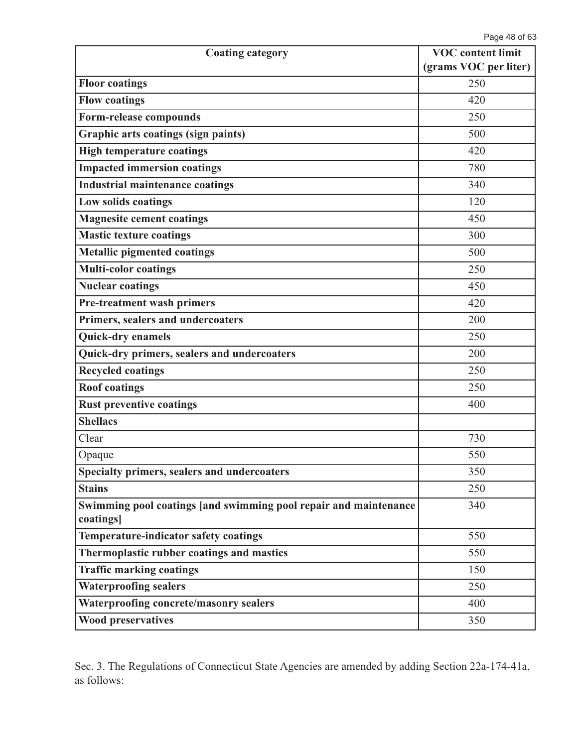| <b>Coating category</b>                                                       | <b>VOC</b> content limit<br>(grams VOC per liter) |
|-------------------------------------------------------------------------------|---------------------------------------------------|
| <b>Floor coatings</b>                                                         | 250                                               |
| <b>Flow coatings</b>                                                          | 420                                               |
| <b>Form-release compounds</b>                                                 | 250                                               |
| Graphic arts coatings (sign paints)                                           | 500                                               |
| <b>High temperature coatings</b>                                              | 420                                               |
| <b>Impacted immersion coatings</b>                                            | 780                                               |
| <b>Industrial maintenance coatings</b>                                        | 340                                               |
| Low solids coatings                                                           | 120                                               |
| <b>Magnesite cement coatings</b>                                              | 450                                               |
| <b>Mastic texture coatings</b>                                                | 300                                               |
| <b>Metallic pigmented coatings</b>                                            | 500                                               |
| <b>Multi-color coatings</b>                                                   | 250                                               |
| <b>Nuclear coatings</b>                                                       | 450                                               |
| <b>Pre-treatment wash primers</b>                                             | 420                                               |
| Primers, sealers and undercoaters                                             | 200                                               |
| <b>Quick-dry enamels</b>                                                      | 250                                               |
| Quick-dry primers, sealers and undercoaters                                   | 200                                               |
| <b>Recycled coatings</b>                                                      | 250                                               |
| <b>Roof coatings</b>                                                          | 250                                               |
| <b>Rust preventive coatings</b>                                               | 400                                               |
| <b>Shellacs</b>                                                               |                                                   |
| Clear                                                                         | 730                                               |
| Opaque                                                                        | 550                                               |
| Specialty primers, sealers and undercoaters                                   | 350                                               |
| <b>Stains</b>                                                                 | 250                                               |
| Swimming pool coatings [and swimming pool repair and maintenance]<br>coatings | 340                                               |
| Temperature-indicator safety coatings                                         | 550                                               |
| Thermoplastic rubber coatings and mastics                                     | 550                                               |
| <b>Traffic marking coatings</b>                                               | 150                                               |
| <b>Waterproofing sealers</b>                                                  | 250                                               |
| <b>Waterproofing concrete/masonry sealers</b>                                 | 400                                               |
| <b>Wood preservatives</b>                                                     | 350                                               |

Sec. 3. The Regulations of Connecticut State Agencies are amended by adding Section 22a-174-41a, as follows: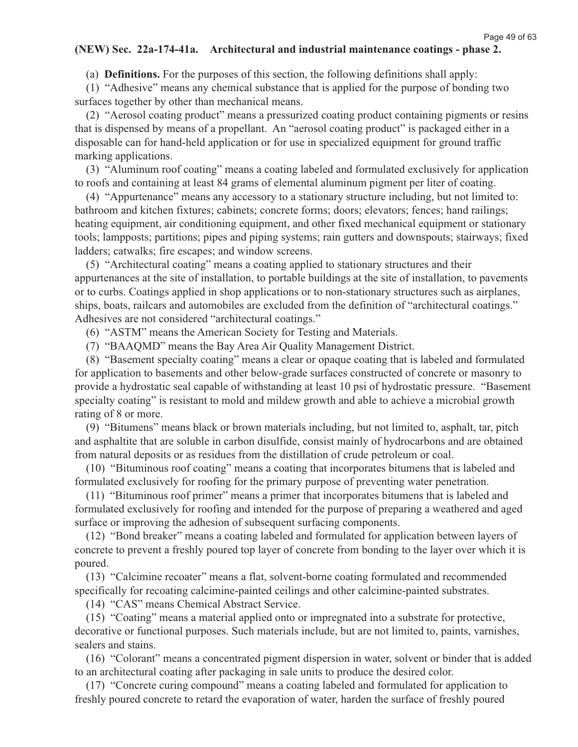## **(NEW) Sec. 22a-174-41a. Architectural and industrial maintenance coatings - phase 2.**

(a) **Definitions.** For the purposes of this section, the following definitions shall apply:

(1) "Adhesive" means any chemical substance that is applied for the purpose of bonding two surfaces together by other than mechanical means.

(2) "Aerosol coating product" means a pressurized coating product containing pigments or resins that is dispensed by means of a propellant. An "aerosol coating product" is packaged either in a disposable can for hand-held application or for use in specialized equipment for ground traffic marking applications.

(3) "Aluminum roof coating" means a coating labeled and formulated exclusively for application to roofs and containing at least 84 grams of elemental aluminum pigment per liter of coating.

(4) "Appurtenance" means any accessory to a stationary structure including, but not limited to: bathroom and kitchen fixtures; cabinets; concrete forms; doors; elevators; fences; hand railings; heating equipment, air conditioning equipment, and other fixed mechanical equipment or stationary tools; lampposts; partitions; pipes and piping systems; rain gutters and downspouts; stairways; fixed ladders; catwalks; fire escapes; and window screens.

(5) "Architectural coating" means a coating applied to stationary structures and their appurtenances at the site of installation, to portable buildings at the site of installation, to pavements or to curbs. Coatings applied in shop applications or to non-stationary structures such as airplanes, ships, boats, railcars and automobiles are excluded from the definition of "architectural coatings." Adhesives are not considered "architectural coatings."

(6) "ASTM" means the American Society for Testing and Materials.

(7) "BAAQMD" means the Bay Area Air Quality Management District.

(8) "Basement specialty coating" means a clear or opaque coating that is labeled and formulated for application to basements and other below-grade surfaces constructed of concrete or masonry to provide a hydrostatic seal capable of withstanding at least 10 psi of hydrostatic pressure. "Basement specialty coating" is resistant to mold and mildew growth and able to achieve a microbial growth rating of 8 or more.

(9) "Bitumens" means black or brown materials including, but not limited to, asphalt, tar, pitch and asphaltite that are soluble in carbon disulfide, consist mainly of hydrocarbons and are obtained from natural deposits or as residues from the distillation of crude petroleum or coal.

(10) "Bituminous roof coating" means a coating that incorporates bitumens that is labeled and formulated exclusively for roofing for the primary purpose of preventing water penetration.

(11) "Bituminous roof primer" means a primer that incorporates bitumens that is labeled and formulated exclusively for roofing and intended for the purpose of preparing a weathered and aged surface or improving the adhesion of subsequent surfacing components.

(12) "Bond breaker" means a coating labeled and formulated for application between layers of concrete to prevent a freshly poured top layer of concrete from bonding to the layer over which it is poured.

(13) "Calcimine recoater" means a flat, solvent-borne coating formulated and recommended specifically for recoating calcimine-painted ceilings and other calcimine-painted substrates.

(14) "CAS" means Chemical Abstract Service.

(15) "Coating" means a material applied onto or impregnated into a substrate for protective, decorative or functional purposes. Such materials include, but are not limited to, paints, varnishes, sealers and stains.

(16) "Colorant" means a concentrated pigment dispersion in water, solvent or binder that is added to an architectural coating after packaging in sale units to produce the desired color.

(17) "Concrete curing compound" means a coating labeled and formulated for application to freshly poured concrete to retard the evaporation of water, harden the surface of freshly poured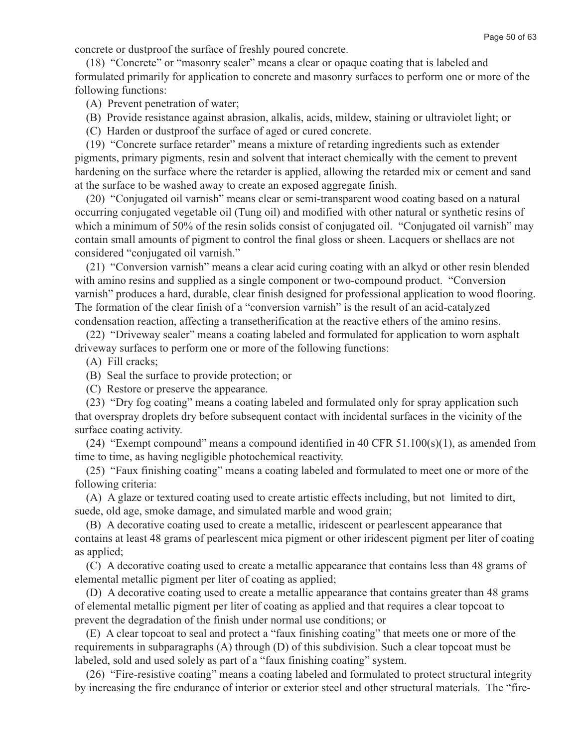concrete or dustproof the surface of freshly poured concrete.

(18) "Concrete" or "masonry sealer" means a clear or opaque coating that is labeled and formulated primarily for application to concrete and masonry surfaces to perform one or more of the following functions:

(A) Prevent penetration of water;

(B) Provide resistance against abrasion, alkalis, acids, mildew, staining or ultraviolet light; or

(C) Harden or dustproof the surface of aged or cured concrete.

(19) "Concrete surface retarder" means a mixture of retarding ingredients such as extender pigments, primary pigments, resin and solvent that interact chemically with the cement to prevent hardening on the surface where the retarder is applied, allowing the retarded mix or cement and sand at the surface to be washed away to create an exposed aggregate finish.

(20) "Conjugated oil varnish" means clear or semi-transparent wood coating based on a natural occurring conjugated vegetable oil (Tung oil) and modified with other natural or synthetic resins of which a minimum of 50% of the resin solids consist of conjugated oil. "Conjugated oil varnish" may contain small amounts of pigment to control the final gloss or sheen. Lacquers or shellacs are not considered "conjugated oil varnish."

(21) "Conversion varnish" means a clear acid curing coating with an alkyd or other resin blended with amino resins and supplied as a single component or two-compound product. "Conversion varnish" produces a hard, durable, clear finish designed for professional application to wood flooring. The formation of the clear finish of a "conversion varnish" is the result of an acid-catalyzed condensation reaction, affecting a transetherification at the reactive ethers of the amino resins.

(22) "Driveway sealer" means a coating labeled and formulated for application to worn asphalt driveway surfaces to perform one or more of the following functions:

(A) Fill cracks;

(B) Seal the surface to provide protection; or

(C) Restore or preserve the appearance.

(23) "Dry fog coating" means a coating labeled and formulated only for spray application such that overspray droplets dry before subsequent contact with incidental surfaces in the vicinity of the surface coating activity.

(24) "Exempt compound" means a compound identified in 40 CFR  $51.100(s)(1)$ , as amended from time to time, as having negligible photochemical reactivity.

(25) "Faux finishing coating" means a coating labeled and formulated to meet one or more of the following criteria:

(A) A glaze or textured coating used to create artistic effects including, but not limited to dirt, suede, old age, smoke damage, and simulated marble and wood grain;

(B) A decorative coating used to create a metallic, iridescent or pearlescent appearance that contains at least 48 grams of pearlescent mica pigment or other iridescent pigment per liter of coating as applied;

(C) A decorative coating used to create a metallic appearance that contains less than 48 grams of elemental metallic pigment per liter of coating as applied;

(D) A decorative coating used to create a metallic appearance that contains greater than 48 grams of elemental metallic pigment per liter of coating as applied and that requires a clear topcoat to prevent the degradation of the finish under normal use conditions; or

(E) A clear topcoat to seal and protect a "faux finishing coating" that meets one or more of the requirements in subparagraphs (A) through (D) of this subdivision. Such a clear topcoat must be labeled, sold and used solely as part of a "faux finishing coating" system.

(26) "Fire-resistive coating" means a coating labeled and formulated to protect structural integrity by increasing the fire endurance of interior or exterior steel and other structural materials. The "fire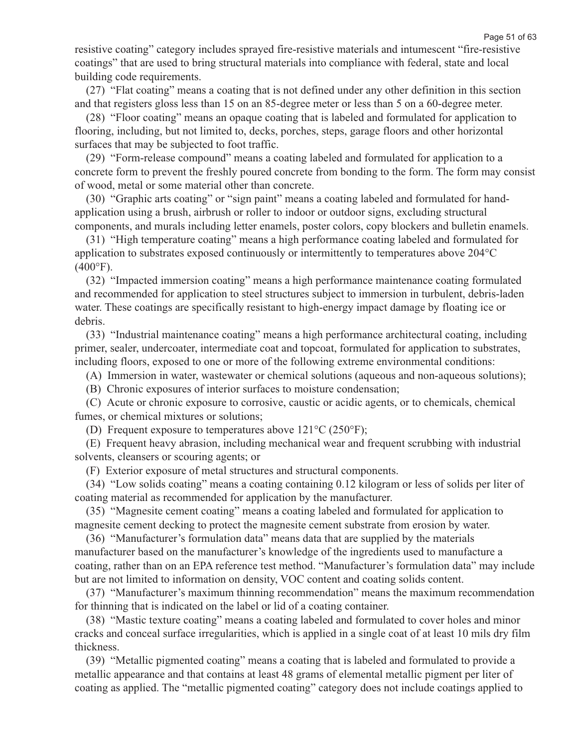resistive coating" category includes sprayed fire-resistive materials and intumescent "fire-resistive coatings" that are used to bring structural materials into compliance with federal, state and local building code requirements.

Page 51 of 63

(27) "Flat coating" means a coating that is not defined under any other definition in this section and that registers gloss less than 15 on an 85-degree meter or less than 5 on a 60-degree meter.

(28) "Floor coating" means an opaque coating that is labeled and formulated for application to flooring, including, but not limited to, decks, porches, steps, garage floors and other horizontal surfaces that may be subjected to foot traffic.

(29) "Form-release compound" means a coating labeled and formulated for application to a concrete form to prevent the freshly poured concrete from bonding to the form. The form may consist of wood, metal or some material other than concrete.

(30) "Graphic arts coating" or "sign paint" means a coating labeled and formulated for handapplication using a brush, airbrush or roller to indoor or outdoor signs, excluding structural components, and murals including letter enamels, poster colors, copy blockers and bulletin enamels.

(31) "High temperature coating" means a high performance coating labeled and formulated for application to substrates exposed continuously or intermittently to temperatures above 204°C  $(400^{\circ}F)$ .

(32) "Impacted immersion coating" means a high performance maintenance coating formulated and recommended for application to steel structures subject to immersion in turbulent, debris-laden water. These coatings are specifically resistant to high-energy impact damage by floating ice or debris.

(33) "Industrial maintenance coating" means a high performance architectural coating, including primer, sealer, undercoater, intermediate coat and topcoat, formulated for application to substrates, including floors, exposed to one or more of the following extreme environmental conditions:

(A) Immersion in water, wastewater or chemical solutions (aqueous and non-aqueous solutions);

(B) Chronic exposures of interior surfaces to moisture condensation;

(C) Acute or chronic exposure to corrosive, caustic or acidic agents, or to chemicals, chemical fumes, or chemical mixtures or solutions;

(D) Frequent exposure to temperatures above 121°C (250°F);

(E) Frequent heavy abrasion, including mechanical wear and frequent scrubbing with industrial solvents, cleansers or scouring agents; or

(F) Exterior exposure of metal structures and structural components.

(34) "Low solids coating" means a coating containing 0.12 kilogram or less of solids per liter of coating material as recommended for application by the manufacturer.

(35) "Magnesite cement coating" means a coating labeled and formulated for application to magnesite cement decking to protect the magnesite cement substrate from erosion by water.

(36) "Manufacturer's formulation data" means data that are supplied by the materials manufacturer based on the manufacturer's knowledge of the ingredients used to manufacture a coating, rather than on an EPA reference test method. "Manufacturer's formulation data" may include but are not limited to information on density, VOC content and coating solids content.

(37) "Manufacturer's maximum thinning recommendation" means the maximum recommendation for thinning that is indicated on the label or lid of a coating container.

(38) "Mastic texture coating" means a coating labeled and formulated to cover holes and minor cracks and conceal surface irregularities, which is applied in a single coat of at least 10 mils dry film thickness.

(39) "Metallic pigmented coating" means a coating that is labeled and formulated to provide a metallic appearance and that contains at least 48 grams of elemental metallic pigment per liter of coating as applied. The "metallic pigmented coating" category does not include coatings applied to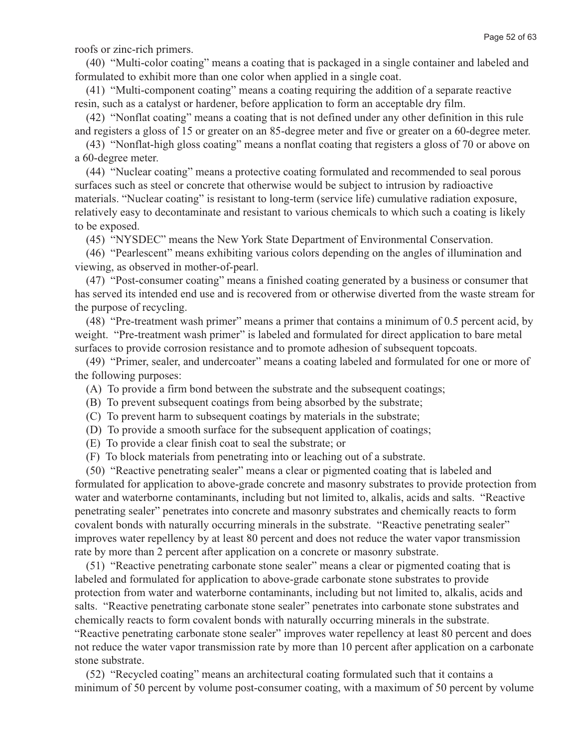roofs or zinc-rich primers.

(40) "Multi-color coating" means a coating that is packaged in a single container and labeled and formulated to exhibit more than one color when applied in a single coat.

(41) "Multi-component coating" means a coating requiring the addition of a separate reactive resin, such as a catalyst or hardener, before application to form an acceptable dry film.

(42) "Nonflat coating" means a coating that is not defined under any other definition in this rule and registers a gloss of 15 or greater on an 85-degree meter and five or greater on a 60-degree meter.

(43) "Nonflat-high gloss coating" means a nonflat coating that registers a gloss of 70 or above on a 60-degree meter.

(44) "Nuclear coating" means a protective coating formulated and recommended to seal porous surfaces such as steel or concrete that otherwise would be subject to intrusion by radioactive materials. "Nuclear coating" is resistant to long-term (service life) cumulative radiation exposure, relatively easy to decontaminate and resistant to various chemicals to which such a coating is likely to be exposed.

(45) "NYSDEC" means the New York State Department of Environmental Conservation.

(46) "Pearlescent" means exhibiting various colors depending on the angles of illumination and viewing, as observed in mother-of-pearl.

(47) "Post-consumer coating" means a finished coating generated by a business or consumer that has served its intended end use and is recovered from or otherwise diverted from the waste stream for the purpose of recycling.

(48) "Pre-treatment wash primer" means a primer that contains a minimum of 0.5 percent acid, by weight. "Pre-treatment wash primer" is labeled and formulated for direct application to bare metal surfaces to provide corrosion resistance and to promote adhesion of subsequent topcoats.

(49) "Primer, sealer, and undercoater" means a coating labeled and formulated for one or more of the following purposes:

(A) To provide a firm bond between the substrate and the subsequent coatings;

- (B) To prevent subsequent coatings from being absorbed by the substrate;
- (C) To prevent harm to subsequent coatings by materials in the substrate;
- (D) To provide a smooth surface for the subsequent application of coatings;
- (E) To provide a clear finish coat to seal the substrate; or

(F) To block materials from penetrating into or leaching out of a substrate.

(50) "Reactive penetrating sealer" means a clear or pigmented coating that is labeled and formulated for application to above-grade concrete and masonry substrates to provide protection from water and waterborne contaminants, including but not limited to, alkalis, acids and salts. "Reactive penetrating sealer" penetrates into concrete and masonry substrates and chemically reacts to form covalent bonds with naturally occurring minerals in the substrate. "Reactive penetrating sealer" improves water repellency by at least 80 percent and does not reduce the water vapor transmission rate by more than 2 percent after application on a concrete or masonry substrate.

(51) "Reactive penetrating carbonate stone sealer" means a clear or pigmented coating that is labeled and formulated for application to above-grade carbonate stone substrates to provide protection from water and waterborne contaminants, including but not limited to, alkalis, acids and salts. "Reactive penetrating carbonate stone sealer" penetrates into carbonate stone substrates and chemically reacts to form covalent bonds with naturally occurring minerals in the substrate. "Reactive penetrating carbonate stone sealer" improves water repellency at least 80 percent and does not reduce the water vapor transmission rate by more than 10 percent after application on a carbonate stone substrate.

(52) "Recycled coating" means an architectural coating formulated such that it contains a minimum of 50 percent by volume post-consumer coating, with a maximum of 50 percent by volume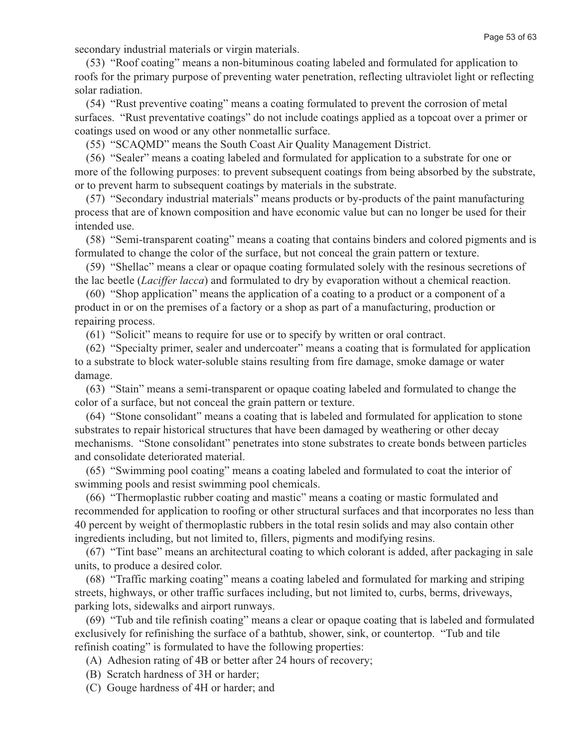secondary industrial materials or virgin materials.

(53) "Roof coating" means a non-bituminous coating labeled and formulated for application to roofs for the primary purpose of preventing water penetration, reflecting ultraviolet light or reflecting solar radiation.

(54) "Rust preventive coating" means a coating formulated to prevent the corrosion of metal surfaces. "Rust preventative coatings" do not include coatings applied as a topcoat over a primer or coatings used on wood or any other nonmetallic surface.

(55) "SCAQMD" means the South Coast Air Quality Management District.

(56) "Sealer" means a coating labeled and formulated for application to a substrate for one or more of the following purposes: to prevent subsequent coatings from being absorbed by the substrate, or to prevent harm to subsequent coatings by materials in the substrate.

(57) "Secondary industrial materials" means products or by-products of the paint manufacturing process that are of known composition and have economic value but can no longer be used for their intended use.

(58) "Semi-transparent coating" means a coating that contains binders and colored pigments and is formulated to change the color of the surface, but not conceal the grain pattern or texture.

(59) "Shellac" means a clear or opaque coating formulated solely with the resinous secretions of the lac beetle (*Laciffer lacca*) and formulated to dry by evaporation without a chemical reaction.

(60) "Shop application" means the application of a coating to a product or a component of a product in or on the premises of a factory or a shop as part of a manufacturing, production or repairing process.

(61) "Solicit" means to require for use or to specify by written or oral contract.

(62) "Specialty primer, sealer and undercoater" means a coating that is formulated for application to a substrate to block water-soluble stains resulting from fire damage, smoke damage or water damage.

(63) "Stain" means a semi-transparent or opaque coating labeled and formulated to change the color of a surface, but not conceal the grain pattern or texture.

(64) "Stone consolidant" means a coating that is labeled and formulated for application to stone substrates to repair historical structures that have been damaged by weathering or other decay mechanisms. "Stone consolidant" penetrates into stone substrates to create bonds between particles and consolidate deteriorated material.

(65) "Swimming pool coating" means a coating labeled and formulated to coat the interior of swimming pools and resist swimming pool chemicals.

(66) "Thermoplastic rubber coating and mastic" means a coating or mastic formulated and recommended for application to roofing or other structural surfaces and that incorporates no less than 40 percent by weight of thermoplastic rubbers in the total resin solids and may also contain other ingredients including, but not limited to, fillers, pigments and modifying resins.

(67) "Tint base" means an architectural coating to which colorant is added, after packaging in sale units, to produce a desired color.

(68) "Traffic marking coating" means a coating labeled and formulated for marking and striping streets, highways, or other traffic surfaces including, but not limited to, curbs, berms, driveways, parking lots, sidewalks and airport runways.

(69) "Tub and tile refinish coating" means a clear or opaque coating that is labeled and formulated exclusively for refinishing the surface of a bathtub, shower, sink, or countertop. "Tub and tile refinish coating" is formulated to have the following properties:

(A) Adhesion rating of 4B or better after 24 hours of recovery;

(B) Scratch hardness of 3H or harder;

(C) Gouge hardness of 4H or harder; and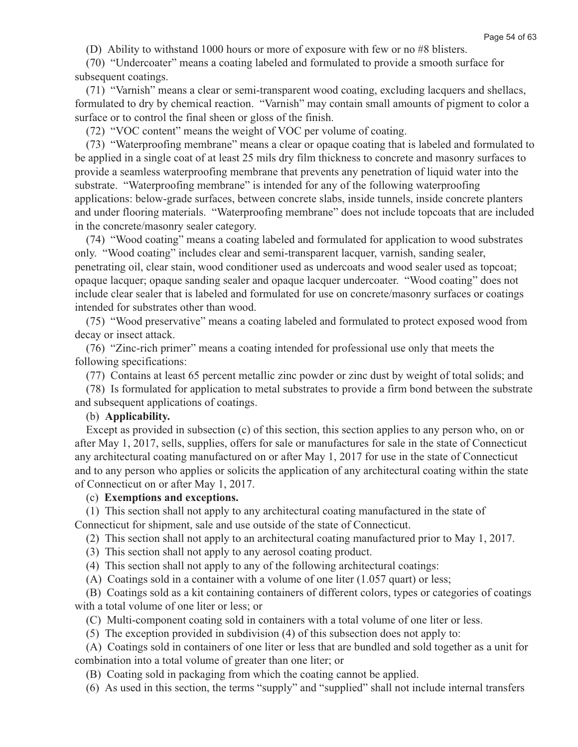(D) Ability to withstand 1000 hours or more of exposure with few or no #8 blisters.

(70) "Undercoater" means a coating labeled and formulated to provide a smooth surface for subsequent coatings.

(71) "Varnish" means a clear or semi-transparent wood coating, excluding lacquers and shellacs, formulated to dry by chemical reaction. "Varnish" may contain small amounts of pigment to color a surface or to control the final sheen or gloss of the finish.

(72) "VOC content" means the weight of VOC per volume of coating.

(73) "Waterproofing membrane" means a clear or opaque coating that is labeled and formulated to be applied in a single coat of at least 25 mils dry film thickness to concrete and masonry surfaces to provide a seamless waterproofing membrane that prevents any penetration of liquid water into the substrate. "Waterproofing membrane" is intended for any of the following waterproofing applications: below-grade surfaces, between concrete slabs, inside tunnels, inside concrete planters and under flooring materials. "Waterproofing membrane" does not include topcoats that are included in the concrete/masonry sealer category.

(74) "Wood coating" means a coating labeled and formulated for application to wood substrates only. "Wood coating" includes clear and semi-transparent lacquer, varnish, sanding sealer, penetrating oil, clear stain, wood conditioner used as undercoats and wood sealer used as topcoat; opaque lacquer; opaque sanding sealer and opaque lacquer undercoater. "Wood coating" does not include clear sealer that is labeled and formulated for use on concrete/masonry surfaces or coatings intended for substrates other than wood.

(75) "Wood preservative" means a coating labeled and formulated to protect exposed wood from decay or insect attack.

(76) "Zinc-rich primer" means a coating intended for professional use only that meets the following specifications:

(77) Contains at least 65 percent metallic zinc powder or zinc dust by weight of total solids; and

(78) Is formulated for application to metal substrates to provide a firm bond between the substrate and subsequent applications of coatings.

#### (b) **Applicability.**

Except as provided in subsection (c) of this section, this section applies to any person who, on or after May 1, 2017, sells, supplies, offers for sale or manufactures for sale in the state of Connecticut any architectural coating manufactured on or after May 1, 2017 for use in the state of Connecticut and to any person who applies or solicits the application of any architectural coating within the state of Connecticut on or after May 1, 2017.

#### (c) **Exemptions and exceptions.**

(1) This section shall not apply to any architectural coating manufactured in the state of Connecticut for shipment, sale and use outside of the state of Connecticut.

(2) This section shall not apply to an architectural coating manufactured prior to May 1, 2017.

- (3) This section shall not apply to any aerosol coating product.
- (4) This section shall not apply to any of the following architectural coatings:
- (A) Coatings sold in a container with a volume of one liter (1.057 quart) or less;

(B) Coatings sold as a kit containing containers of different colors, types or categories of coatings with a total volume of one liter or less; or

(C) Multi-component coating sold in containers with a total volume of one liter or less.

(5) The exception provided in subdivision (4) of this subsection does not apply to:

(A) Coatings sold in containers of one liter or less that are bundled and sold together as a unit for combination into a total volume of greater than one liter; or

(B) Coating sold in packaging from which the coating cannot be applied.

(6) As used in this section, the terms "supply" and "supplied" shall not include internal transfers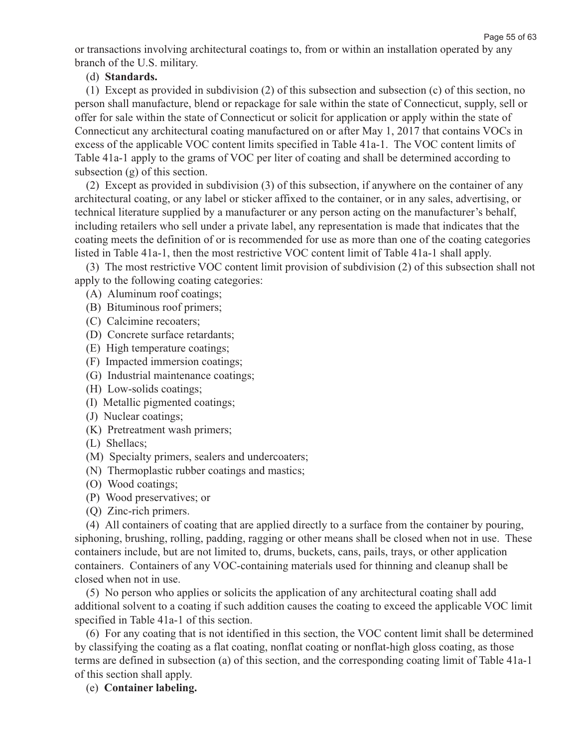or transactions involving architectural coatings to, from or within an installation operated by any branch of the U.S. military.

## (d) **Standards.**

(1) Except as provided in subdivision (2) of this subsection and subsection (c) of this section, no person shall manufacture, blend or repackage for sale within the state of Connecticut, supply, sell or offer for sale within the state of Connecticut or solicit for application or apply within the state of Connecticut any architectural coating manufactured on or after May 1, 2017 that contains VOCs in excess of the applicable VOC content limits specified in Table 41a-1. The VOC content limits of Table 41a-1 apply to the grams of VOC per liter of coating and shall be determined according to subsection (g) of this section.

(2) Except as provided in subdivision (3) of this subsection, if anywhere on the container of any architectural coating, or any label or sticker affixed to the container, or in any sales, advertising, or technical literature supplied by a manufacturer or any person acting on the manufacturer's behalf, including retailers who sell under a private label, any representation is made that indicates that the coating meets the definition of or is recommended for use as more than one of the coating categories listed in Table 41a-1, then the most restrictive VOC content limit of Table 41a-1 shall apply.

(3) The most restrictive VOC content limit provision of subdivision (2) of this subsection shall not apply to the following coating categories:

- (A) Aluminum roof coatings;
- (B) Bituminous roof primers;
- (C) Calcimine recoaters;
- (D) Concrete surface retardants;
- (E) High temperature coatings;
- (F) Impacted immersion coatings;
- (G) Industrial maintenance coatings;
- (H) Low-solids coatings;
- (I) Metallic pigmented coatings;
- (J) Nuclear coatings;
- (K) Pretreatment wash primers;
- (L) Shellacs;
- (M) Specialty primers, sealers and undercoaters;
- (N) Thermoplastic rubber coatings and mastics;
- (O) Wood coatings;
- (P) Wood preservatives; or
- (Q) Zinc-rich primers.

(4) All containers of coating that are applied directly to a surface from the container by pouring, siphoning, brushing, rolling, padding, ragging or other means shall be closed when not in use. These containers include, but are not limited to, drums, buckets, cans, pails, trays, or other application containers. Containers of any VOC-containing materials used for thinning and cleanup shall be closed when not in use.

(5) No person who applies or solicits the application of any architectural coating shall add additional solvent to a coating if such addition causes the coating to exceed the applicable VOC limit specified in Table 41a-1 of this section.

(6) For any coating that is not identified in this section, the VOC content limit shall be determined by classifying the coating as a flat coating, nonflat coating or nonflat-high gloss coating, as those terms are defined in subsection (a) of this section, and the corresponding coating limit of Table 41a-1 of this section shall apply.

(e) **Container labeling.**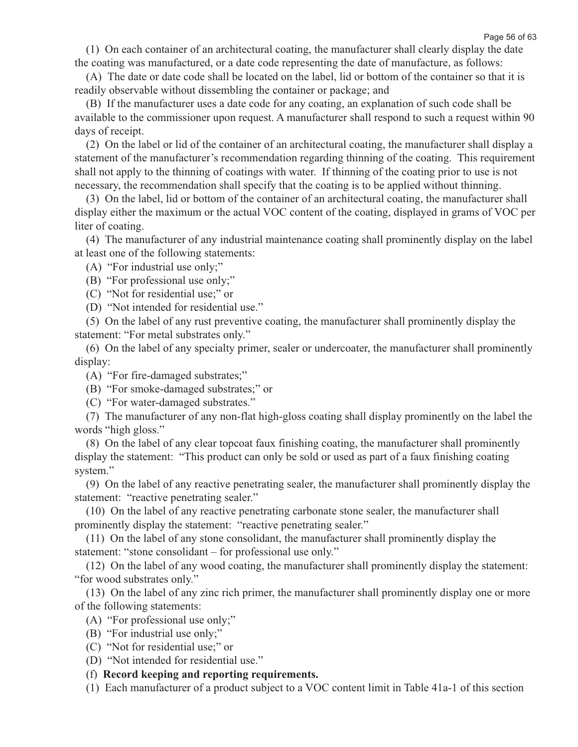Page 56 of 63

(1) On each container of an architectural coating, the manufacturer shall clearly display the date the coating was manufactured, or a date code representing the date of manufacture, as follows:

(A) The date or date code shall be located on the label, lid or bottom of the container so that it is readily observable without dissembling the container or package; and

(B) If the manufacturer uses a date code for any coating, an explanation of such code shall be available to the commissioner upon request. A manufacturer shall respond to such a request within 90 days of receipt.

(2) On the label or lid of the container of an architectural coating, the manufacturer shall display a statement of the manufacturer's recommendation regarding thinning of the coating. This requirement shall not apply to the thinning of coatings with water. If thinning of the coating prior to use is not necessary, the recommendation shall specify that the coating is to be applied without thinning.

(3) On the label, lid or bottom of the container of an architectural coating, the manufacturer shall display either the maximum or the actual VOC content of the coating, displayed in grams of VOC per liter of coating.

(4) The manufacturer of any industrial maintenance coating shall prominently display on the label at least one of the following statements:

(A) "For industrial use only;"

(B) "For professional use only;"

(C) "Not for residential use;" or

(D) "Not intended for residential use."

(5) On the label of any rust preventive coating, the manufacturer shall prominently display the statement: "For metal substrates only."

(6) On the label of any specialty primer, sealer or undercoater, the manufacturer shall prominently display:

(A) "For fire-damaged substrates;"

(B) "For smoke-damaged substrates;" or

(C) "For water-damaged substrates."

(7) The manufacturer of any non-flat high-gloss coating shall display prominently on the label the words "high gloss."

(8) On the label of any clear topcoat faux finishing coating, the manufacturer shall prominently display the statement: "This product can only be sold or used as part of a faux finishing coating system."

(9) On the label of any reactive penetrating sealer, the manufacturer shall prominently display the statement: "reactive penetrating sealer."

(10) On the label of any reactive penetrating carbonate stone sealer, the manufacturer shall prominently display the statement: "reactive penetrating sealer."

(11) On the label of any stone consolidant, the manufacturer shall prominently display the statement: "stone consolidant – for professional use only."

(12) On the label of any wood coating, the manufacturer shall prominently display the statement: "for wood substrates only."

(13) On the label of any zinc rich primer, the manufacturer shall prominently display one or more of the following statements:

(A) "For professional use only;"

- (B) "For industrial use only;"
- (C) "Not for residential use;" or

(D) "Not intended for residential use."

(f) **Record keeping and reporting requirements.**

(1) Each manufacturer of a product subject to a VOC content limit in Table 41a-1 of this section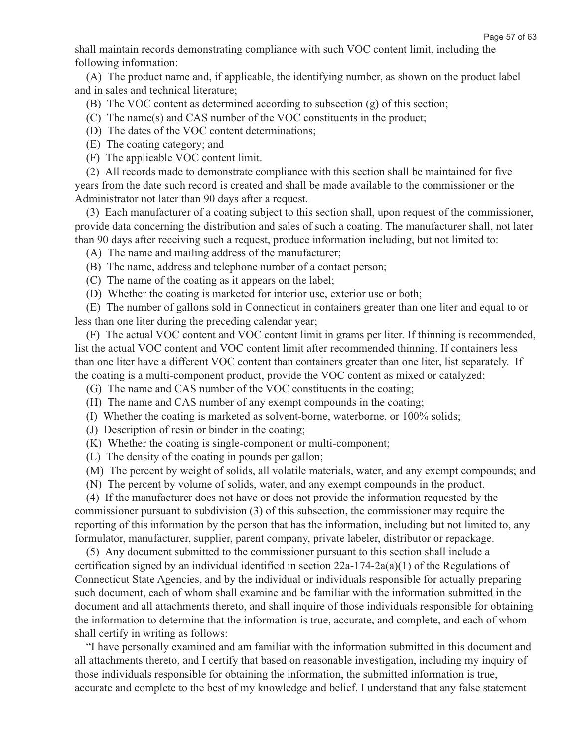Page 57 of 63

shall maintain records demonstrating compliance with such VOC content limit, including the following information:

(A) The product name and, if applicable, the identifying number, as shown on the product label and in sales and technical literature;

- (B) The VOC content as determined according to subsection (g) of this section;
- (C) The name(s) and CAS number of the VOC constituents in the product;
- (D) The dates of the VOC content determinations;
- (E) The coating category; and
- (F) The applicable VOC content limit.

(2) All records made to demonstrate compliance with this section shall be maintained for five years from the date such record is created and shall be made available to the commissioner or the Administrator not later than 90 days after a request.

(3) Each manufacturer of a coating subject to this section shall, upon request of the commissioner, provide data concerning the distribution and sales of such a coating. The manufacturer shall, not later than 90 days after receiving such a request, produce information including, but not limited to:

- (A) The name and mailing address of the manufacturer;
- (B) The name, address and telephone number of a contact person;
- (C) The name of the coating as it appears on the label;
- (D) Whether the coating is marketed for interior use, exterior use or both;

(E) The number of gallons sold in Connecticut in containers greater than one liter and equal to or less than one liter during the preceding calendar year;

(F) The actual VOC content and VOC content limit in grams per liter. If thinning is recommended, list the actual VOC content and VOC content limit after recommended thinning. If containers less than one liter have a different VOC content than containers greater than one liter, list separately. If the coating is a multi-component product, provide the VOC content as mixed or catalyzed;

- (G) The name and CAS number of the VOC constituents in the coating;
- (H) The name and CAS number of any exempt compounds in the coating;
- (I) Whether the coating is marketed as solvent-borne, waterborne, or 100% solids;
- (J) Description of resin or binder in the coating;
- (K) Whether the coating is single-component or multi-component;
- (L) The density of the coating in pounds per gallon;
- (M) The percent by weight of solids, all volatile materials, water, and any exempt compounds; and
- (N) The percent by volume of solids, water, and any exempt compounds in the product.

(4) If the manufacturer does not have or does not provide the information requested by the commissioner pursuant to subdivision (3) of this subsection, the commissioner may require the reporting of this information by the person that has the information, including but not limited to, any formulator, manufacturer, supplier, parent company, private labeler, distributor or repackage.

(5) Any document submitted to the commissioner pursuant to this section shall include a certification signed by an individual identified in section  $22a-174-2a(a)(1)$  of the Regulations of Connecticut State Agencies, and by the individual or individuals responsible for actually preparing such document, each of whom shall examine and be familiar with the information submitted in the document and all attachments thereto, and shall inquire of those individuals responsible for obtaining the information to determine that the information is true, accurate, and complete, and each of whom shall certify in writing as follows:

"I have personally examined and am familiar with the information submitted in this document and all attachments thereto, and I certify that based on reasonable investigation, including my inquiry of those individuals responsible for obtaining the information, the submitted information is true, accurate and complete to the best of my knowledge and belief. I understand that any false statement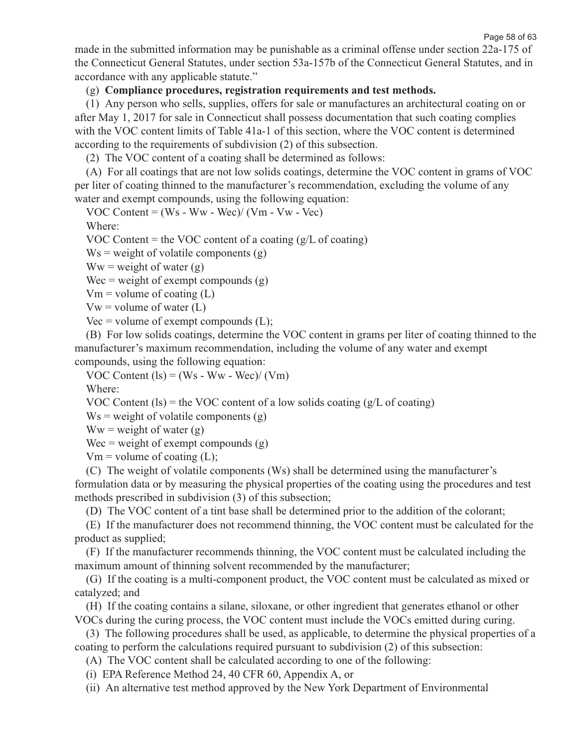Page 58 of 63

made in the submitted information may be punishable as a criminal offense under section 22a-175 of the Connecticut General Statutes, under section 53a-157b of the Connecticut General Statutes, and in accordance with any applicable statute."

# (g) **Compliance procedures, registration requirements and test methods.**

(1) Any person who sells, supplies, offers for sale or manufactures an architectural coating on or after May 1, 2017 for sale in Connecticut shall possess documentation that such coating complies with the VOC content limits of Table 41a-1 of this section, where the VOC content is determined according to the requirements of subdivision (2) of this subsection.

(2) The VOC content of a coating shall be determined as follows:

(A) For all coatings that are not low solids coatings, determine the VOC content in grams of VOC per liter of coating thinned to the manufacturer's recommendation, excluding the volume of any water and exempt compounds, using the following equation:

VOC Content = (Ws - Ww - Wec)/ (Vm - Vw - Vec)

Where:

VOC Content = the VOC content of a coating  $(g/L \text{ of coating})$ 

 $Ws$  = weight of volatile components (g)

 $Ww = weight of water(g)$ 

Wec = weight of exempt compounds  $(g)$ 

 $Vm = volume$  of coating (L)

 $Vw =$  volume of water  $(L)$ 

Vec  $=$  volume of exempt compounds  $(L)$ ;

(B) For low solids coatings, determine the VOC content in grams per liter of coating thinned to the manufacturer's maximum recommendation, including the volume of any water and exempt compounds, using the following equation:

VOC Content  $(1s) = (Ws - Ww - Wec)/(Vm)$ 

Where:

VOC Content (ls) = the VOC content of a low solids coating  $(g/L \text{ of coating})$ 

 $Ws$  = weight of volatile components (g)

 $Ww = weight of water (g)$ 

Wec = weight of exempt compounds  $(g)$ 

 $Vm = volume$  of coating (L);

(C) The weight of volatile components (Ws) shall be determined using the manufacturer's formulation data or by measuring the physical properties of the coating using the procedures and test methods prescribed in subdivision (3) of this subsection;

(D) The VOC content of a tint base shall be determined prior to the addition of the colorant;

(E) If the manufacturer does not recommend thinning, the VOC content must be calculated for the product as supplied;

(F) If the manufacturer recommends thinning, the VOC content must be calculated including the maximum amount of thinning solvent recommended by the manufacturer;

(G) If the coating is a multi-component product, the VOC content must be calculated as mixed or catalyzed; and

(H) If the coating contains a silane, siloxane, or other ingredient that generates ethanol or other VOCs during the curing process, the VOC content must include the VOCs emitted during curing.

(3) The following procedures shall be used, as applicable, to determine the physical properties of a coating to perform the calculations required pursuant to subdivision (2) of this subsection:

(A) The VOC content shall be calculated according to one of the following:

(i) EPA Reference Method 24, 40 CFR 60, Appendix A, or

(ii) An alternative test method approved by the New York Department of Environmental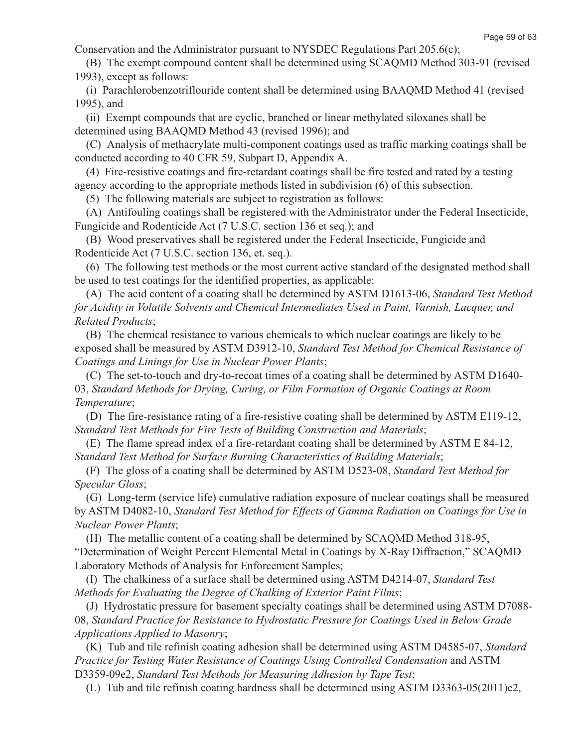Conservation and the Administrator pursuant to NYSDEC Regulations Part 205.6(c);

(B) The exempt compound content shall be determined using SCAQMD Method 303-91 (revised 1993), except as follows:

(i) Parachlorobenzotriflouride content shall be determined using BAAQMD Method 41 (revised 1995), and

(ii) Exempt compounds that are cyclic, branched or linear methylated siloxanes shall be determined using BAAQMD Method 43 (revised 1996); and

(C) Analysis of methacrylate multi-component coatings used as traffic marking coatings shall be conducted according to 40 CFR 59, Subpart D, Appendix A.

(4) Fire-resistive coatings and fire-retardant coatings shall be fire tested and rated by a testing agency according to the appropriate methods listed in subdivision (6) of this subsection.

(5) The following materials are subject to registration as follows:

(A) Antifouling coatings shall be registered with the Administrator under the Federal Insecticide, Fungicide and Rodenticide Act (7 U.S.C. section 136 et seq.); and

(B) Wood preservatives shall be registered under the Federal Insecticide, Fungicide and Rodenticide Act (7 U.S.C. section 136, et. seq.).

(6) The following test methods or the most current active standard of the designated method shall be used to test coatings for the identified properties, as applicable:

(A) The acid content of a coating shall be determined by ASTM D1613-06, *Standard Test Method for Acidity in Volatile Solvents and Chemical Intermediates Used in Paint, Varnish, Lacquer, and Related Products*;

(B) The chemical resistance to various chemicals to which nuclear coatings are likely to be exposed shall be measured by ASTM D3912-10, *Standard Test Method for Chemical Resistance of Coatings and Linings for Use in Nuclear Power Plants*;

(C) The set-to-touch and dry-to-recoat times of a coating shall be determined by ASTM D1640- 03, *Standard Methods for Drying, Curing, or Film Formation of Organic Coatings at Room Temperature*;

(D) The fire-resistance rating of a fire-resistive coating shall be determined by ASTM E119-12, *Standard Test Methods for Fire Tests of Building Construction and Materials*;

(E) The flame spread index of a fire-retardant coating shall be determined by ASTM E 84-12, *Standard Test Method for Surface Burning Characteristics of Building Materials*;

(F) The gloss of a coating shall be determined by ASTM D523-08, *Standard Test Method for Specular Gloss*;

(G) Long-term (service life) cumulative radiation exposure of nuclear coatings shall be measured by ASTM D4082-10, *Standard Test Method for Effects of Gamma Radiation on Coatings for Use in Nuclear Power Plants*;

(H) The metallic content of a coating shall be determined by SCAQMD Method 318-95, "Determination of Weight Percent Elemental Metal in Coatings by X-Ray Diffraction," SCAQMD Laboratory Methods of Analysis for Enforcement Samples;

(I) The chalkiness of a surface shall be determined using ASTM D4214-07, *Standard Test Methods for Evaluating the Degree of Chalking of Exterior Paint Films*;

(J) Hydrostatic pressure for basement specialty coatings shall be determined using ASTM D7088- 08, *Standard Practice for Resistance to Hydrostatic Pressure for Coatings Used in Below Grade Applications Applied to Masonry*;

(K) Tub and tile refinish coating adhesion shall be determined using ASTM D4585-07, *Standard Practice for Testing Water Resistance of Coatings Using Controlled Condensation* and ASTM D3359-09e2, *Standard Test Methods for Measuring Adhesion by Tape Test*;

(L) Tub and tile refinish coating hardness shall be determined using ASTM D3363-05(2011)e2,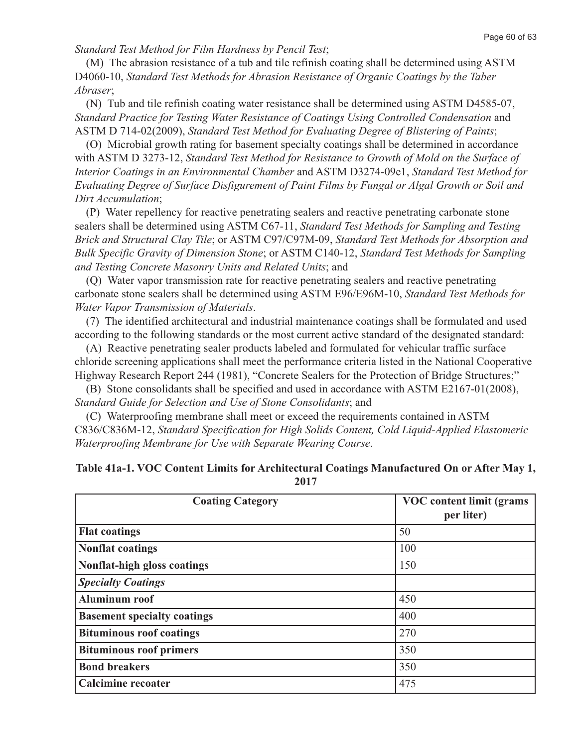*Standard Test Method for Film Hardness by Pencil Test*;

(M) The abrasion resistance of a tub and tile refinish coating shall be determined using ASTM D4060-10, *Standard Test Methods for Abrasion Resistance of Organic Coatings by the Taber Abraser*;

(N) Tub and tile refinish coating water resistance shall be determined using ASTM D4585-07, *Standard Practice for Testing Water Resistance of Coatings Using Controlled Condensation* and ASTM D 714-02(2009), *Standard Test Method for Evaluating Degree of Blistering of Paints*;

(O) Microbial growth rating for basement specialty coatings shall be determined in accordance with ASTM D 3273-12, *Standard Test Method for Resistance to Growth of Mold on the Surface of Interior Coatings in an Environmental Chamber* and ASTM D3274-09e1, *Standard Test Method for Evaluating Degree of Surface Disfigurement of Paint Films by Fungal or Algal Growth or Soil and Dirt Accumulation*;

(P) Water repellency for reactive penetrating sealers and reactive penetrating carbonate stone sealers shall be determined using ASTM C67-11, *Standard Test Methods for Sampling and Testing Brick and Structural Clay Tile*; or ASTM C97/C97M-09, *Standard Test Methods for Absorption and Bulk Specific Gravity of Dimension Stone*; or ASTM C140-12, *Standard Test Methods for Sampling and Testing Concrete Masonry Units and Related Units*; and

(Q) Water vapor transmission rate for reactive penetrating sealers and reactive penetrating carbonate stone sealers shall be determined using ASTM E96/E96M-10, *Standard Test Methods for Water Vapor Transmission of Materials*.

(7) The identified architectural and industrial maintenance coatings shall be formulated and used according to the following standards or the most current active standard of the designated standard:

(A) Reactive penetrating sealer products labeled and formulated for vehicular traffic surface chloride screening applications shall meet the performance criteria listed in the National Cooperative Highway Research Report 244 (1981), "Concrete Sealers for the Protection of Bridge Structures;"

(B) Stone consolidants shall be specified and used in accordance with ASTM E2167-01(2008), *Standard Guide for Selection and Use of Stone Consolidants*; and

(C) Waterproofing membrane shall meet or exceed the requirements contained in ASTM C836/C836M-12, *Standard Specification for High Solids Content, Cold Liquid-Applied Elastomeric Waterproofing Membrane for Use with Separate Wearing Course*.

| <b>Coating Category</b>            | <b>VOC</b> content limit (grams<br>per liter) |
|------------------------------------|-----------------------------------------------|
| <b>Flat coatings</b>               | 50                                            |
| <b>Nonflat coatings</b>            | 100                                           |
| Nonflat-high gloss coatings        | 150                                           |
| <b>Specialty Coatings</b>          |                                               |
| <b>Aluminum</b> roof               | 450                                           |
| <b>Basement specialty coatings</b> | 400                                           |
| <b>Bituminous roof coatings</b>    | 270                                           |
| <b>Bituminous roof primers</b>     | 350                                           |
| <b>Bond breakers</b>               | 350                                           |
| <b>Calcimine recoater</b>          | 475                                           |

| Table 41a-1. VOC Content Limits for Architectural Coatings Manufactured On or After May 1, |      |  |  |
|--------------------------------------------------------------------------------------------|------|--|--|
|                                                                                            | 2017 |  |  |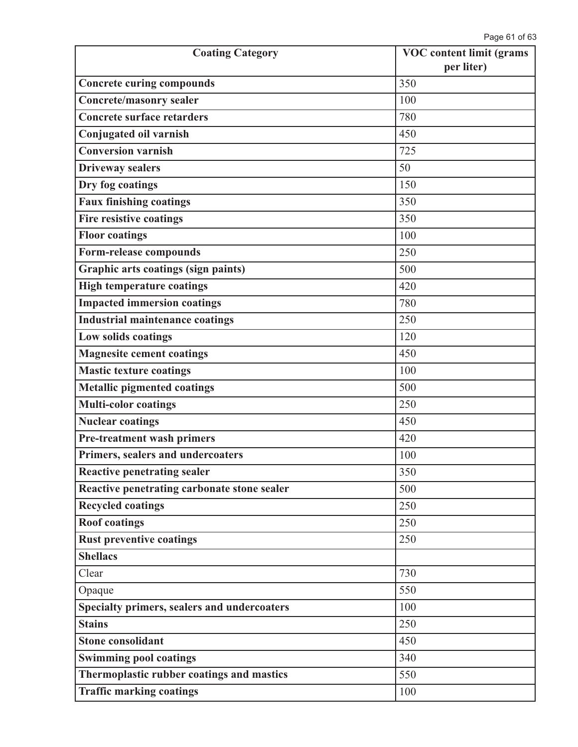| <b>Coating Category</b>                     | <b>VOC</b> content limit (grams |
|---------------------------------------------|---------------------------------|
|                                             | per liter)                      |
| <b>Concrete curing compounds</b>            | 350                             |
| <b>Concrete/masonry sealer</b>              | 100                             |
| Concrete surface retarders                  | 780                             |
| Conjugated oil varnish                      | 450                             |
| <b>Conversion varnish</b>                   | 725                             |
| <b>Driveway sealers</b>                     | 50                              |
| Dry fog coatings                            | 150                             |
| <b>Faux finishing coatings</b>              | 350                             |
| Fire resistive coatings                     | 350                             |
| <b>Floor coatings</b>                       | 100                             |
| Form-release compounds                      | 250                             |
| Graphic arts coatings (sign paints)         | 500                             |
| <b>High temperature coatings</b>            | 420                             |
| <b>Impacted immersion coatings</b>          | 780                             |
| <b>Industrial maintenance coatings</b>      | 250                             |
| Low solids coatings                         | 120                             |
| <b>Magnesite cement coatings</b>            | 450                             |
| <b>Mastic texture coatings</b>              | 100                             |
| <b>Metallic pigmented coatings</b>          | 500                             |
| <b>Multi-color coatings</b>                 | 250                             |
| <b>Nuclear coatings</b>                     | 450                             |
| <b>Pre-treatment wash primers</b>           | 420                             |
| Primers, sealers and undercoaters           | 100                             |
| <b>Reactive penetrating sealer</b>          | 350                             |
| Reactive penetrating carbonate stone sealer | 500                             |
| <b>Recycled coatings</b>                    | 250                             |
| <b>Roof coatings</b>                        | 250                             |
| <b>Rust preventive coatings</b>             | 250                             |
| <b>Shellacs</b>                             |                                 |
| Clear                                       | 730                             |
| Opaque                                      | 550                             |
| Specialty primers, sealers and undercoaters | 100                             |
| <b>Stains</b>                               | 250                             |
| <b>Stone consolidant</b>                    | 450                             |
| <b>Swimming pool coatings</b>               | 340                             |
| Thermoplastic rubber coatings and mastics   | 550                             |
| <b>Traffic marking coatings</b>             | 100                             |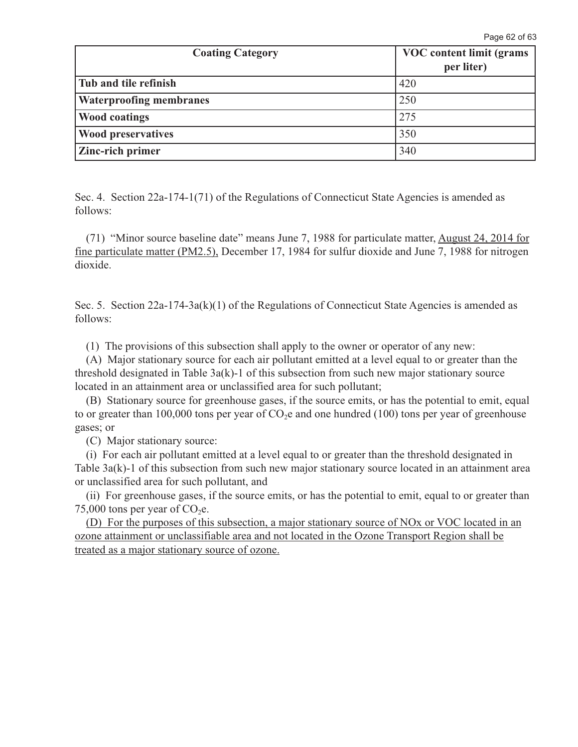| Page 62 of 63 |  |  |  |
|---------------|--|--|--|
|---------------|--|--|--|

| <b>Coating Category</b>        | VOC content limit (grams)<br>per liter) |
|--------------------------------|-----------------------------------------|
| Tub and tile refinish          | 420                                     |
| <b>Waterproofing membranes</b> | 250                                     |
| <b>Wood coatings</b>           | 275                                     |
| <b>Wood preservatives</b>      | 350                                     |
| <b>Zinc-rich primer</b>        | 340                                     |

Sec. 4. Section 22a-174-1(71) of the Regulations of Connecticut State Agencies is amended as follows:

(71) "Minor source baseline date" means June 7, 1988 for particulate matter, August 24, 2014 for fine particulate matter (PM2.5), December 17, 1984 for sulfur dioxide and June 7, 1988 for nitrogen dioxide.

Sec. 5. Section 22a-174-3a(k)(1) of the Regulations of Connecticut State Agencies is amended as follows:

(1) The provisions of this subsection shall apply to the owner or operator of any new:

(A) Major stationary source for each air pollutant emitted at a level equal to or greater than the threshold designated in Table 3a(k)-1 of this subsection from such new major stationary source located in an attainment area or unclassified area for such pollutant;

(B) Stationary source for greenhouse gases, if the source emits, or has the potential to emit, equal to or greater than 100,000 tons per year of  $CO<sub>2</sub>e$  and one hundred (100) tons per year of greenhouse gases; or

(C) Major stationary source:

(i) For each air pollutant emitted at a level equal to or greater than the threshold designated in Table 3a(k)-1 of this subsection from such new major stationary source located in an attainment area or unclassified area for such pollutant, and

(ii) For greenhouse gases, if the source emits, or has the potential to emit, equal to or greater than 75,000 tons per year of  $CO<sub>2</sub>e$ .

(D) For the purposes of this subsection, a major stationary source of NOx or VOC located in an ozone attainment or unclassifiable area and not located in the Ozone Transport Region shall be treated as a major stationary source of ozone.